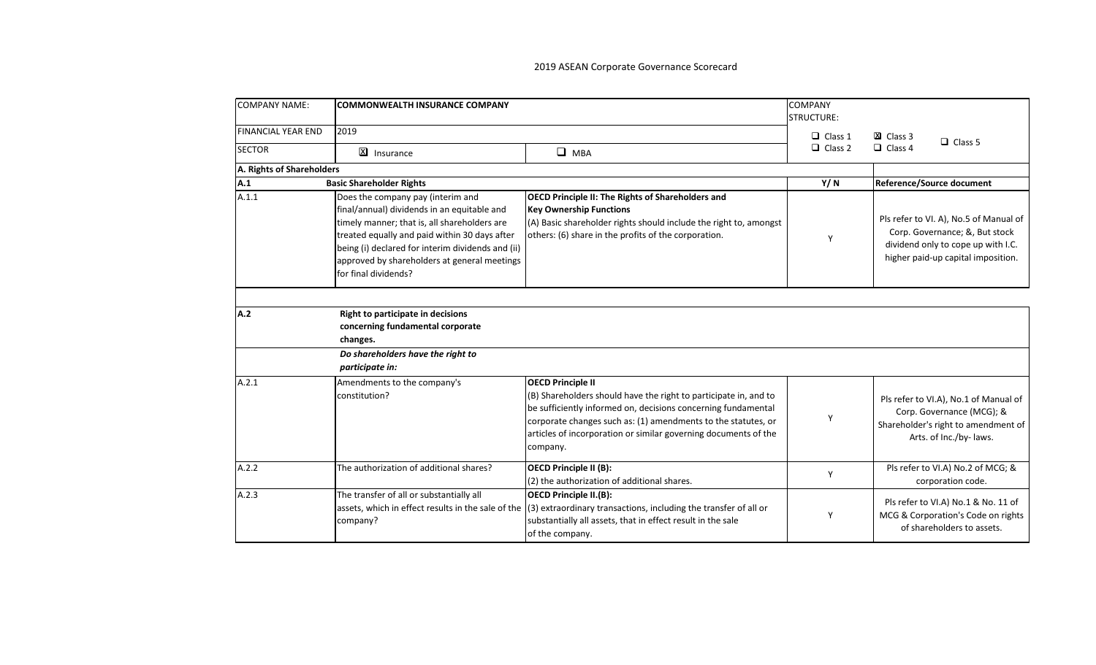| <b>COMPANY NAME:</b>      | <b>COMMONWEALTH INSURANCE COMPANY</b>                                                                                                                                                                                                                                                                          |                                                                                                                                                                                                                                                                                                               | <b>COMPANY</b><br><b>STRUCTURE:</b> |                                                                                                                                                      |
|---------------------------|----------------------------------------------------------------------------------------------------------------------------------------------------------------------------------------------------------------------------------------------------------------------------------------------------------------|---------------------------------------------------------------------------------------------------------------------------------------------------------------------------------------------------------------------------------------------------------------------------------------------------------------|-------------------------------------|------------------------------------------------------------------------------------------------------------------------------------------------------|
| <b>FINANCIAL YEAR END</b> | 2019                                                                                                                                                                                                                                                                                                           |                                                                                                                                                                                                                                                                                                               | $\Box$ Class 1                      | XI Class 3<br>$\Box$ Class 5                                                                                                                         |
| <b>SECTOR</b>             | X Insurance                                                                                                                                                                                                                                                                                                    | $\Box$ MBA                                                                                                                                                                                                                                                                                                    | $\Box$ Class 2                      | $\Box$ Class 4                                                                                                                                       |
| A. Rights of Shareholders |                                                                                                                                                                                                                                                                                                                |                                                                                                                                                                                                                                                                                                               |                                     |                                                                                                                                                      |
| A.1                       | <b>Basic Shareholder Rights</b>                                                                                                                                                                                                                                                                                |                                                                                                                                                                                                                                                                                                               | Y/N                                 | Reference/Source document                                                                                                                            |
| A.1.1                     | Does the company pay (interim and<br>final/annual) dividends in an equitable and<br>timely manner; that is, all shareholders are<br>treated equally and paid within 30 days after<br>being (i) declared for interim dividends and (ii)<br>approved by shareholders at general meetings<br>for final dividends? | <b>OECD Principle II: The Rights of Shareholders and</b><br><b>Key Ownership Functions</b><br>(A) Basic shareholder rights should include the right to, amongst<br>others: (6) share in the profits of the corporation.                                                                                       | Y                                   | Pls refer to VI. A), No.5 of Manual of<br>Corp. Governance; &, But stock<br>dividend only to cope up with I.C.<br>higher paid-up capital imposition. |
| A.2                       | Right to participate in decisions<br>concerning fundamental corporate<br>changes.                                                                                                                                                                                                                              |                                                                                                                                                                                                                                                                                                               |                                     |                                                                                                                                                      |
|                           | Do shareholders have the right to<br>participate in:                                                                                                                                                                                                                                                           |                                                                                                                                                                                                                                                                                                               |                                     |                                                                                                                                                      |
| A.2.1                     | Amendments to the company's<br>constitution?                                                                                                                                                                                                                                                                   | <b>OECD Principle II</b><br>(B) Shareholders should have the right to participate in, and to<br>be sufficiently informed on, decisions concerning fundamental<br>corporate changes such as: (1) amendments to the statutes, or<br>articles of incorporation or similar governing documents of the<br>company. | Υ                                   | Pls refer to VI.A), No.1 of Manual of<br>Corp. Governance (MCG); &<br>Shareholder's right to amendment of<br>Arts. of Inc./by- laws.                 |
| A.2.2                     | The authorization of additional shares?                                                                                                                                                                                                                                                                        | <b>OECD Principle II (B):</b><br>(2) the authorization of additional shares.                                                                                                                                                                                                                                  | Y                                   | Pls refer to VI.A) No.2 of MCG; &<br>corporation code.                                                                                               |
| A.2.3                     | The transfer of all or substantially all<br>company?                                                                                                                                                                                                                                                           | <b>OECD Principle II.(B):</b><br>assets, which in effect results in the sale of the $(3)$ extraordinary transactions, including the transfer of all or<br>substantially all assets, that in effect result in the sale<br>of the company.                                                                      | Υ                                   | Pls refer to VI.A) No.1 & No. 11 of<br>MCG & Corporation's Code on rights<br>of shareholders to assets.                                              |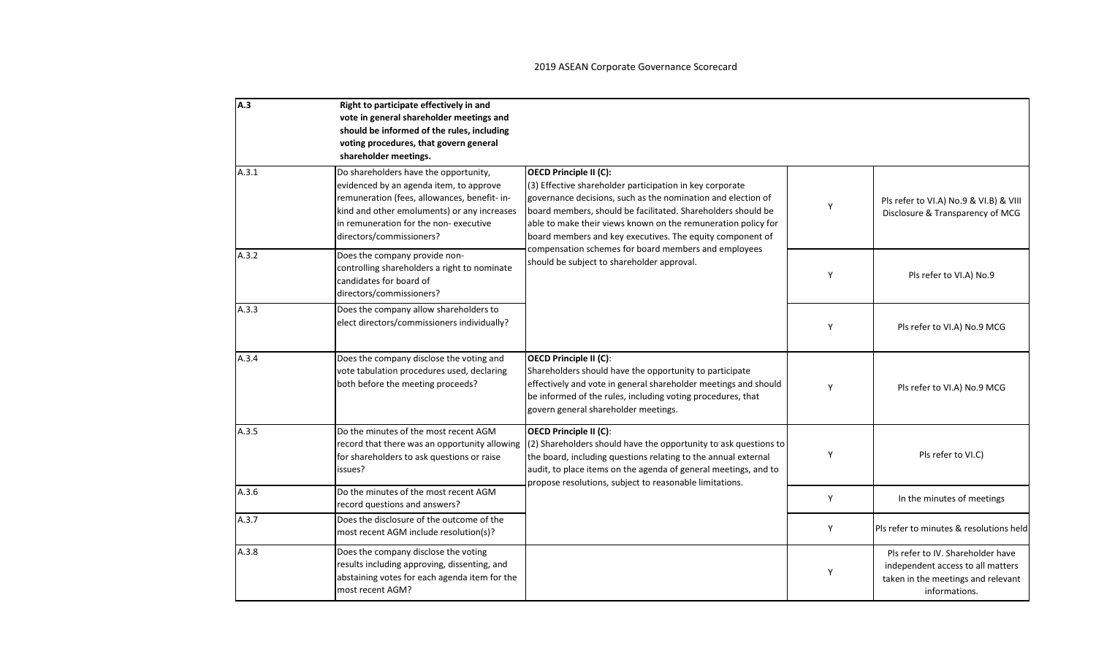| A.3   | Right to participate effectively in and<br>vote in general shareholder meetings and<br>should be informed of the rules, including<br>voting procedures, that govern general<br>shareholder meetings.                                                 |                                                                                                                                                                                                                                                                                                                                                         |   |                                                                                                                               |
|-------|------------------------------------------------------------------------------------------------------------------------------------------------------------------------------------------------------------------------------------------------------|---------------------------------------------------------------------------------------------------------------------------------------------------------------------------------------------------------------------------------------------------------------------------------------------------------------------------------------------------------|---|-------------------------------------------------------------------------------------------------------------------------------|
| A.3.1 | Do shareholders have the opportunity,<br>evidenced by an agenda item, to approve<br>remuneration (fees, allowances, benefit- in-<br>kind and other emoluments) or any increases<br>in remuneration for the non-executive<br>directors/commissioners? | <b>OECD Principle II (C):</b><br>(3) Effective shareholder participation in key corporate<br>governance decisions, such as the nomination and election of<br>board members, should be facilitated. Shareholders should be<br>able to make their views known on the remuneration policy for<br>board members and key executives. The equity component of | Y | Pls refer to VI.A) No.9 & VI.B) & VIII<br>Disclosure & Transparency of MCG                                                    |
| A.3.2 | Does the company provide non-<br>controlling shareholders a right to nominate<br>candidates for board of<br>directors/commissioners?                                                                                                                 | compensation schemes for board members and employees<br>should be subject to shareholder approval.                                                                                                                                                                                                                                                      | Y | Pls refer to VI.A) No.9                                                                                                       |
| A.3.3 | Does the company allow shareholders to<br>elect directors/commissioners individually?                                                                                                                                                                |                                                                                                                                                                                                                                                                                                                                                         | Y | Pls refer to VI.A) No.9 MCG                                                                                                   |
| A.3.4 | Does the company disclose the voting and<br>vote tabulation procedures used, declaring<br>both before the meeting proceeds?                                                                                                                          | <b>OECD Principle II (C):</b><br>Shareholders should have the opportunity to participate<br>effectively and vote in general shareholder meetings and should<br>be informed of the rules, including voting procedures, that<br>govern general shareholder meetings.                                                                                      | Y | Pls refer to VI.A) No.9 MCG                                                                                                   |
| A.3.5 | Do the minutes of the most recent AGM<br>record that there was an opportunity allowing<br>for shareholders to ask questions or raise<br>issues?                                                                                                      | <b>OECD Principle II (C):</b><br>(2) Shareholders should have the opportunity to ask questions to<br>the board, including questions relating to the annual external<br>audit, to place items on the agenda of general meetings, and to<br>propose resolutions, subject to reasonable limitations.                                                       | Y | Pls refer to VI.C)                                                                                                            |
| A.3.6 | Do the minutes of the most recent AGM<br>record questions and answers?                                                                                                                                                                               |                                                                                                                                                                                                                                                                                                                                                         | Y | In the minutes of meetings                                                                                                    |
| A.3.7 | Does the disclosure of the outcome of the<br>most recent AGM include resolution(s)?                                                                                                                                                                  |                                                                                                                                                                                                                                                                                                                                                         | Y | Pls refer to minutes & resolutions held                                                                                       |
| A.3.8 | Does the company disclose the voting<br>results including approving, dissenting, and<br>abstaining votes for each agenda item for the<br>most recent AGM?                                                                                            |                                                                                                                                                                                                                                                                                                                                                         | Y | Pls refer to IV. Shareholder have<br>independent access to all matters<br>taken in the meetings and relevant<br>informations. |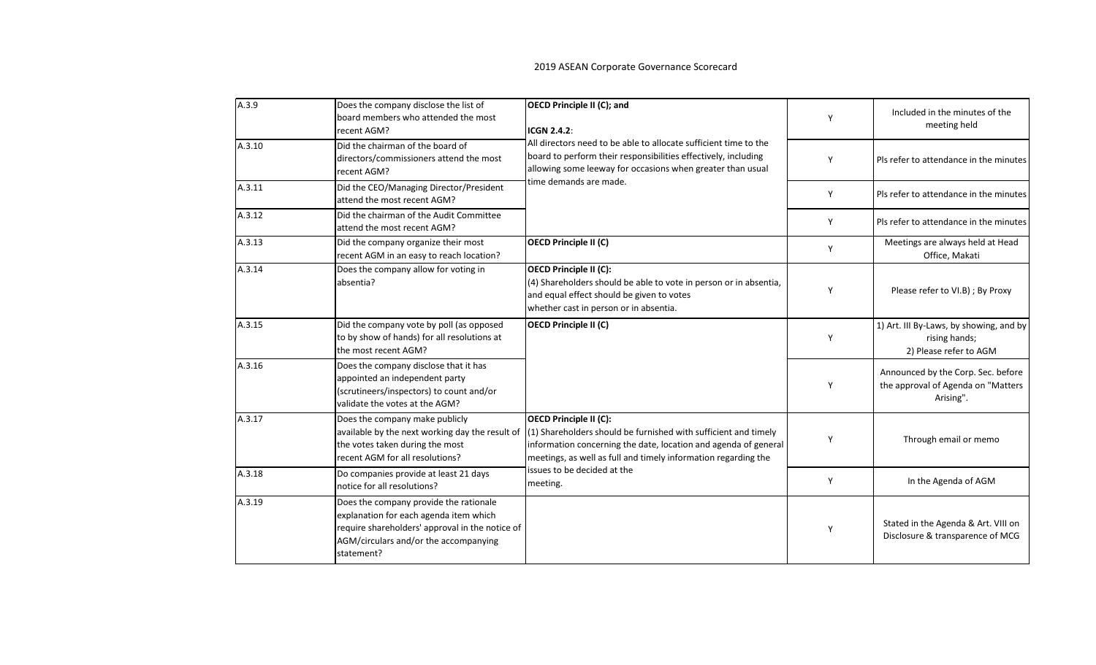| A.3.9  | Does the company disclose the list of<br>board members who attended the most<br>recent AGM?                                                                                                | <b>OECD Principle II (C); and</b><br><b>ICGN 2.4.2:</b>                                                                                                                                                                                                                   | Y | Included in the minutes of the<br>meeting held                                        |
|--------|--------------------------------------------------------------------------------------------------------------------------------------------------------------------------------------------|---------------------------------------------------------------------------------------------------------------------------------------------------------------------------------------------------------------------------------------------------------------------------|---|---------------------------------------------------------------------------------------|
| A.3.10 | Did the chairman of the board of<br>directors/commissioners attend the most<br>recent AGM?                                                                                                 | All directors need to be able to allocate sufficient time to the<br>board to perform their responsibilities effectively, including<br>allowing some leeway for occasions when greater than usual                                                                          | Y | Pls refer to attendance in the minutes                                                |
| A.3.11 | Did the CEO/Managing Director/President<br>attend the most recent AGM?                                                                                                                     | time demands are made.                                                                                                                                                                                                                                                    | Y | Pls refer to attendance in the minutes                                                |
| A.3.12 | Did the chairman of the Audit Committee<br>attend the most recent AGM?                                                                                                                     |                                                                                                                                                                                                                                                                           | Y | Pls refer to attendance in the minutes                                                |
| A.3.13 | Did the company organize their most<br>recent AGM in an easy to reach location?                                                                                                            | <b>OECD Principle II (C)</b>                                                                                                                                                                                                                                              | Y | Meetings are always held at Head<br>Office, Makati                                    |
| A.3.14 | Does the company allow for voting in<br>absentia?                                                                                                                                          | <b>OECD Principle II (C):</b><br>(4) Shareholders should be able to vote in person or in absentia,<br>and equal effect should be given to votes<br>whether cast in person or in absentia.                                                                                 | Y | Please refer to VI.B) ; By Proxy                                                      |
| A.3.15 | Did the company vote by poll (as opposed<br>to by show of hands) for all resolutions at<br>the most recent AGM?                                                                            | OECD Principle II (C)                                                                                                                                                                                                                                                     | Y | 1) Art. III By-Laws, by showing, and by<br>rising hands;<br>2) Please refer to AGM    |
| A.3.16 | Does the company disclose that it has<br>appointed an independent party<br>(scrutineers/inspectors) to count and/or<br>validate the votes at the AGM?                                      |                                                                                                                                                                                                                                                                           | Y | Announced by the Corp. Sec. before<br>the approval of Agenda on "Matters<br>Arising". |
| A.3.17 | Does the company make publicly<br>available by the next working day the result of<br>the votes taken during the most<br>recent AGM for all resolutions?                                    | OECD Principle II (C):<br>(1) Shareholders should be furnished with sufficient and timely<br>information concerning the date, location and agenda of general<br>meetings, as well as full and timely information regarding the<br>issues to be decided at the<br>meeting. | Y | Through email or memo                                                                 |
| A.3.18 | Do companies provide at least 21 days<br>notice for all resolutions?                                                                                                                       |                                                                                                                                                                                                                                                                           | Y | In the Agenda of AGM                                                                  |
| A.3.19 | Does the company provide the rationale<br>explanation for each agenda item which<br>require shareholders' approval in the notice of<br>AGM/circulars and/or the accompanying<br>statement? |                                                                                                                                                                                                                                                                           | Υ | Stated in the Agenda & Art. VIII on<br>Disclosure & transparence of MCG               |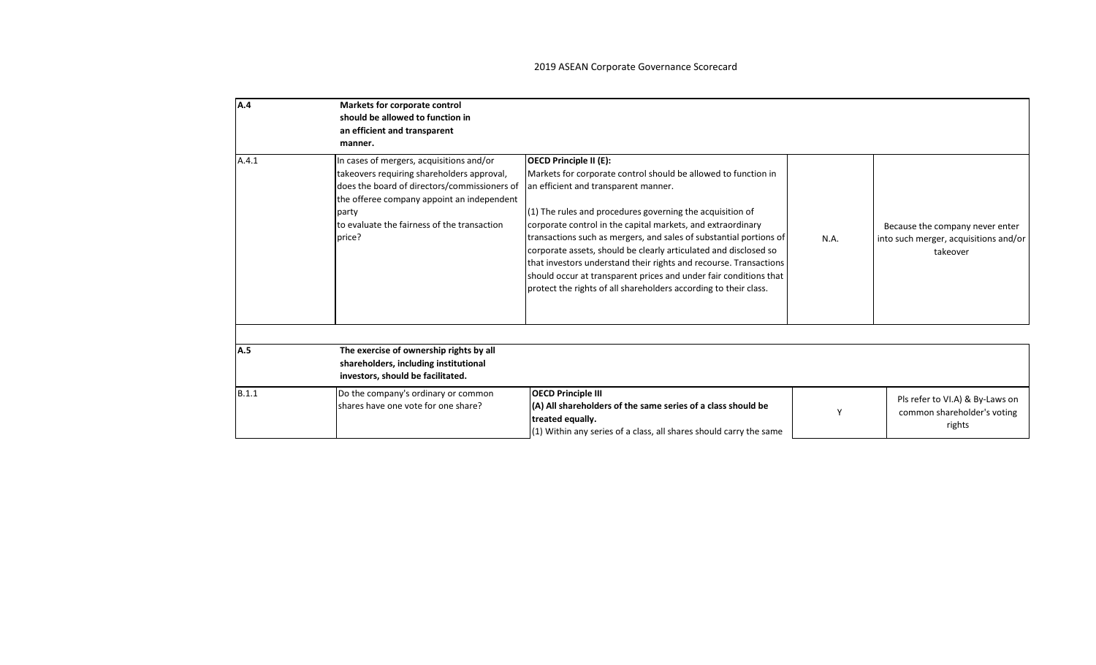| A.4   | Markets for corporate control<br>should be allowed to function in<br>an efficient and transparent<br>manner.                                                                                                                                           |                                                                                                                                                                                                                                                                                                                                                                                                                                                                                                                                                                                                                             |      |                                                                                      |
|-------|--------------------------------------------------------------------------------------------------------------------------------------------------------------------------------------------------------------------------------------------------------|-----------------------------------------------------------------------------------------------------------------------------------------------------------------------------------------------------------------------------------------------------------------------------------------------------------------------------------------------------------------------------------------------------------------------------------------------------------------------------------------------------------------------------------------------------------------------------------------------------------------------------|------|--------------------------------------------------------------------------------------|
| A.4.1 | In cases of mergers, acquisitions and/or<br>takeovers requiring shareholders approval,<br>does the board of directors/commissioners of<br>the offeree company appoint an independent<br>party<br>to evaluate the fairness of the transaction<br>price? | <b>OECD Principle II (E):</b><br>Markets for corporate control should be allowed to function in<br>an efficient and transparent manner.<br>(1) The rules and procedures governing the acquisition of<br>corporate control in the capital markets, and extraordinary<br>transactions such as mergers, and sales of substantial portions of<br>corporate assets, should be clearly articulated and disclosed so<br>that investors understand their rights and recourse. Transactions<br>should occur at transparent prices and under fair conditions that<br>protect the rights of all shareholders according to their class. | N.A. | Because the company never enter<br>into such merger, acquisitions and/or<br>takeover |
| A.5   | The exercise of ownership rights by all<br>shareholders, including institutional<br>investors, should be facilitated.                                                                                                                                  |                                                                                                                                                                                                                                                                                                                                                                                                                                                                                                                                                                                                                             |      |                                                                                      |
| B.1.1 | Do the company's ordinary or common<br>shares have one vote for one share?                                                                                                                                                                             | <b>OECD Principle III</b><br>$(A)$ All shareholders of the same series of a class should be<br>treated equally.<br>$(1)$ Within any series of a class, all shares should carry the same                                                                                                                                                                                                                                                                                                                                                                                                                                     |      | Pls refer to VI.A) & By-Laws on<br>common shareholder's voting<br>rights             |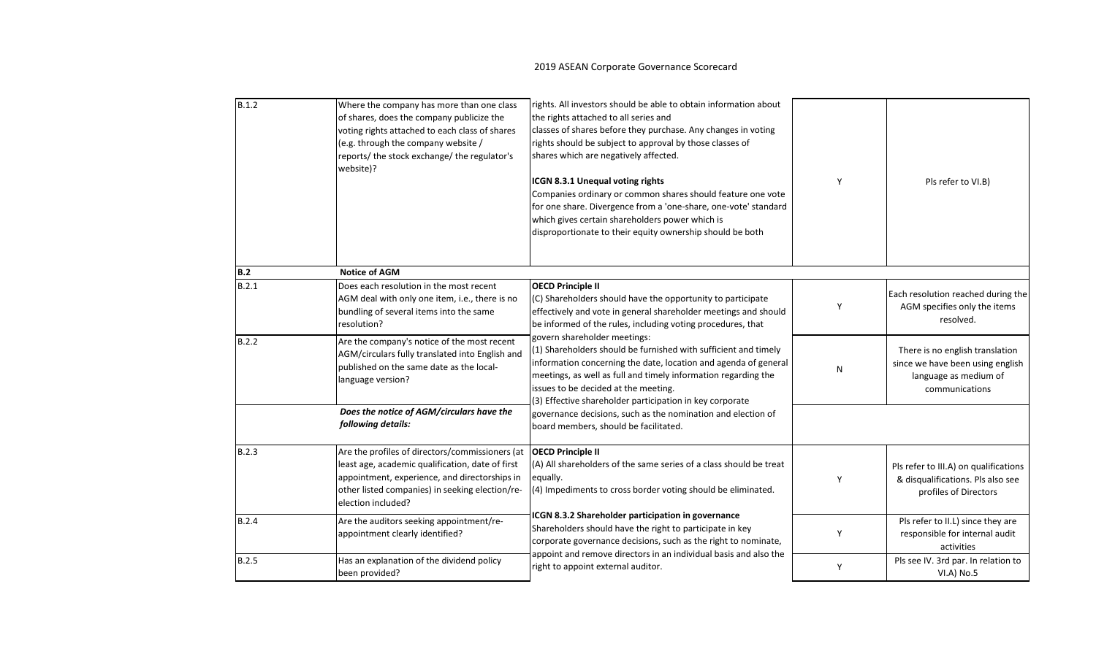| B.1.2        | Where the company has more than one class<br>of shares, does the company publicize the<br>voting rights attached to each class of shares<br>(e.g. through the company website /<br>reports/ the stock exchange/ the regulator's<br>website)? | rights. All investors should be able to obtain information about<br>the rights attached to all series and<br>classes of shares before they purchase. Any changes in voting<br>rights should be subject to approval by those classes of<br>shares which are negatively affected.<br>ICGN 8.3.1 Unequal voting rights<br>Companies ordinary or common shares should feature one vote<br>for one share. Divergence from a 'one-share, one-vote' standard<br>which gives certain shareholders power which is<br>disproportionate to their equity ownership should be both | γ | Pls refer to VI.B)                                                                                             |
|--------------|----------------------------------------------------------------------------------------------------------------------------------------------------------------------------------------------------------------------------------------------|-----------------------------------------------------------------------------------------------------------------------------------------------------------------------------------------------------------------------------------------------------------------------------------------------------------------------------------------------------------------------------------------------------------------------------------------------------------------------------------------------------------------------------------------------------------------------|---|----------------------------------------------------------------------------------------------------------------|
| B.2          | <b>Notice of AGM</b>                                                                                                                                                                                                                         |                                                                                                                                                                                                                                                                                                                                                                                                                                                                                                                                                                       |   |                                                                                                                |
| B.2.1        | Does each resolution in the most recent<br>AGM deal with only one item, i.e., there is no<br>bundling of several items into the same<br>resolution?                                                                                          | <b>OECD Principle II</b><br>(C) Shareholders should have the opportunity to participate<br>effectively and vote in general shareholder meetings and should<br>be informed of the rules, including voting procedures, that                                                                                                                                                                                                                                                                                                                                             | Y | Each resolution reached during the<br>AGM specifies only the items<br>resolved.                                |
| B.2.2        | Are the company's notice of the most recent<br>AGM/circulars fully translated into English and<br>published on the same date as the local-<br>language version?                                                                              | govern shareholder meetings:<br>(1) Shareholders should be furnished with sufficient and timely<br>information concerning the date, location and agenda of general<br>meetings, as well as full and timely information regarding the<br>issues to be decided at the meeting.<br>(3) Effective shareholder participation in key corporate                                                                                                                                                                                                                              | N | There is no english translation<br>since we have been using english<br>language as medium of<br>communications |
|              | Does the notice of AGM/circulars have the<br>following details:                                                                                                                                                                              | governance decisions, such as the nomination and election of<br>board members, should be facilitated.                                                                                                                                                                                                                                                                                                                                                                                                                                                                 |   |                                                                                                                |
| B.2.3        | Are the profiles of directors/commissioners (at<br>least age, academic qualification, date of first<br>appointment, experience, and directorships in<br>other listed companies) in seeking election/re-<br>election included?                | <b>OECD Principle II</b><br>(A) All shareholders of the same series of a class should be treat<br>equally.<br>(4) Impediments to cross border voting should be eliminated.                                                                                                                                                                                                                                                                                                                                                                                            | Y | Pls refer to III.A) on qualifications<br>& disqualifications. Pls also see<br>profiles of Directors            |
| <b>B.2.4</b> | Are the auditors seeking appointment/re-<br>appointment clearly identified?                                                                                                                                                                  | ICGN 8.3.2 Shareholder participation in governance<br>Shareholders should have the right to participate in key<br>corporate governance decisions, such as the right to nominate,                                                                                                                                                                                                                                                                                                                                                                                      | Y | Pls refer to II.L) since they are<br>responsible for internal audit<br>activities                              |
| B.2.5        | Has an explanation of the dividend policy<br>been provided?                                                                                                                                                                                  | appoint and remove directors in an individual basis and also the<br>right to appoint external auditor.                                                                                                                                                                                                                                                                                                                                                                                                                                                                | Y | Pls see IV. 3rd par. In relation to<br>VI.A) No.5                                                              |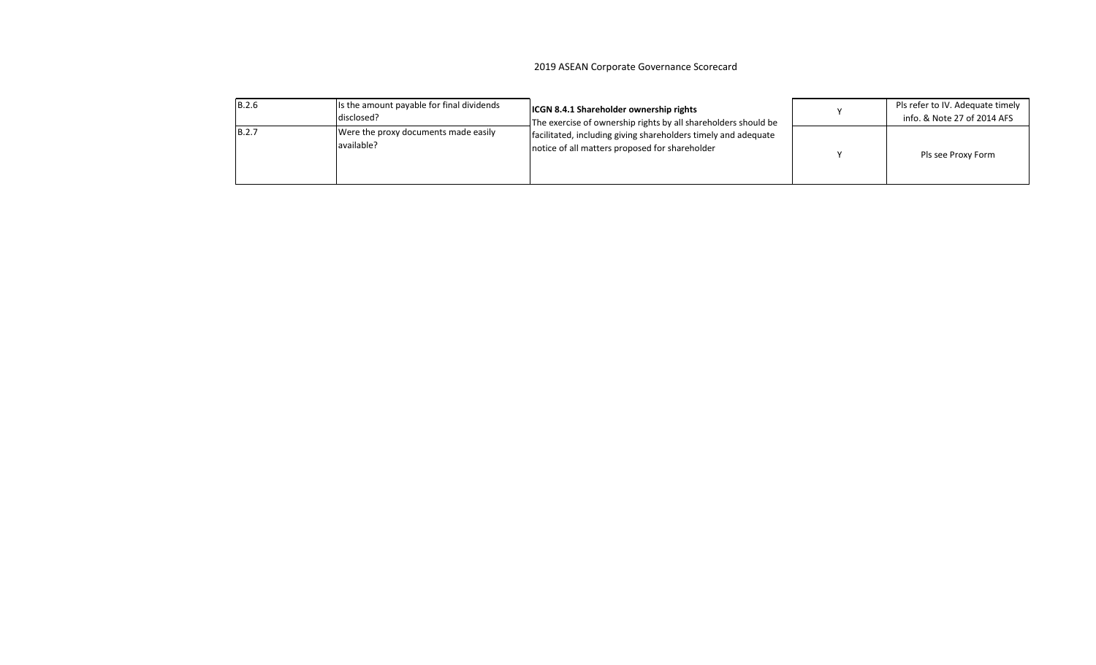#### 2019 ASEAN Corporate Governance Scorecard zuls ASLAN corporate Governance Scorecaru

| <b>B.2.6</b> | Is the amount payable for final dividends<br>disclosed? | <b>ICGN 8.4.1 Shareholder ownership rights</b><br>The exercise of ownership rights by all shareholders should be | Pls refer to IV. Adequate timely<br>info. & Note 27 of 2014 AFS |
|--------------|---------------------------------------------------------|------------------------------------------------------------------------------------------------------------------|-----------------------------------------------------------------|
| <b>B.2.7</b> | Were the proxy documents made easily<br>available?      | facilitated, including giving shareholders timely and adequate<br>notice of all matters proposed for shareholder | Pls see Proxy Form                                              |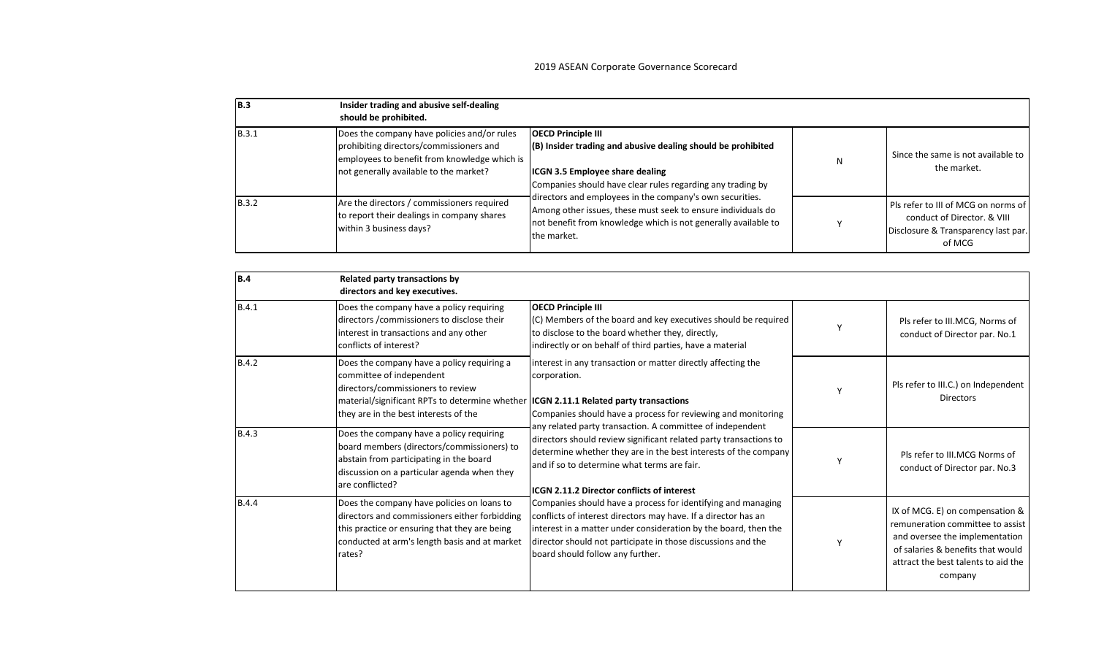| IB.3         | Insider trading and abusive self-dealing<br>should be prohibited.                                                                                                                |                                                                                                                                                                                                                                                                                                                                                                                                                |   |                                                                                                                     |
|--------------|----------------------------------------------------------------------------------------------------------------------------------------------------------------------------------|----------------------------------------------------------------------------------------------------------------------------------------------------------------------------------------------------------------------------------------------------------------------------------------------------------------------------------------------------------------------------------------------------------------|---|---------------------------------------------------------------------------------------------------------------------|
| <b>B.3.1</b> | Does the company have policies and/or rules<br>prohibiting directors/commissioners and<br>employees to benefit from knowledge which is<br>not generally available to the market? | <b>OECD Principle III</b><br>(B) Insider trading and abusive dealing should be prohibited<br><b>ICGN 3.5 Employee share dealing</b><br>Companies should have clear rules regarding any trading by<br>directors and employees in the company's own securities.<br>Among other issues, these must seek to ensure individuals do<br>not benefit from knowledge which is not generally available to<br>the market. | N | Since the same is not available to<br>the market.                                                                   |
| <b>B.3.2</b> | Are the directors / commissioners required<br>to report their dealings in company shares<br>within 3 business days?                                                              |                                                                                                                                                                                                                                                                                                                                                                                                                |   | Pls refer to III of MCG on norms of<br>conduct of Director, & VIII<br>Disclosure & Transparency last par.<br>of MCG |

| B.4          | Related party transactions by<br>directors and key executives.                                                                                                                                                                                       |                                                                                                                                                                                                                                                                                                                                                                                                                                                                                                                                                                                                                 |                                                                                                                                                                                              |
|--------------|------------------------------------------------------------------------------------------------------------------------------------------------------------------------------------------------------------------------------------------------------|-----------------------------------------------------------------------------------------------------------------------------------------------------------------------------------------------------------------------------------------------------------------------------------------------------------------------------------------------------------------------------------------------------------------------------------------------------------------------------------------------------------------------------------------------------------------------------------------------------------------|----------------------------------------------------------------------------------------------------------------------------------------------------------------------------------------------|
| <b>B.4.1</b> | Does the company have a policy requiring<br>directors / commissioners to disclose their<br>interest in transactions and any other<br>conflicts of interest?                                                                                          | <b>OECD Principle III</b><br>(C) Members of the board and key executives should be required<br>to disclose to the board whether they, directly,<br>indirectly or on behalf of third parties, have a material                                                                                                                                                                                                                                                                                                                                                                                                    | Pls refer to III.MCG, Norms of<br>conduct of Director par. No.1                                                                                                                              |
| <b>B.4.2</b> | Does the company have a policy requiring a<br>committee of independent<br>directors/commissioners to review<br>material/significant RPTs to determine whether <b>ICGN 2.11.1 Related party transactions</b><br>they are in the best interests of the | interest in any transaction or matter directly affecting the<br>corporation.<br>Companies should have a process for reviewing and monitoring                                                                                                                                                                                                                                                                                                                                                                                                                                                                    | Pls refer to III.C.) on Independent<br><b>Directors</b>                                                                                                                                      |
| <b>B.4.3</b> | Does the company have a policy requiring<br>board members (directors/commissioners) to<br>abstain from participating in the board<br>discussion on a particular agenda when they<br>are conflicted?                                                  | any related party transaction. A committee of independent<br>directors should review significant related party transactions to<br>determine whether they are in the best interests of the company<br>and if so to determine what terms are fair.<br><b>IICGN 2.11.2 Director conflicts of interest</b><br>Companies should have a process for identifying and managing<br>conflicts of interest directors may have. If a director has an<br>interest in a matter under consideration by the board, then the<br>director should not participate in those discussions and the<br>board should follow any further. | Pls refer to III.MCG Norms of<br>conduct of Director par. No.3                                                                                                                               |
| <b>B.4.4</b> | Does the company have policies on loans to<br>directors and commissioners either forbidding<br>this practice or ensuring that they are being<br>conducted at arm's length basis and at market<br>rates?                                              |                                                                                                                                                                                                                                                                                                                                                                                                                                                                                                                                                                                                                 | IX of MCG. E) on compensation &<br>remuneration committee to assist<br>and oversee the implementation<br>of salaries & benefits that would<br>attract the best talents to aid the<br>company |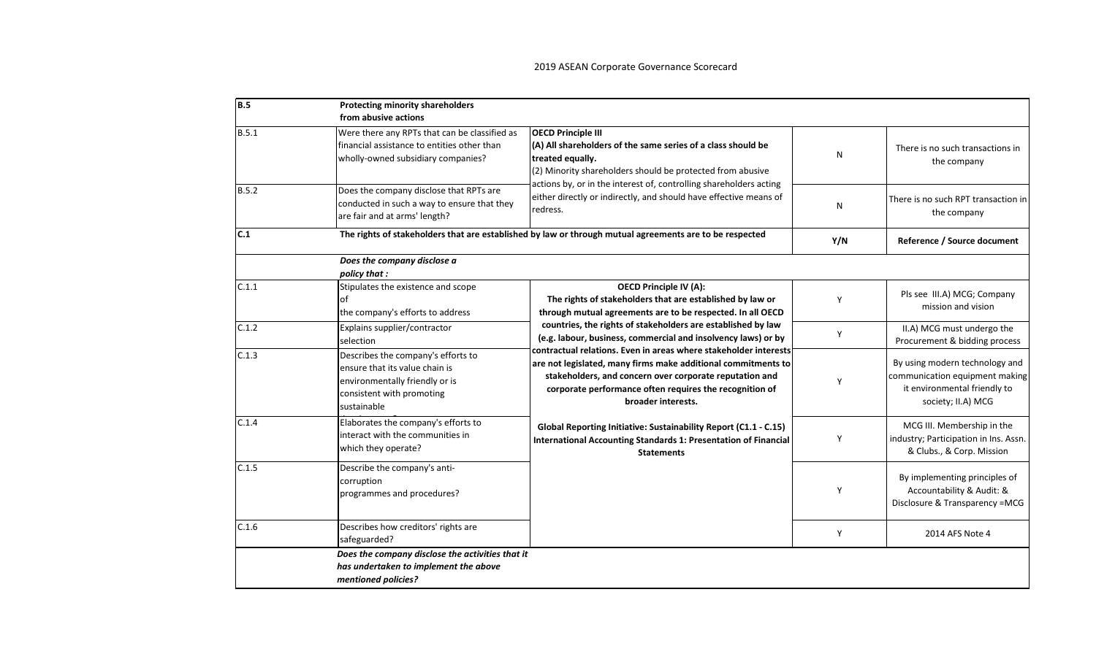| <b>B.5</b> | <b>Protecting minority shareholders</b><br>from abusive actions                                                                                    |                                                                                                                                                                                                                                                                               |     |                                                                                                                        |
|------------|----------------------------------------------------------------------------------------------------------------------------------------------------|-------------------------------------------------------------------------------------------------------------------------------------------------------------------------------------------------------------------------------------------------------------------------------|-----|------------------------------------------------------------------------------------------------------------------------|
| B.5.1      | Were there any RPTs that can be classified as<br>financial assistance to entities other than<br>wholly-owned subsidiary companies?                 | <b>OECD Principle III</b><br>(A) All shareholders of the same series of a class should be<br>treated equally.<br>(2) Minority shareholders should be protected from abusive                                                                                                   | N   | There is no such transactions in<br>the company                                                                        |
| B.5.2      | Does the company disclose that RPTs are<br>conducted in such a way to ensure that they<br>are fair and at arms' length?                            | actions by, or in the interest of, controlling shareholders acting<br>either directly or indirectly, and should have effective means of<br>redress.                                                                                                                           | N   | There is no such RPT transaction in<br>the company                                                                     |
| C.1        |                                                                                                                                                    | The rights of stakeholders that are established by law or through mutual agreements are to be respected                                                                                                                                                                       | Y/N | Reference / Source document                                                                                            |
|            | Does the company disclose a<br>policy that :                                                                                                       |                                                                                                                                                                                                                                                                               |     |                                                                                                                        |
| C.1.1      | Stipulates the existence and scope<br>lof<br>the company's efforts to address                                                                      | <b>OECD Principle IV (A):</b><br>The rights of stakeholders that are established by law or<br>through mutual agreements are to be respected. In all OECD                                                                                                                      | Υ   | Pls see III.A) MCG; Company<br>mission and vision                                                                      |
| C.1.2      | Explains supplier/contractor<br>selection                                                                                                          | countries, the rights of stakeholders are established by law<br>(e.g. labour, business, commercial and insolvency laws) or by                                                                                                                                                 | Y   | II.A) MCG must undergo the<br>Procurement & bidding process                                                            |
| C.1.3      | Describes the company's efforts to<br>ensure that its value chain is<br>environmentally friendly or is<br>consistent with promoting<br>sustainable | contractual relations. Even in areas where stakeholder interests<br>are not legislated, many firms make additional commitments to<br>stakeholders, and concern over corporate reputation and<br>corporate performance often requires the recognition of<br>broader interests. | Y   | By using modern technology and<br>communication equipment making<br>it environmental friendly to<br>society; II.A) MCG |
| C.1.4      | Elaborates the company's efforts to<br>interact with the communities in<br>which they operate?                                                     | Global Reporting Initiative: Sustainability Report (C1.1 - C.15)<br><b>International Accounting Standards 1: Presentation of Financial</b><br><b>Statements</b>                                                                                                               | Υ   | MCG III. Membership in the<br>industry; Participation in Ins. Assn.<br>& Clubs., & Corp. Mission                       |
| C.1.5      | Describe the company's anti-<br>corruption<br>programmes and procedures?                                                                           |                                                                                                                                                                                                                                                                               | Y   | By implementing principles of<br>Accountability & Audit: &<br>Disclosure & Transparency =MCG                           |
| C.1.6      | Describes how creditors' rights are<br>safeguarded?                                                                                                |                                                                                                                                                                                                                                                                               | Y   | 2014 AFS Note 4                                                                                                        |
|            | Does the company disclose the activities that it<br>has undertaken to implement the above<br>mentioned policies?                                   |                                                                                                                                                                                                                                                                               |     |                                                                                                                        |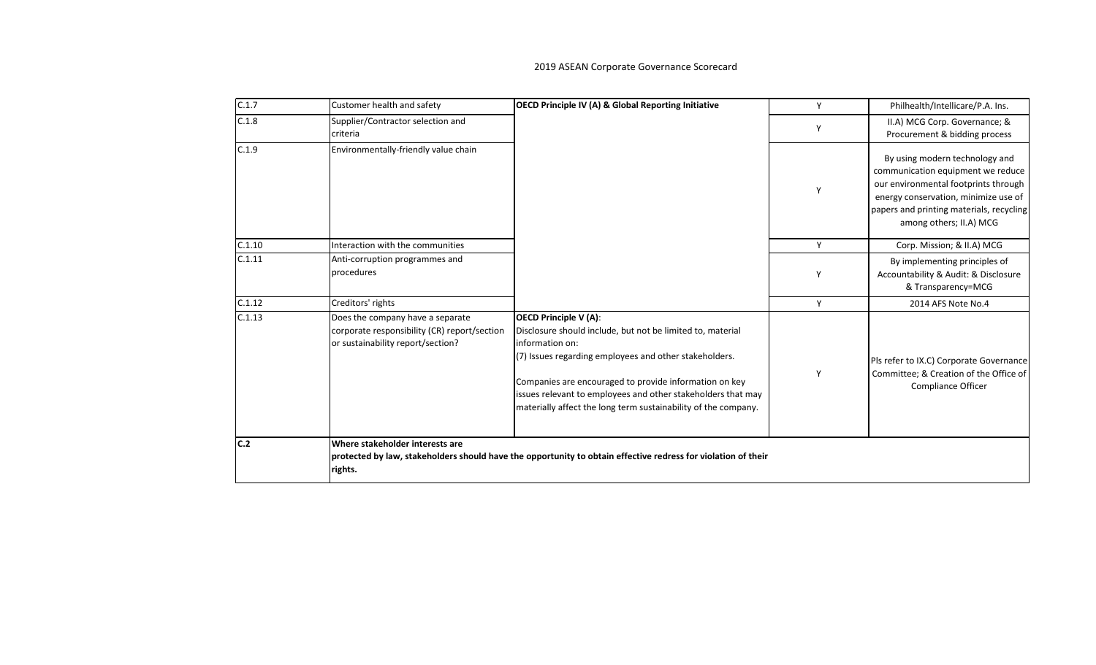| C.1.7  | Customer health and safety                                                                                            | <b>OECD Principle IV (A) &amp; Global Reporting Initiative</b>                                                                                                                                                                                                                                                                                                      | Y | Philhealth/Intellicare/P.A. Ins.                                                                                                                                                                                           |
|--------|-----------------------------------------------------------------------------------------------------------------------|---------------------------------------------------------------------------------------------------------------------------------------------------------------------------------------------------------------------------------------------------------------------------------------------------------------------------------------------------------------------|---|----------------------------------------------------------------------------------------------------------------------------------------------------------------------------------------------------------------------------|
| C.1.8  | Supplier/Contractor selection and<br>criteria                                                                         |                                                                                                                                                                                                                                                                                                                                                                     |   | II.A) MCG Corp. Governance; &<br>Procurement & bidding process                                                                                                                                                             |
| C.1.9  | Environmentally-friendly value chain                                                                                  |                                                                                                                                                                                                                                                                                                                                                                     |   | By using modern technology and<br>communication equipment we reduce<br>our environmental footprints through<br>energy conservation, minimize use of<br>papers and printing materials, recycling<br>among others; II.A) MCG |
| C.1.10 | Interaction with the communities                                                                                      |                                                                                                                                                                                                                                                                                                                                                                     | Y | Corp. Mission; & II.A) MCG                                                                                                                                                                                                 |
| C.1.11 | Anti-corruption programmes and<br>procedures                                                                          |                                                                                                                                                                                                                                                                                                                                                                     | Y | By implementing principles of<br>Accountability & Audit: & Disclosure<br>& Transparency=MCG                                                                                                                                |
| C.1.12 | Creditors' rights                                                                                                     |                                                                                                                                                                                                                                                                                                                                                                     | Y | 2014 AFS Note No.4                                                                                                                                                                                                         |
| C.1.13 | Does the company have a separate<br>corporate responsibility (CR) report/section<br>or sustainability report/section? | <b>OECD Principle V (A):</b><br>Disclosure should include, but not be limited to, material<br>information on:<br>(7) Issues regarding employees and other stakeholders.<br>Companies are encouraged to provide information on key<br>issues relevant to employees and other stakeholders that may<br>materially affect the long term sustainability of the company. | Y | Pls refer to IX.C) Corporate Governance<br>Committee; & Creation of the Office of<br>Compliance Officer                                                                                                                    |
| lc.2   | Where stakeholder interests are<br>rights.                                                                            | protected by law, stakeholders should have the opportunity to obtain effective redress for violation of their                                                                                                                                                                                                                                                       |   |                                                                                                                                                                                                                            |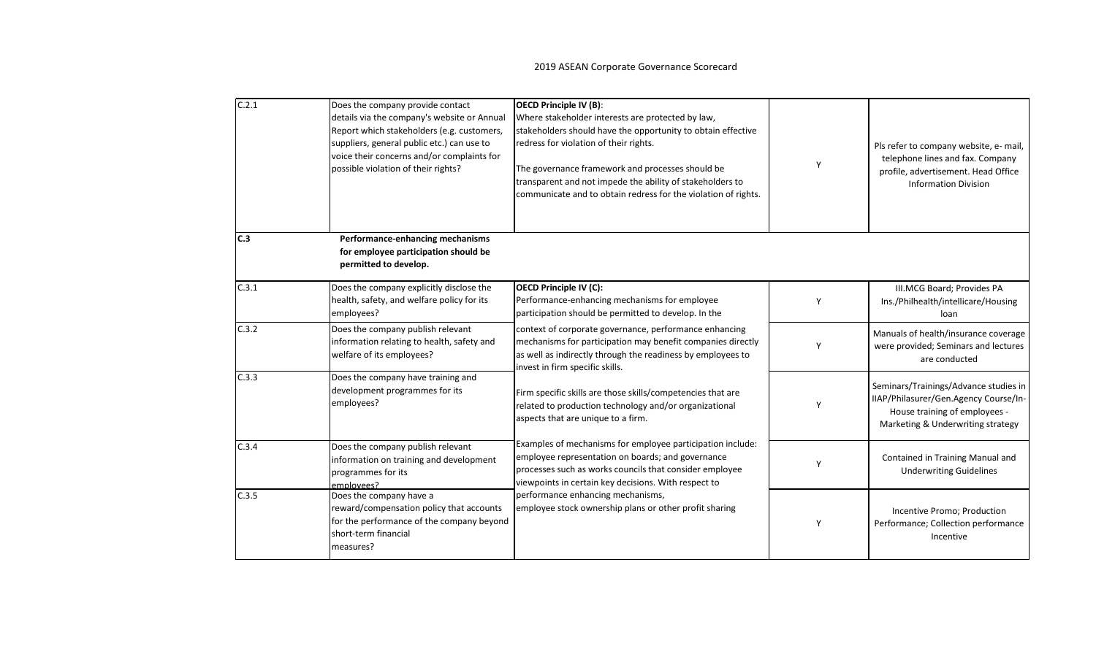| C.2.1 | Does the company provide contact<br>details via the company's website or Annual<br>Report which stakeholders (e.g. customers,<br>suppliers, general public etc.) can use to<br>voice their concerns and/or complaints for<br>possible violation of their rights? | <b>OECD Principle IV (B):</b><br>Where stakeholder interests are protected by law,<br>stakeholders should have the opportunity to obtain effective<br>redress for violation of their rights.<br>The governance framework and processes should be<br>transparent and not impede the ability of stakeholders to<br>communicate and to obtain redress for the violation of rights. |   | Pls refer to company website, e- mail,<br>telephone lines and fax. Company<br>profile, advertisement. Head Office<br><b>Information Division</b>     |
|-------|------------------------------------------------------------------------------------------------------------------------------------------------------------------------------------------------------------------------------------------------------------------|---------------------------------------------------------------------------------------------------------------------------------------------------------------------------------------------------------------------------------------------------------------------------------------------------------------------------------------------------------------------------------|---|------------------------------------------------------------------------------------------------------------------------------------------------------|
| C.3   | Performance-enhancing mechanisms<br>for employee participation should be<br>permitted to develop.                                                                                                                                                                |                                                                                                                                                                                                                                                                                                                                                                                 |   |                                                                                                                                                      |
| C.3.1 | Does the company explicitly disclose the<br>health, safety, and welfare policy for its<br>employees?                                                                                                                                                             | <b>OECD Principle IV (C):</b><br>Performance-enhancing mechanisms for employee<br>participation should be permitted to develop. In the                                                                                                                                                                                                                                          | ۷ | III.MCG Board; Provides PA<br>Ins./Philhealth/intellicare/Housing<br>loan                                                                            |
| C.3.2 | Does the company publish relevant<br>information relating to health, safety and<br>welfare of its employees?                                                                                                                                                     | context of corporate governance, performance enhancing<br>mechanisms for participation may benefit companies directly<br>as well as indirectly through the readiness by employees to<br>invest in firm specific skills.                                                                                                                                                         | v | Manuals of health/insurance coverage<br>were provided; Seminars and lectures<br>are conducted                                                        |
| C.3.3 | Does the company have training and<br>development programmes for its<br>employees?                                                                                                                                                                               | Firm specific skills are those skills/competencies that are<br>related to production technology and/or organizational<br>aspects that are unique to a firm.                                                                                                                                                                                                                     |   | Seminars/Trainings/Advance studies in<br>IIAP/Philasurer/Gen.Agency Course/In-<br>House training of employees -<br>Marketing & Underwriting strategy |
| C.3.4 | Does the company publish relevant<br>information on training and development<br>programmes for its<br>employees?                                                                                                                                                 | Examples of mechanisms for employee participation include:<br>employee representation on boards; and governance<br>processes such as works councils that consider employee<br>viewpoints in certain key decisions. With respect to                                                                                                                                              | Y | Contained in Training Manual and<br><b>Underwriting Guidelines</b>                                                                                   |
| C.3.5 | Does the company have a<br>reward/compensation policy that accounts<br>for the performance of the company beyond<br>short-term financial<br>measures?                                                                                                            | performance enhancing mechanisms,<br>employee stock ownership plans or other profit sharing                                                                                                                                                                                                                                                                                     |   | Incentive Promo; Production<br>Performance; Collection performance<br>Incentive                                                                      |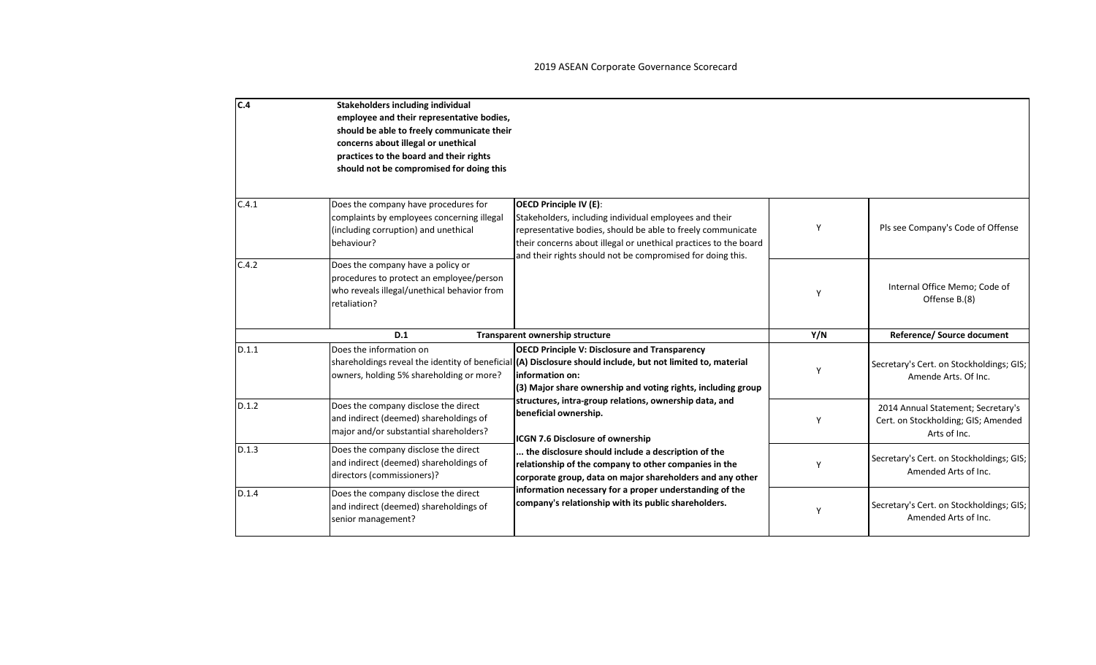| C.4   | Stakeholders including individual<br>employee and their representative bodies,<br>should be able to freely communicate their<br>concerns about illegal or unethical<br>practices to the board and their rights<br>should not be compromised for doing this |                                                                                                                                                                                                                                                                                                                                                                                                                                                                                                                                                                                                                                                                               |     |                                                                                           |
|-------|------------------------------------------------------------------------------------------------------------------------------------------------------------------------------------------------------------------------------------------------------------|-------------------------------------------------------------------------------------------------------------------------------------------------------------------------------------------------------------------------------------------------------------------------------------------------------------------------------------------------------------------------------------------------------------------------------------------------------------------------------------------------------------------------------------------------------------------------------------------------------------------------------------------------------------------------------|-----|-------------------------------------------------------------------------------------------|
| C.4.1 | Does the company have procedures for<br>complaints by employees concerning illegal<br>(including corruption) and unethical<br>behaviour?                                                                                                                   | OECD Principle IV (E):<br>Stakeholders, including individual employees and their<br>representative bodies, should be able to freely communicate<br>their concerns about illegal or unethical practices to the board<br>and their rights should not be compromised for doing this.                                                                                                                                                                                                                                                                                                                                                                                             | Y   | Pls see Company's Code of Offense                                                         |
| C.4.2 | Does the company have a policy or<br>procedures to protect an employee/person<br>who reveals illegal/unethical behavior from<br>retaliation?                                                                                                               |                                                                                                                                                                                                                                                                                                                                                                                                                                                                                                                                                                                                                                                                               | Y   | Internal Office Memo; Code of<br>Offense B.(8)                                            |
|       | D.1                                                                                                                                                                                                                                                        | Transparent ownership structure                                                                                                                                                                                                                                                                                                                                                                                                                                                                                                                                                                                                                                               | Y/N | Reference/ Source document                                                                |
| D.1.1 | Does the information on<br>owners, holding 5% shareholding or more?                                                                                                                                                                                        | <b>OECD Principle V: Disclosure and Transparency</b><br>shareholdings reveal the identity of beneficial (A) Disclosure should include, but not limited to, material<br>linformation on:<br>(3) Major share ownership and voting rights, including group<br>structures, intra-group relations, ownership data, and<br>beneficial ownership.<br>ICGN 7.6 Disclosure of ownership<br>the disclosure should include a description of the<br>relationship of the company to other companies in the<br>corporate group, data on major shareholders and any other<br>information necessary for a proper understanding of the<br>company's relationship with its public shareholders. | Y   | Secretary's Cert. on Stockholdings; GIS;<br>Amende Arts, Of Inc.                          |
| D.1.2 | Does the company disclose the direct<br>and indirect (deemed) shareholdings of<br>major and/or substantial shareholders?                                                                                                                                   |                                                                                                                                                                                                                                                                                                                                                                                                                                                                                                                                                                                                                                                                               | Y   | 2014 Annual Statement; Secretary's<br>Cert. on Stockholding; GIS; Amended<br>Arts of Inc. |
| D.1.3 | Does the company disclose the direct<br>and indirect (deemed) shareholdings of<br>directors (commissioners)?                                                                                                                                               |                                                                                                                                                                                                                                                                                                                                                                                                                                                                                                                                                                                                                                                                               | Υ   | Secretary's Cert. on Stockholdings; GIS;<br>Amended Arts of Inc.                          |
| D.1.4 | Does the company disclose the direct<br>and indirect (deemed) shareholdings of<br>senior management?                                                                                                                                                       |                                                                                                                                                                                                                                                                                                                                                                                                                                                                                                                                                                                                                                                                               | Υ   | Secretary's Cert. on Stockholdings; GIS;<br>Amended Arts of Inc.                          |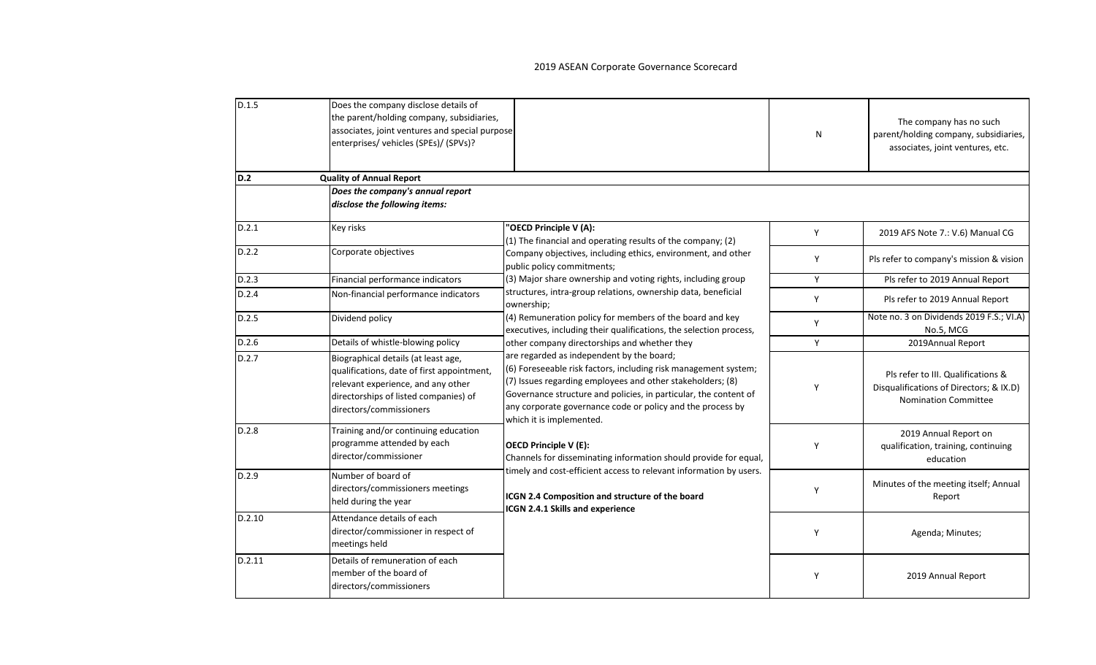| D.1.5  | Does the company disclose details of<br>the parent/holding company, subsidiaries,<br>associates, joint ventures and special purpose<br>enterprises/ vehicles (SPEs)/ (SPVs)?                |                                                                                                                                                                                                                                                                                                                                          | N | The company has no such<br>parent/holding company, subsidiaries,<br>associates, joint ventures, etc.         |
|--------|---------------------------------------------------------------------------------------------------------------------------------------------------------------------------------------------|------------------------------------------------------------------------------------------------------------------------------------------------------------------------------------------------------------------------------------------------------------------------------------------------------------------------------------------|---|--------------------------------------------------------------------------------------------------------------|
| D.2    | <b>Quality of Annual Report</b>                                                                                                                                                             |                                                                                                                                                                                                                                                                                                                                          |   |                                                                                                              |
|        | Does the company's annual report<br>disclose the following items:                                                                                                                           |                                                                                                                                                                                                                                                                                                                                          |   |                                                                                                              |
| D.2.1  | Key risks                                                                                                                                                                                   | "OECD Principle V (A):<br>(1) The financial and operating results of the company; (2)                                                                                                                                                                                                                                                    | Y | 2019 AFS Note 7.: V.6) Manual CG                                                                             |
| D.2.2  | Corporate objectives                                                                                                                                                                        | Company objectives, including ethics, environment, and other<br>public policy commitments;                                                                                                                                                                                                                                               | Y | Pls refer to company's mission & vision                                                                      |
| D.2.3  | Financial performance indicators                                                                                                                                                            | (3) Major share ownership and voting rights, including group                                                                                                                                                                                                                                                                             | Y | Pls refer to 2019 Annual Report                                                                              |
| D.2.4  | Non-financial performance indicators                                                                                                                                                        | structures, intra-group relations, ownership data, beneficial<br>ownership;                                                                                                                                                                                                                                                              | Y | Pls refer to 2019 Annual Report                                                                              |
| D.2.5  | Dividend policy                                                                                                                                                                             | (4) Remuneration policy for members of the board and key<br>executives, including their qualifications, the selection process,                                                                                                                                                                                                           | Y | Note no. 3 on Dividends 2019 F.S.; VI.A)<br>No.5, MCG                                                        |
| D.2.6  | Details of whistle-blowing policy                                                                                                                                                           | other company directorships and whether they                                                                                                                                                                                                                                                                                             | Y | 2019Annual Report                                                                                            |
| D.2.7  | Biographical details (at least age,<br>qualifications, date of first appointment,<br>relevant experience, and any other<br>directorships of listed companies) of<br>directors/commissioners | are regarded as independent by the board;<br>(6) Foreseeable risk factors, including risk management system;<br>(7) Issues regarding employees and other stakeholders; (8)<br>Governance structure and policies, in particular, the content of<br>any corporate governance code or policy and the process by<br>which it is implemented. | Y | Pls refer to III. Qualifications &<br>Disqualifications of Directors; & IX.D)<br><b>Nomination Committee</b> |
| D.2.8  | Training and/or continuing education<br>programme attended by each<br>director/commissioner                                                                                                 | <b>OECD Principle V (E):</b><br>Channels for disseminating information should provide for equal,                                                                                                                                                                                                                                         | Y | 2019 Annual Report on<br>qualification, training, continuing<br>education                                    |
| D.2.9  | Number of board of<br>directors/commissioners meetings<br>held during the year                                                                                                              | timely and cost-efficient access to relevant information by users.<br>ICGN 2.4 Composition and structure of the board<br>ICGN 2.4.1 Skills and experience                                                                                                                                                                                | Y | Minutes of the meeting itself; Annual<br>Report                                                              |
| D.2.10 | Attendance details of each<br>director/commissioner in respect of<br>meetings held                                                                                                          |                                                                                                                                                                                                                                                                                                                                          | Y | Agenda; Minutes;                                                                                             |
| D.2.11 | Details of remuneration of each<br>member of the board of<br>directors/commissioners                                                                                                        |                                                                                                                                                                                                                                                                                                                                          | Y | 2019 Annual Report                                                                                           |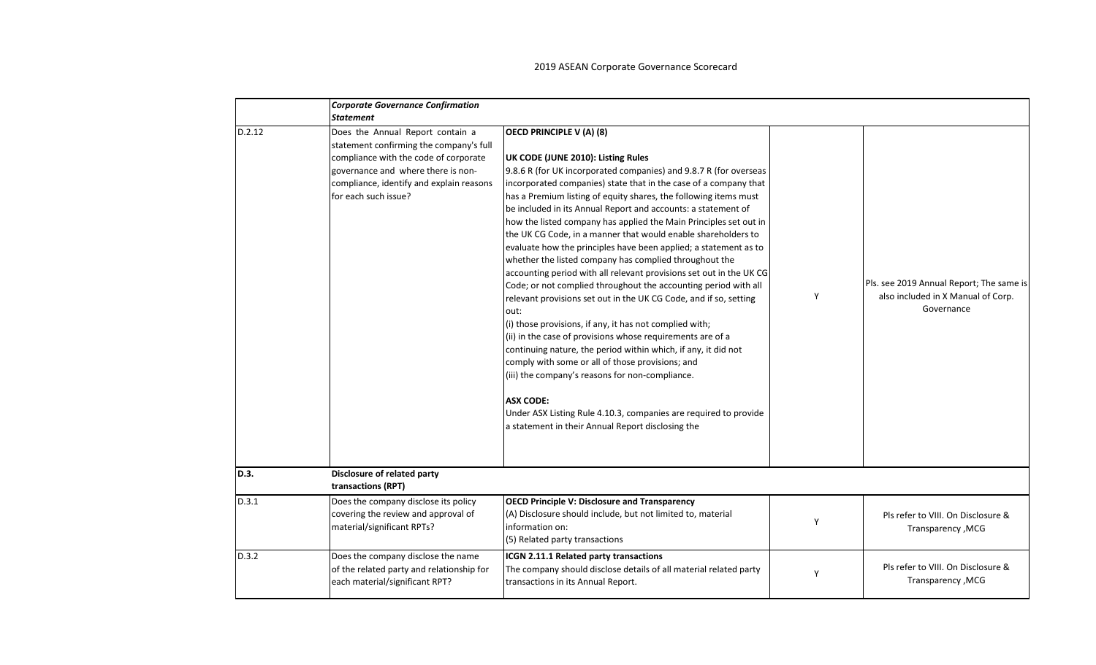|        | <b>Corporate Governance Confirmation</b>                                                                                                                                                                                       |                                                                                                                                                                                                                                                                                                                                                                                                                                                                                                                                                                                                                                                                                                                                                                                                                                                                                                                                                                                                                                                                                                                                                                                                                                                                                               |   |                                                                                              |
|--------|--------------------------------------------------------------------------------------------------------------------------------------------------------------------------------------------------------------------------------|-----------------------------------------------------------------------------------------------------------------------------------------------------------------------------------------------------------------------------------------------------------------------------------------------------------------------------------------------------------------------------------------------------------------------------------------------------------------------------------------------------------------------------------------------------------------------------------------------------------------------------------------------------------------------------------------------------------------------------------------------------------------------------------------------------------------------------------------------------------------------------------------------------------------------------------------------------------------------------------------------------------------------------------------------------------------------------------------------------------------------------------------------------------------------------------------------------------------------------------------------------------------------------------------------|---|----------------------------------------------------------------------------------------------|
|        | <b>Statement</b>                                                                                                                                                                                                               |                                                                                                                                                                                                                                                                                                                                                                                                                                                                                                                                                                                                                                                                                                                                                                                                                                                                                                                                                                                                                                                                                                                                                                                                                                                                                               |   |                                                                                              |
| D.2.12 | Does the Annual Report contain a<br>statement confirming the company's full<br>compliance with the code of corporate<br>governance and where there is non-<br>compliance, identify and explain reasons<br>for each such issue? | <b>OECD PRINCIPLE V (A) (8)</b><br>UK CODE (JUNE 2010): Listing Rules<br>9.8.6 R (for UK incorporated companies) and 9.8.7 R (for overseas<br>incorporated companies) state that in the case of a company that<br>has a Premium listing of equity shares, the following items must<br>be included in its Annual Report and accounts: a statement of<br>how the listed company has applied the Main Principles set out in<br>the UK CG Code, in a manner that would enable shareholders to<br>evaluate how the principles have been applied; a statement as to<br>whether the listed company has complied throughout the<br>accounting period with all relevant provisions set out in the UK CG<br>Code; or not complied throughout the accounting period with all<br>relevant provisions set out in the UK CG Code, and if so, setting<br>out:<br>(i) those provisions, if any, it has not complied with;<br>(ii) in the case of provisions whose requirements are of a<br>continuing nature, the period within which, if any, it did not<br>comply with some or all of those provisions; and<br>(iii) the company's reasons for non-compliance.<br><b>ASX CODE:</b><br>Under ASX Listing Rule 4.10.3, companies are required to provide<br>a statement in their Annual Report disclosing the | Y | Pls. see 2019 Annual Report; The same is<br>also included in X Manual of Corp.<br>Governance |
| D.3.   | Disclosure of related party<br>transactions (RPT)                                                                                                                                                                              |                                                                                                                                                                                                                                                                                                                                                                                                                                                                                                                                                                                                                                                                                                                                                                                                                                                                                                                                                                                                                                                                                                                                                                                                                                                                                               |   |                                                                                              |
| D.3.1  | Does the company disclose its policy                                                                                                                                                                                           | <b>OECD Principle V: Disclosure and Transparency</b>                                                                                                                                                                                                                                                                                                                                                                                                                                                                                                                                                                                                                                                                                                                                                                                                                                                                                                                                                                                                                                                                                                                                                                                                                                          |   |                                                                                              |
|        | covering the review and approval of<br>material/significant RPTs?                                                                                                                                                              | (A) Disclosure should include, but not limited to, material<br>information on:<br>(5) Related party transactions                                                                                                                                                                                                                                                                                                                                                                                                                                                                                                                                                                                                                                                                                                                                                                                                                                                                                                                                                                                                                                                                                                                                                                              | Y | Pls refer to VIII. On Disclosure &<br>Transparency, MCG                                      |
| D.3.2  | Does the company disclose the name<br>of the related party and relationship for<br>each material/significant RPT?                                                                                                              | ICGN 2.11.1 Related party transactions<br>The company should disclose details of all material related party<br>transactions in its Annual Report.                                                                                                                                                                                                                                                                                                                                                                                                                                                                                                                                                                                                                                                                                                                                                                                                                                                                                                                                                                                                                                                                                                                                             | Y | Pls refer to VIII. On Disclosure &<br>Transparency, MCG                                      |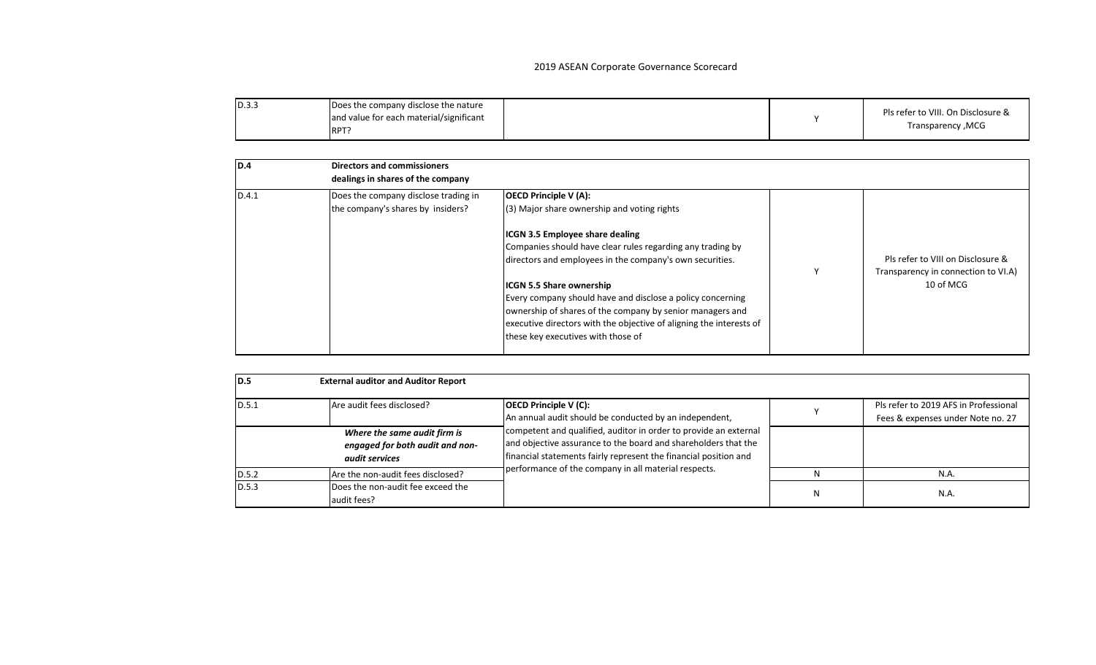| D.3.5 | Does the company disclose the nature<br>and value for each material/significant<br>RPT <sub>1</sub> |  |  | Pls refer to VIII. On Disclosure &<br>Transparency, MCG |
|-------|-----------------------------------------------------------------------------------------------------|--|--|---------------------------------------------------------|
|-------|-----------------------------------------------------------------------------------------------------|--|--|---------------------------------------------------------|

| ID.4  | <b>Directors and commissioners</b><br>dealings in shares of the company   |                                                                                                                                                                                                                                                                                                                                                                                                                                                                                                                            |                                                                                       |
|-------|---------------------------------------------------------------------------|----------------------------------------------------------------------------------------------------------------------------------------------------------------------------------------------------------------------------------------------------------------------------------------------------------------------------------------------------------------------------------------------------------------------------------------------------------------------------------------------------------------------------|---------------------------------------------------------------------------------------|
| D.4.1 | Does the company disclose trading in<br>the company's shares by insiders? | <b>OECD Principle V (A):</b><br>(3) Major share ownership and voting rights<br><b>ICGN 3.5 Employee share dealing</b><br>Companies should have clear rules regarding any trading by<br>directors and employees in the company's own securities.<br><b>ICGN 5.5 Share ownership</b><br>Every company should have and disclose a policy concerning<br>ownership of shares of the company by senior managers and<br>executive directors with the objective of aligning the interests of<br>these key executives with those of | Pls refer to VIII on Disclosure &<br>Transparency in connection to VI.A)<br>10 of MCG |

| ID.5   | <b>External auditor and Auditor Report</b>                                        |                                                                                                                                                                                                        |   |                                                                            |
|--------|-----------------------------------------------------------------------------------|--------------------------------------------------------------------------------------------------------------------------------------------------------------------------------------------------------|---|----------------------------------------------------------------------------|
| ID.5.1 | Are audit fees disclosed?                                                         | <b>OECD Principle V (C):</b><br>An annual audit should be conducted by an independent,                                                                                                                 |   | Pls refer to 2019 AFS in Professional<br>Fees & expenses under Note no. 27 |
|        | Where the same audit firm is<br>engaged for both audit and non-<br>audit services | competent and qualified, auditor in order to provide an external<br>and objective assurance to the board and shareholders that the<br>financial statements fairly represent the financial position and |   |                                                                            |
| D.5.2  | Are the non-audit fees disclosed?                                                 | performance of the company in all material respects.                                                                                                                                                   |   | N.A                                                                        |
| D.5.3  | Does the non-audit fee exceed the<br>audit fees?                                  |                                                                                                                                                                                                        | N | N.A.                                                                       |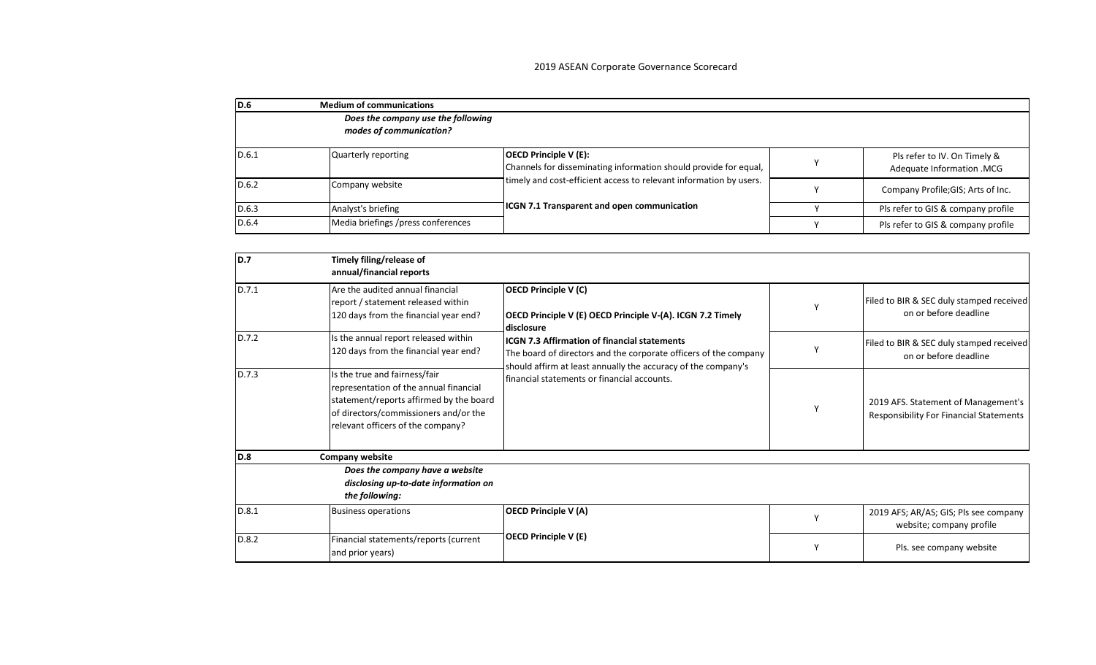| ID.6  | <b>Medium of communications</b>                               |                                                                                                  |  |                                                           |  |
|-------|---------------------------------------------------------------|--------------------------------------------------------------------------------------------------|--|-----------------------------------------------------------|--|
|       | Does the company use the following<br>modes of communication? |                                                                                                  |  |                                                           |  |
|       |                                                               |                                                                                                  |  |                                                           |  |
| D.6.1 | Quarterly reporting                                           | <b>OECD Principle V (E):</b><br>Channels for disseminating information should provide for equal, |  | Pls refer to IV. On Timely &<br>Adequate Information .MCG |  |
| D.6.2 | Company website                                               | timely and cost-efficient access to relevant information by users.                               |  | Company Profile; GIS; Arts of Inc.                        |  |
| D.6.3 | Analyst's briefing                                            | <b>ICGN 7.1 Transparent and open communication</b>                                               |  | Pls refer to GIS & company profile                        |  |
| D.6.4 | Media briefings /press conferences                            |                                                                                                  |  | Pls refer to GIS & company profile                        |  |

| ld.7  | Timely filing/release of<br>annual/financial reports                                                                                                                                             |                                                                                                                                                                                          |                                                                                       |
|-------|--------------------------------------------------------------------------------------------------------------------------------------------------------------------------------------------------|------------------------------------------------------------------------------------------------------------------------------------------------------------------------------------------|---------------------------------------------------------------------------------------|
| D.7.1 | Are the audited annual financial<br>report / statement released within<br>120 days from the financial year end?                                                                                  | <b>OECD Principle V (C)</b><br>OECD Principle V (E) OECD Principle V-(A). ICGN 7.2 Timely<br>disclosure                                                                                  | Filed to BIR & SEC duly stamped received<br>on or before deadline                     |
| D.7.2 | Is the annual report released within<br>120 days from the financial year end?                                                                                                                    | <b>ICGN 7.3 Affirmation of financial statements</b><br>The board of directors and the corporate officers of the company<br>should affirm at least annually the accuracy of the company's | Filed to BIR & SEC duly stamped received<br>on or before deadline                     |
| D.7.3 | Is the true and fairness/fair<br>representation of the annual financial<br>statement/reports affirmed by the board<br>of directors/commissioners and/or the<br>relevant officers of the company? | financial statements or financial accounts.                                                                                                                                              | 2019 AFS. Statement of Management's<br><b>Responsibility For Financial Statements</b> |
| ID.8  | Company website                                                                                                                                                                                  |                                                                                                                                                                                          |                                                                                       |
|       | Does the company have a website<br>disclosing up-to-date information on<br>the following:                                                                                                        |                                                                                                                                                                                          |                                                                                       |
| D.8.1 | <b>Business operations</b>                                                                                                                                                                       | <b>OECD Principle V (A)</b>                                                                                                                                                              | 2019 AFS; AR/AS; GIS; Pls see company<br>website; company profile                     |
| D.8.2 | Financial statements/reports (current<br>and prior years)                                                                                                                                        | <b>OECD Principle V (E)</b>                                                                                                                                                              | Pls. see company website                                                              |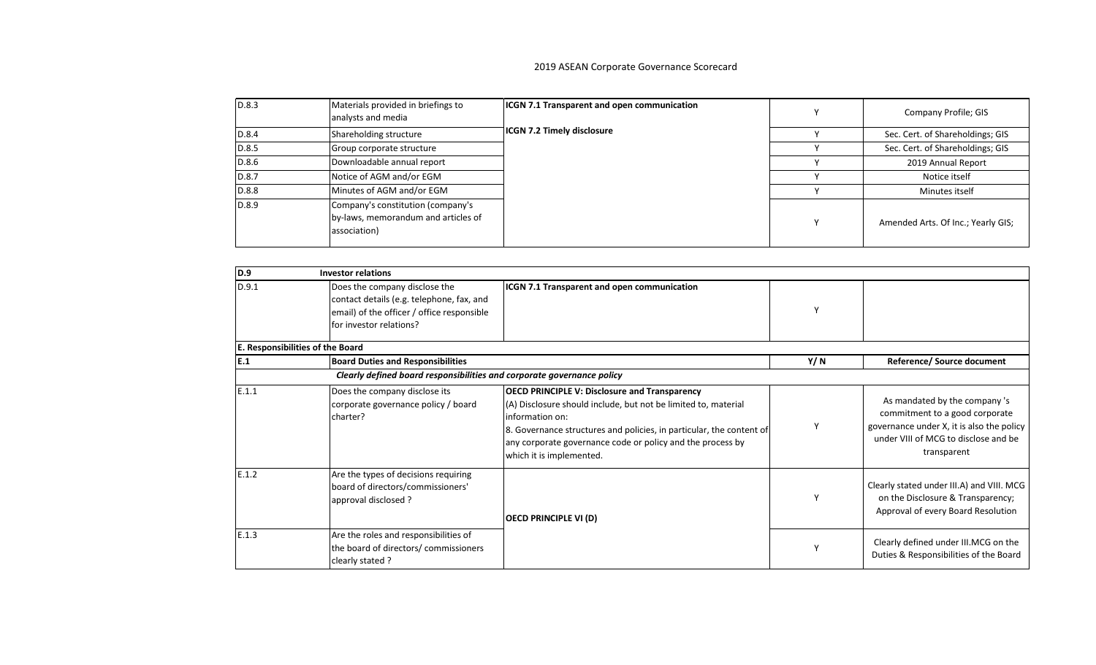| D.8.3 | Materials provided in briefings to<br>analysts and media                                 | <b>ICGN 7.1 Transparent and open communication</b> | Company Profile; GIS               |
|-------|------------------------------------------------------------------------------------------|----------------------------------------------------|------------------------------------|
| D.8.4 | Shareholding structure                                                                   | <b>ICGN 7.2 Timely disclosure</b>                  | Sec. Cert. of Shareholdings; GIS   |
| D.8.5 | Group corporate structure                                                                |                                                    | Sec. Cert. of Shareholdings; GIS   |
| D.8.6 | Downloadable annual report                                                               |                                                    | 2019 Annual Report                 |
| D.8.7 | Notice of AGM and/or EGM                                                                 |                                                    | Notice itself                      |
| D.8.8 | Minutes of AGM and/or EGM                                                                |                                                    | Minutes itself                     |
| D.8.9 | Company's constitution (company's<br>by-laws, memorandum and articles of<br>association) |                                                    | Amended Arts. Of Inc.; Yearly GIS; |

| D.9   | <b>Investor relations</b>                                                                                                                           |                                                                                                                                                                                                                                                                                                             |      |                                                                                                                                                                     |
|-------|-----------------------------------------------------------------------------------------------------------------------------------------------------|-------------------------------------------------------------------------------------------------------------------------------------------------------------------------------------------------------------------------------------------------------------------------------------------------------------|------|---------------------------------------------------------------------------------------------------------------------------------------------------------------------|
| D.9.1 | Does the company disclose the<br>contact details (e.g. telephone, fax, and<br>email) of the officer / office responsible<br>for investor relations? | <b>ICGN 7.1 Transparent and open communication</b>                                                                                                                                                                                                                                                          |      |                                                                                                                                                                     |
|       | E. Responsibilities of the Board                                                                                                                    |                                                                                                                                                                                                                                                                                                             |      |                                                                                                                                                                     |
| E.1   | <b>Board Duties and Responsibilities</b>                                                                                                            |                                                                                                                                                                                                                                                                                                             | Y/ N | <b>Reference/ Source document</b>                                                                                                                                   |
|       | Clearly defined board responsibilities and corporate governance policy                                                                              |                                                                                                                                                                                                                                                                                                             |      |                                                                                                                                                                     |
| E.1.1 | Does the company disclose its<br>corporate governance policy / board<br>charter?                                                                    | <b>OECD PRINCIPLE V: Disclosure and Transparency</b><br>(A) Disclosure should include, but not be limited to, material<br>information on:<br>8. Governance structures and policies, in particular, the content of<br>any corporate governance code or policy and the process by<br>which it is implemented. |      | As mandated by the company 's<br>commitment to a good corporate<br>governance under X, it is also the policy<br>under VIII of MCG to disclose and be<br>transparent |
| E.1.2 | Are the types of decisions requiring<br>board of directors/commissioners'<br>approval disclosed ?                                                   | <b>OECD PRINCIPLE VI (D)</b>                                                                                                                                                                                                                                                                                |      | Clearly stated under III.A) and VIII. MCG<br>on the Disclosure & Transparency;<br>Approval of every Board Resolution                                                |
| E.1.3 | Are the roles and responsibilities of<br>the board of directors/ commissioners<br>clearly stated ?                                                  |                                                                                                                                                                                                                                                                                                             |      | Clearly defined under III.MCG on the<br>Duties & Responsibilities of the Board                                                                                      |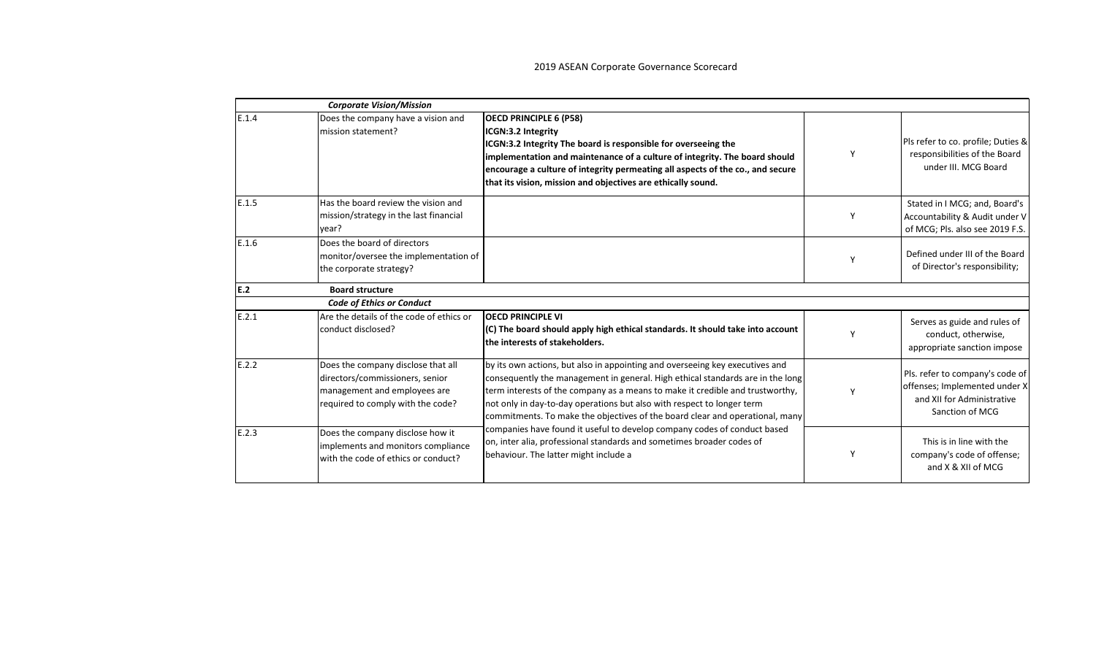|       | <b>Corporate Vision/Mission</b>                                                                                                            |                                                                                                                                                                                                                                                                                                                                                                                                                                                                                                                                                                                                         |   |                                                                                                                   |
|-------|--------------------------------------------------------------------------------------------------------------------------------------------|---------------------------------------------------------------------------------------------------------------------------------------------------------------------------------------------------------------------------------------------------------------------------------------------------------------------------------------------------------------------------------------------------------------------------------------------------------------------------------------------------------------------------------------------------------------------------------------------------------|---|-------------------------------------------------------------------------------------------------------------------|
| E.1.4 | Does the company have a vision and<br>mission statement?                                                                                   | <b>OECD PRINCIPLE 6 (P58)</b><br>ICGN:3.2 Integrity<br>ICGN:3.2 Integrity The board is responsible for overseeing the<br>implementation and maintenance of a culture of integrity. The board should<br>encourage a culture of integrity permeating all aspects of the co., and secure<br>that its vision, mission and objectives are ethically sound.                                                                                                                                                                                                                                                   | Y | Pls refer to co. profile; Duties &<br>responsibilities of the Board<br>under III. MCG Board                       |
| E.1.5 | Has the board review the vision and<br>mission/strategy in the last financial<br>year?                                                     |                                                                                                                                                                                                                                                                                                                                                                                                                                                                                                                                                                                                         | Y | Stated in I MCG; and, Board's<br>Accountability & Audit under V<br>of MCG; Pls. also see 2019 F.S.                |
| E.1.6 | Does the board of directors<br>monitor/oversee the implementation of<br>the corporate strategy?                                            |                                                                                                                                                                                                                                                                                                                                                                                                                                                                                                                                                                                                         | Y | Defined under III of the Board<br>of Director's responsibility;                                                   |
| E.2   | <b>Board structure</b>                                                                                                                     |                                                                                                                                                                                                                                                                                                                                                                                                                                                                                                                                                                                                         |   |                                                                                                                   |
|       | <b>Code of Ethics or Conduct</b>                                                                                                           |                                                                                                                                                                                                                                                                                                                                                                                                                                                                                                                                                                                                         |   |                                                                                                                   |
| E.2.1 | Are the details of the code of ethics or<br>conduct disclosed?                                                                             | <b>OECD PRINCIPLE VI</b><br>(C) The board should apply high ethical standards. It should take into account<br>the interests of stakeholders.                                                                                                                                                                                                                                                                                                                                                                                                                                                            |   | Serves as guide and rules of<br>conduct, otherwise,<br>appropriate sanction impose                                |
| E.2.2 | Does the company disclose that all<br>directors/commissioners, senior<br>management and employees are<br>required to comply with the code? | by its own actions, but also in appointing and overseeing key executives and<br>consequently the management in general. High ethical standards are in the long<br>term interests of the company as a means to make it credible and trustworthy,<br>not only in day-to-day operations but also with respect to longer term<br>commitments. To make the objectives of the board clear and operational, many<br>companies have found it useful to develop company codes of conduct based<br>on, inter alia, professional standards and sometimes broader codes of<br>behaviour. The latter might include a |   | Pls. refer to company's code of<br>offenses; Implemented under X<br>and XII for Administrative<br>Sanction of MCG |
| E.2.3 | Does the company disclose how it<br>implements and monitors compliance<br>with the code of ethics or conduct?                              |                                                                                                                                                                                                                                                                                                                                                                                                                                                                                                                                                                                                         | Y | This is in line with the<br>company's code of offense;<br>and X & XII of MCG                                      |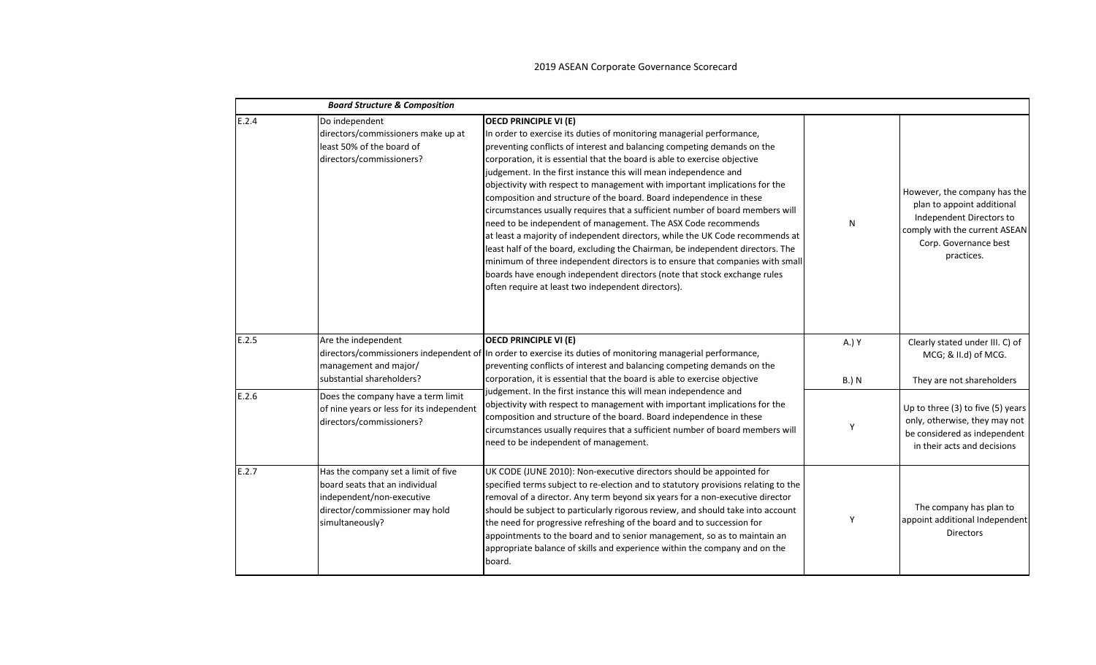|       | <b>Board Structure &amp; Composition</b>                                                                                                                |                                                                                                                                                                                                                                                                                                                                                                                                                                                                                                                                                                                                                                                                                                                                                                                                                                                                                                                                                                                                                                |                       |                                                                                                                                                                |
|-------|---------------------------------------------------------------------------------------------------------------------------------------------------------|--------------------------------------------------------------------------------------------------------------------------------------------------------------------------------------------------------------------------------------------------------------------------------------------------------------------------------------------------------------------------------------------------------------------------------------------------------------------------------------------------------------------------------------------------------------------------------------------------------------------------------------------------------------------------------------------------------------------------------------------------------------------------------------------------------------------------------------------------------------------------------------------------------------------------------------------------------------------------------------------------------------------------------|-----------------------|----------------------------------------------------------------------------------------------------------------------------------------------------------------|
| E.2.4 | Do independent<br>directors/commissioners make up at<br>least 50% of the board of<br>directors/commissioners?                                           | <b>OECD PRINCIPLE VI (E)</b><br>In order to exercise its duties of monitoring managerial performance,<br>preventing conflicts of interest and balancing competing demands on the<br>corporation, it is essential that the board is able to exercise objective<br>judgement. In the first instance this will mean independence and<br>objectivity with respect to management with important implications for the<br>composition and structure of the board. Board independence in these<br>circumstances usually requires that a sufficient number of board members will<br>need to be independent of management. The ASX Code recommends<br>at least a majority of independent directors, while the UK Code recommends at<br>least half of the board, excluding the Chairman, be independent directors. The<br>minimum of three independent directors is to ensure that companies with small<br>boards have enough independent directors (note that stock exchange rules<br>often require at least two independent directors). | N                     | However, the company has the<br>plan to appoint additional<br>Independent Directors to<br>comply with the current ASEAN<br>Corp. Governance best<br>practices. |
| E.2.5 | Are the independent<br>management and major/<br>substantial shareholders?                                                                               | <b>OECD PRINCIPLE VI (E)</b><br>directors/commissioners independent of In order to exercise its duties of monitoring managerial performance,<br>preventing conflicts of interest and balancing competing demands on the<br>corporation, it is essential that the board is able to exercise objective                                                                                                                                                                                                                                                                                                                                                                                                                                                                                                                                                                                                                                                                                                                           | A.) Y<br><b>B.) N</b> | Clearly stated under III. C) of<br>MCG; & II.d) of MCG.<br>They are not shareholders                                                                           |
| E.2.6 | Does the company have a term limit<br>of nine years or less for its independent<br>directors/commissioners?                                             | judgement. In the first instance this will mean independence and<br>objectivity with respect to management with important implications for the<br>composition and structure of the board. Board independence in these<br>circumstances usually requires that a sufficient number of board members will<br>need to be independent of management.                                                                                                                                                                                                                                                                                                                                                                                                                                                                                                                                                                                                                                                                                | Y                     | Up to three (3) to five (5) years<br>only, otherwise, they may not<br>be considered as independent<br>in their acts and decisions                              |
| E.2.7 | Has the company set a limit of five<br>board seats that an individual<br>independent/non-executive<br>director/commissioner may hold<br>simultaneously? | UK CODE (JUNE 2010): Non-executive directors should be appointed for<br>specified terms subject to re-election and to statutory provisions relating to the<br>removal of a director. Any term beyond six years for a non-executive director<br>should be subject to particularly rigorous review, and should take into account<br>the need for progressive refreshing of the board and to succession for<br>appointments to the board and to senior management, so as to maintain an<br>appropriate balance of skills and experience within the company and on the<br>board.                                                                                                                                                                                                                                                                                                                                                                                                                                                   | Y                     | The company has plan to<br>appoint additional Independent<br><b>Directors</b>                                                                                  |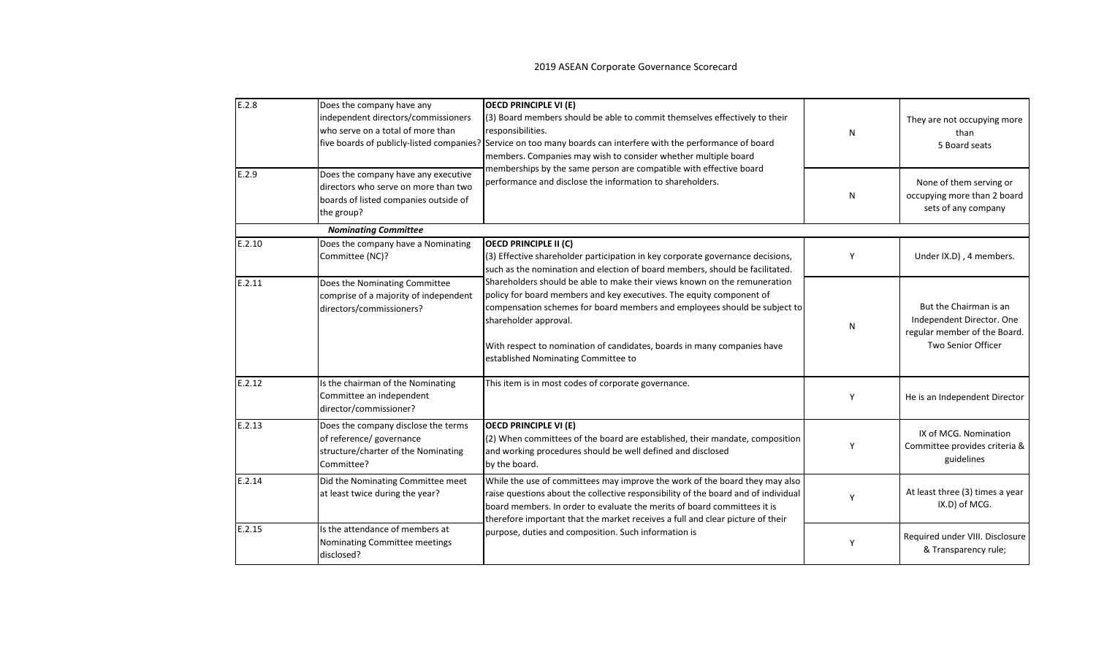| E.2.8  | Does the company have any<br>independent directors/commissioners<br>who serve on a total of more than<br>five boards of publicly-listed companies? | <b>OECD PRINCIPLE VI (E)</b><br>(3) Board members should be able to commit themselves effectively to their<br>responsibilities.<br>Service on too many boards can interfere with the performance of board<br>members. Companies may wish to consider whether multiple board<br>memberships by the same person are compatible with effective board<br>performance and disclose the information to shareholders. | N | They are not occupying more<br>than<br>5 Board seats                                                      |
|--------|----------------------------------------------------------------------------------------------------------------------------------------------------|----------------------------------------------------------------------------------------------------------------------------------------------------------------------------------------------------------------------------------------------------------------------------------------------------------------------------------------------------------------------------------------------------------------|---|-----------------------------------------------------------------------------------------------------------|
| E.2.9  | Does the company have any executive<br>directors who serve on more than two<br>boards of listed companies outside of<br>the group?                 |                                                                                                                                                                                                                                                                                                                                                                                                                | N | None of them serving or<br>occupying more than 2 board<br>sets of any company                             |
|        | <b>Nominating Committee</b>                                                                                                                        |                                                                                                                                                                                                                                                                                                                                                                                                                |   |                                                                                                           |
| E.2.10 | Does the company have a Nominating<br>Committee (NC)?                                                                                              | OECD PRINCIPLE II (C)<br>(3) Effective shareholder participation in key corporate governance decisions,<br>such as the nomination and election of board members, should be facilitated.                                                                                                                                                                                                                        | Y | Under IX.D), 4 members.                                                                                   |
| E.2.11 | Does the Nominating Committee<br>comprise of a majority of independent<br>directors/commissioners?                                                 | Shareholders should be able to make their views known on the remuneration<br>policy for board members and key executives. The equity component of<br>compensation schemes for board members and employees should be subject to<br>shareholder approval.<br>With respect to nomination of candidates, boards in many companies have<br>established Nominating Committee to                                      | N | But the Chairman is an<br>Independent Director. One<br>regular member of the Board.<br>Two Senior Officer |
| E.2.12 | Is the chairman of the Nominating<br>Committee an independent<br>director/commissioner?                                                            | This item is in most codes of corporate governance.                                                                                                                                                                                                                                                                                                                                                            | Υ | He is an Independent Director                                                                             |
| E.2.13 | Does the company disclose the terms<br>of reference/ governance<br>structure/charter of the Nominating<br>Committee?                               | <b>OECD PRINCIPLE VI (E)</b><br>(2) When committees of the board are established, their mandate, composition<br>and working procedures should be well defined and disclosed<br>by the board.                                                                                                                                                                                                                   | Υ | IX of MCG. Nomination<br>Committee provides criteria &<br>guidelines                                      |
| E.2.14 | Did the Nominating Committee meet<br>at least twice during the year?                                                                               | While the use of committees may improve the work of the board they may also<br>raise questions about the collective responsibility of the board and of individual<br>board members. In order to evaluate the merits of board committees it is<br>therefore important that the market receives a full and clear picture of their                                                                                | γ | At least three (3) times a year<br>IX.D) of MCG.                                                          |
| E.2.15 | Is the attendance of members at<br>Nominating Committee meetings<br>disclosed?                                                                     | purpose, duties and composition. Such information is                                                                                                                                                                                                                                                                                                                                                           | Y | Required under VIII. Disclosure<br>& Transparency rule;                                                   |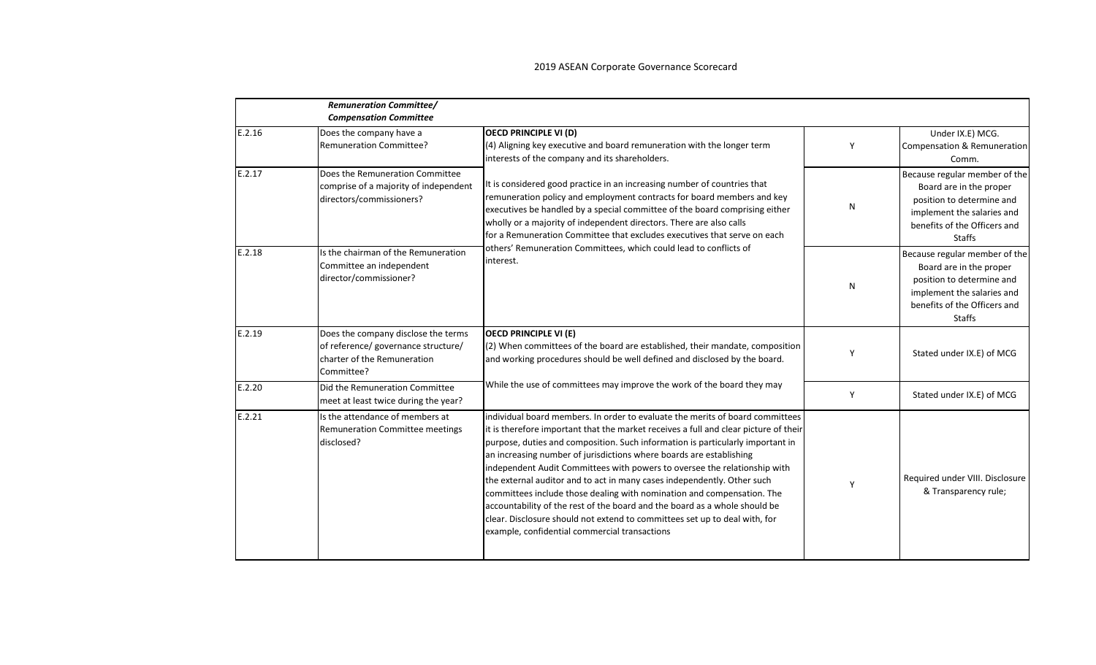|        | <b>Remuneration Committee/</b><br><b>Compensation Committee</b>                                                         |                                                                                                                                                                                                                                                                                                                                                                                                                                                                                                                                                                                                                                                                                                                                                                               |   |                                                                                                                                                                      |
|--------|-------------------------------------------------------------------------------------------------------------------------|-------------------------------------------------------------------------------------------------------------------------------------------------------------------------------------------------------------------------------------------------------------------------------------------------------------------------------------------------------------------------------------------------------------------------------------------------------------------------------------------------------------------------------------------------------------------------------------------------------------------------------------------------------------------------------------------------------------------------------------------------------------------------------|---|----------------------------------------------------------------------------------------------------------------------------------------------------------------------|
| E.2.16 | Does the company have a<br><b>Remuneration Committee?</b>                                                               | <b>OECD PRINCIPLE VI (D)</b><br>(4) Aligning key executive and board remuneration with the longer term<br>interests of the company and its shareholders.                                                                                                                                                                                                                                                                                                                                                                                                                                                                                                                                                                                                                      | Y | Under IX.E) MCG.<br>Compensation & Remuneration<br>Comm.                                                                                                             |
| E.2.17 | Does the Remuneration Committee<br>comprise of a majority of independent<br>directors/commissioners?                    | It is considered good practice in an increasing number of countries that<br>remuneration policy and employment contracts for board members and key<br>executives be handled by a special committee of the board comprising either<br>wholly or a majority of independent directors. There are also calls<br>for a Remuneration Committee that excludes executives that serve on each<br>others' Remuneration Committees, which could lead to conflicts of<br>interest.                                                                                                                                                                                                                                                                                                        | N | Because regular member of the<br>Board are in the proper<br>position to determine and<br>implement the salaries and<br>benefits of the Officers and<br><b>Staffs</b> |
| E.2.18 | Is the chairman of the Remuneration<br>Committee an independent<br>director/commissioner?                               |                                                                                                                                                                                                                                                                                                                                                                                                                                                                                                                                                                                                                                                                                                                                                                               | N | Because regular member of the<br>Board are in the proper<br>position to determine and<br>implement the salaries and<br>benefits of the Officers and<br><b>Staffs</b> |
| E.2.19 | Does the company disclose the terms<br>of reference/ governance structure/<br>charter of the Remuneration<br>Committee? | <b>OECD PRINCIPLE VI (E)</b><br>(2) When committees of the board are established, their mandate, composition<br>and working procedures should be well defined and disclosed by the board.                                                                                                                                                                                                                                                                                                                                                                                                                                                                                                                                                                                     | Y | Stated under IX.E) of MCG                                                                                                                                            |
| E.2.20 | Did the Remuneration Committee<br>meet at least twice during the year?                                                  | While the use of committees may improve the work of the board they may                                                                                                                                                                                                                                                                                                                                                                                                                                                                                                                                                                                                                                                                                                        | Y | Stated under IX.E) of MCG                                                                                                                                            |
| E.2.21 | Is the attendance of members at<br><b>Remuneration Committee meetings</b><br>disclosed?                                 | individual board members. In order to evaluate the merits of board committees<br>it is therefore important that the market receives a full and clear picture of their<br>purpose, duties and composition. Such information is particularly important in<br>an increasing number of jurisdictions where boards are establishing<br>independent Audit Committees with powers to oversee the relationship with<br>the external auditor and to act in many cases independently. Other such<br>committees include those dealing with nomination and compensation. The<br>accountability of the rest of the board and the board as a whole should be<br>clear. Disclosure should not extend to committees set up to deal with, for<br>example, confidential commercial transactions | γ | Required under VIII. Disclosure<br>& Transparency rule;                                                                                                              |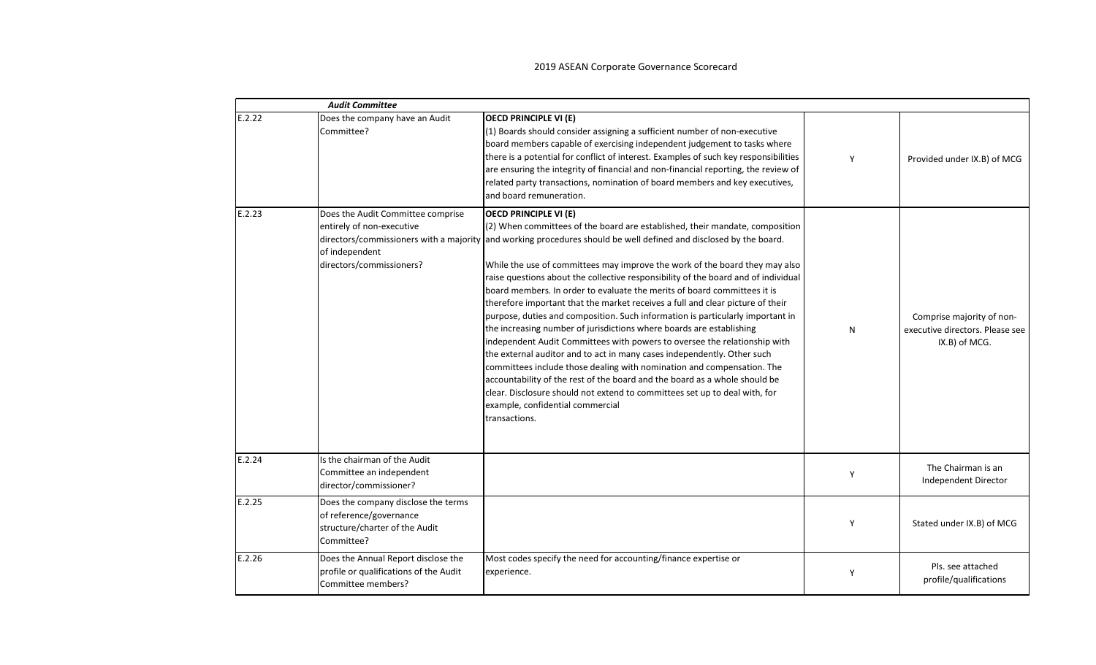|        | <b>Audit Committee</b>                                                                                         |                                                                                                                                                                                                                                                                                                                                                                                                                                                                                                                                                                                                                                                                                                                                                                                                                                                                                                                                                                                                                                                                                                                                                                                   |   |                                                                               |
|--------|----------------------------------------------------------------------------------------------------------------|-----------------------------------------------------------------------------------------------------------------------------------------------------------------------------------------------------------------------------------------------------------------------------------------------------------------------------------------------------------------------------------------------------------------------------------------------------------------------------------------------------------------------------------------------------------------------------------------------------------------------------------------------------------------------------------------------------------------------------------------------------------------------------------------------------------------------------------------------------------------------------------------------------------------------------------------------------------------------------------------------------------------------------------------------------------------------------------------------------------------------------------------------------------------------------------|---|-------------------------------------------------------------------------------|
| E.2.22 | Does the company have an Audit<br>Committee?                                                                   | <b>OECD PRINCIPLE VI (E)</b><br>(1) Boards should consider assigning a sufficient number of non-executive<br>board members capable of exercising independent judgement to tasks where<br>there is a potential for conflict of interest. Examples of such key responsibilities<br>are ensuring the integrity of financial and non-financial reporting, the review of<br>related party transactions, nomination of board members and key executives,<br>and board remuneration.                                                                                                                                                                                                                                                                                                                                                                                                                                                                                                                                                                                                                                                                                                     | Y | Provided under IX.B) of MCG                                                   |
| E.2.23 | Does the Audit Committee comprise<br>entirely of non-executive<br>of independent<br>directors/commissioners?   | <b>OECD PRINCIPLE VI (E)</b><br>(2) When committees of the board are established, their mandate, composition<br>directors/commissioners with a majority and working procedures should be well defined and disclosed by the board.<br>While the use of committees may improve the work of the board they may also<br>raise questions about the collective responsibility of the board and of individual<br>board members. In order to evaluate the merits of board committees it is<br>therefore important that the market receives a full and clear picture of their<br>purpose, duties and composition. Such information is particularly important in<br>the increasing number of jurisdictions where boards are establishing<br>independent Audit Committees with powers to oversee the relationship with<br>the external auditor and to act in many cases independently. Other such<br>committees include those dealing with nomination and compensation. The<br>accountability of the rest of the board and the board as a whole should be<br>clear. Disclosure should not extend to committees set up to deal with, for<br>example, confidential commercial<br>transactions. | N | Comprise majority of non-<br>executive directors. Please see<br>IX.B) of MCG. |
| E.2.24 | Is the chairman of the Audit<br>Committee an independent<br>director/commissioner?                             |                                                                                                                                                                                                                                                                                                                                                                                                                                                                                                                                                                                                                                                                                                                                                                                                                                                                                                                                                                                                                                                                                                                                                                                   | Y | The Chairman is an<br>Independent Director                                    |
| E.2.25 | Does the company disclose the terms<br>of reference/governance<br>structure/charter of the Audit<br>Committee? |                                                                                                                                                                                                                                                                                                                                                                                                                                                                                                                                                                                                                                                                                                                                                                                                                                                                                                                                                                                                                                                                                                                                                                                   | Y | Stated under IX.B) of MCG                                                     |
| E.2.26 | Does the Annual Report disclose the<br>profile or qualifications of the Audit<br>Committee members?            | Most codes specify the need for accounting/finance expertise or<br>experience.                                                                                                                                                                                                                                                                                                                                                                                                                                                                                                                                                                                                                                                                                                                                                                                                                                                                                                                                                                                                                                                                                                    | Υ | Pls. see attached<br>profile/qualifications                                   |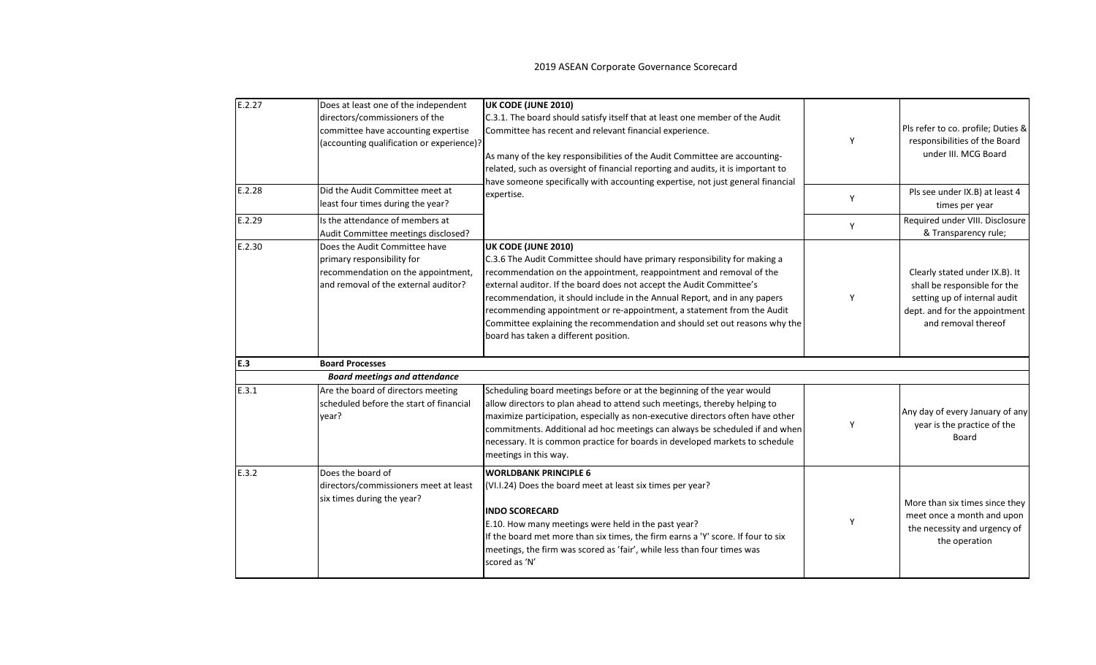| E.2.27 | Does at least one of the independent<br>directors/commissioners of the<br>committee have accounting expertise<br>(accounting qualification or experience)? | UK CODE (JUNE 2010)<br>C.3.1. The board should satisfy itself that at least one member of the Audit<br>Committee has recent and relevant financial experience.<br>As many of the key responsibilities of the Audit Committee are accounting-<br>related, such as oversight of financial reporting and audits, it is important to                                                                                                                                                                                              | Y | Pls refer to co. profile; Duties &<br>responsibilities of the Board<br>under III. MCG Board                                                            |
|--------|------------------------------------------------------------------------------------------------------------------------------------------------------------|-------------------------------------------------------------------------------------------------------------------------------------------------------------------------------------------------------------------------------------------------------------------------------------------------------------------------------------------------------------------------------------------------------------------------------------------------------------------------------------------------------------------------------|---|--------------------------------------------------------------------------------------------------------------------------------------------------------|
| E.2.28 | Did the Audit Committee meet at<br>least four times during the year?                                                                                       | have someone specifically with accounting expertise, not just general financial<br>expertise.                                                                                                                                                                                                                                                                                                                                                                                                                                 | Y | Pls see under IX.B) at least 4<br>times per year                                                                                                       |
| E.2.29 | Is the attendance of members at<br>Audit Committee meetings disclosed?                                                                                     |                                                                                                                                                                                                                                                                                                                                                                                                                                                                                                                               | Υ | Required under VIII. Disclosure<br>& Transparency rule;                                                                                                |
| E.2.30 | Does the Audit Committee have<br>primary responsibility for<br>recommendation on the appointment,<br>and removal of the external auditor?                  | UK CODE (JUNE 2010)<br>C.3.6 The Audit Committee should have primary responsibility for making a<br>recommendation on the appointment, reappointment and removal of the<br>external auditor. If the board does not accept the Audit Committee's<br>recommendation, it should include in the Annual Report, and in any papers<br>recommending appointment or re-appointment, a statement from the Audit<br>Committee explaining the recommendation and should set out reasons why the<br>board has taken a different position. | Y | Clearly stated under IX.B). It<br>shall be responsible for the<br>setting up of internal audit<br>dept. and for the appointment<br>and removal thereof |
| E.3    | <b>Board Processes</b>                                                                                                                                     |                                                                                                                                                                                                                                                                                                                                                                                                                                                                                                                               |   |                                                                                                                                                        |
|        | <b>Board meetings and attendance</b>                                                                                                                       |                                                                                                                                                                                                                                                                                                                                                                                                                                                                                                                               |   |                                                                                                                                                        |
| E.3.1  | Are the board of directors meeting<br>scheduled before the start of financial<br>year?                                                                     | Scheduling board meetings before or at the beginning of the year would<br>allow directors to plan ahead to attend such meetings, thereby helping to<br>maximize participation, especially as non-executive directors often have other<br>commitments. Additional ad hoc meetings can always be scheduled if and when<br>necessary. It is common practice for boards in developed markets to schedule<br>meetings in this way.                                                                                                 | Υ | Any day of every January of any<br>year is the practice of the<br>Board                                                                                |
| E.3.2  | Does the board of<br>directors/commissioners meet at least<br>six times during the year?                                                                   | <b>WORLDBANK PRINCIPLE 6</b><br>(VI.I.24) Does the board meet at least six times per year?<br><b>INDO SCORECARD</b><br>E.10. How many meetings were held in the past year?<br>If the board met more than six times, the firm earns a 'Y' score. If four to six<br>meetings, the firm was scored as 'fair', while less than four times was<br>scored as 'N'                                                                                                                                                                    | Y | More than six times since they<br>meet once a month and upon<br>the necessity and urgency of<br>the operation                                          |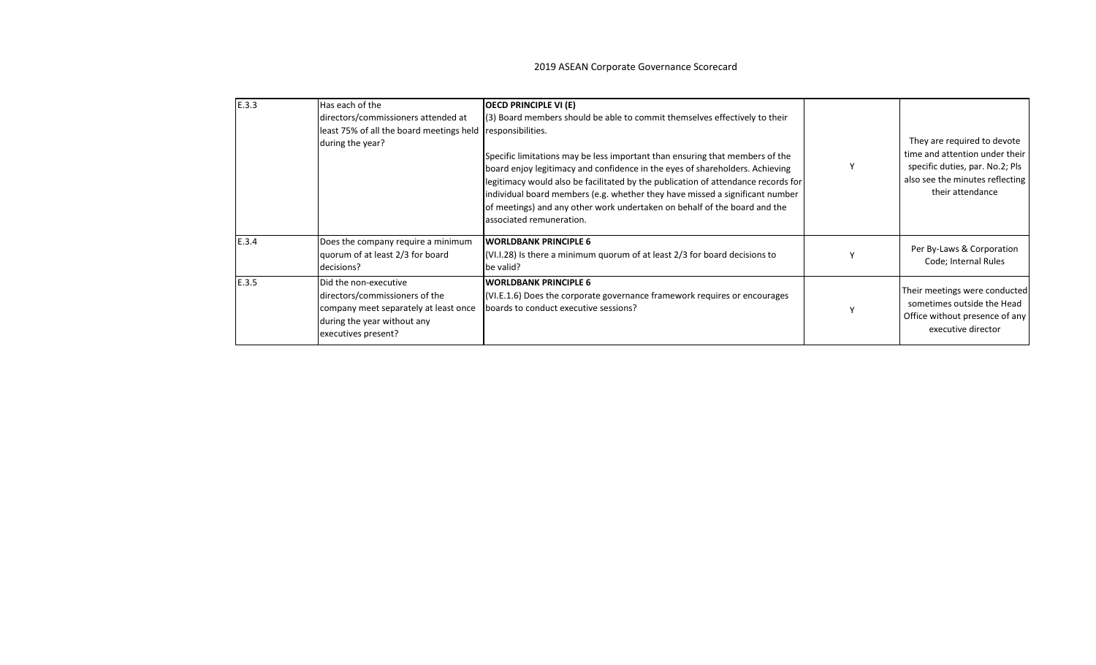| E.3.3 | Has each of the<br>directors/commissioners attended at<br>least 75% of all the board meetings held<br>during the year?                                 | <b>OECD PRINCIPLE VI (E)</b><br>(3) Board members should be able to commit themselves effectively to their<br>responsibilities.<br>Specific limitations may be less important than ensuring that members of the<br>board enjoy legitimacy and confidence in the eyes of shareholders. Achieving<br>legitimacy would also be facilitated by the publication of attendance records for<br>individual board members (e.g. whether they have missed a significant number<br>of meetings) and any other work undertaken on behalf of the board and the<br>associated remuneration. | They are required to devote<br>time and attention under their<br>specific duties, par. No.2; Pls<br>also see the minutes reflecting<br>their attendance |
|-------|--------------------------------------------------------------------------------------------------------------------------------------------------------|-------------------------------------------------------------------------------------------------------------------------------------------------------------------------------------------------------------------------------------------------------------------------------------------------------------------------------------------------------------------------------------------------------------------------------------------------------------------------------------------------------------------------------------------------------------------------------|---------------------------------------------------------------------------------------------------------------------------------------------------------|
| E.3.4 | Does the company require a minimum<br>quorum of at least 2/3 for board<br>decisions?                                                                   | <b>WORLDBANK PRINCIPLE 6</b><br>(VI.I.28) Is there a minimum quorum of at least 2/3 for board decisions to<br>be valid?                                                                                                                                                                                                                                                                                                                                                                                                                                                       | Per By-Laws & Corporation<br>Code; Internal Rules                                                                                                       |
| E.3.5 | Did the non-executive<br>directors/commissioners of the<br>company meet separately at least once<br>during the year without any<br>executives present? | <b>WORLDBANK PRINCIPLE 6</b><br>(VI.E.1.6) Does the corporate governance framework requires or encourages<br>boards to conduct executive sessions?                                                                                                                                                                                                                                                                                                                                                                                                                            | Their meetings were conducted<br>sometimes outside the Head<br>Office without presence of any<br>executive director                                     |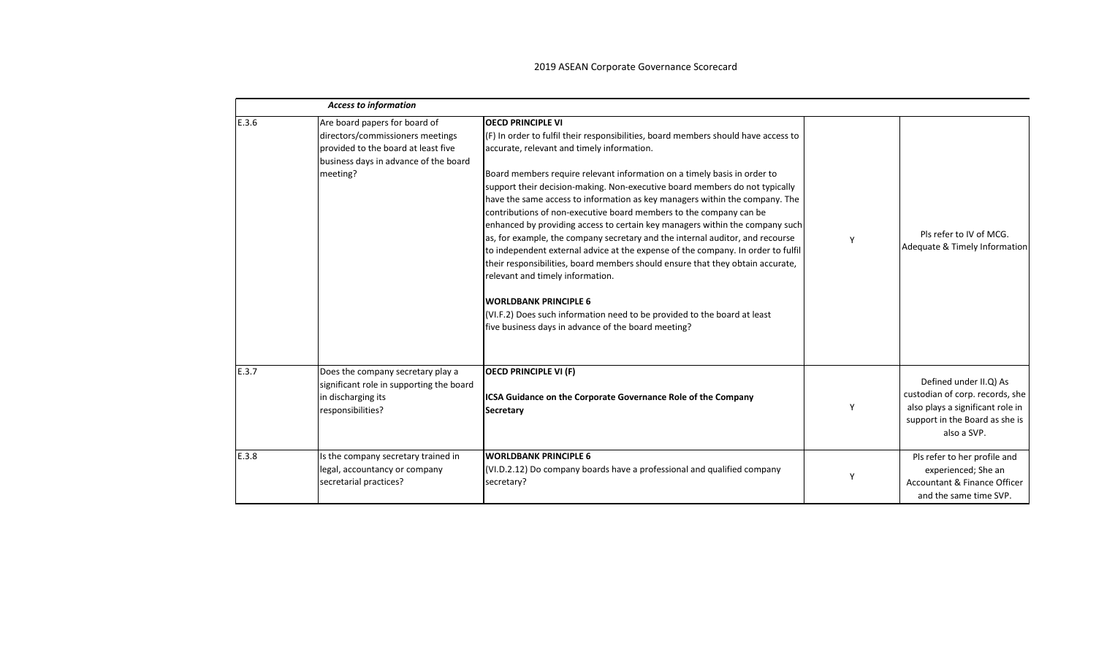|       | <b>Access to information</b>                                                                                                                                  |                                                                                                                                                                                                                                                                                                                                                                                                                                                                                                                                                                                                                                                                                                                                                                                                                                                                                                                                                                                                                              |   |                                                                                                                                                |
|-------|---------------------------------------------------------------------------------------------------------------------------------------------------------------|------------------------------------------------------------------------------------------------------------------------------------------------------------------------------------------------------------------------------------------------------------------------------------------------------------------------------------------------------------------------------------------------------------------------------------------------------------------------------------------------------------------------------------------------------------------------------------------------------------------------------------------------------------------------------------------------------------------------------------------------------------------------------------------------------------------------------------------------------------------------------------------------------------------------------------------------------------------------------------------------------------------------------|---|------------------------------------------------------------------------------------------------------------------------------------------------|
| E.3.6 | Are board papers for board of<br>directors/commissioners meetings<br>provided to the board at least five<br>business days in advance of the board<br>meeting? | <b>OECD PRINCIPLE VI</b><br>$(F)$ In order to fulfil their responsibilities, board members should have access to<br>accurate, relevant and timely information.<br>Board members require relevant information on a timely basis in order to<br>support their decision-making. Non-executive board members do not typically<br>have the same access to information as key managers within the company. The<br>contributions of non-executive board members to the company can be<br>enhanced by providing access to certain key managers within the company such<br>as, for example, the company secretary and the internal auditor, and recourse<br>to independent external advice at the expense of the company. In order to fulfil<br>their responsibilities, board members should ensure that they obtain accurate,<br>relevant and timely information.<br><b>WORLDBANK PRINCIPLE 6</b><br>(VI.F.2) Does such information need to be provided to the board at least<br>five business days in advance of the board meeting? | Y | Pls refer to IV of MCG.<br>Adequate & Timely Information                                                                                       |
| E.3.7 | Does the company secretary play a<br>significant role in supporting the board<br>in discharging its<br>responsibilities?                                      | <b>OECD PRINCIPLE VI (F)</b><br>ICSA Guidance on the Corporate Governance Role of the Company<br>Secretary                                                                                                                                                                                                                                                                                                                                                                                                                                                                                                                                                                                                                                                                                                                                                                                                                                                                                                                   | Y | Defined under II.Q) As<br>custodian of corp. records, she<br>also plays a significant role in<br>support in the Board as she is<br>also a SVP. |
| E.3.8 | Is the company secretary trained in<br>legal, accountancy or company<br>secretarial practices?                                                                | <b>WORLDBANK PRINCIPLE 6</b><br>(VI.D.2.12) Do company boards have a professional and qualified company<br>secretary?                                                                                                                                                                                                                                                                                                                                                                                                                                                                                                                                                                                                                                                                                                                                                                                                                                                                                                        | Υ | Pls refer to her profile and<br>experienced; She an<br>Accountant & Finance Officer<br>and the same time SVP.                                  |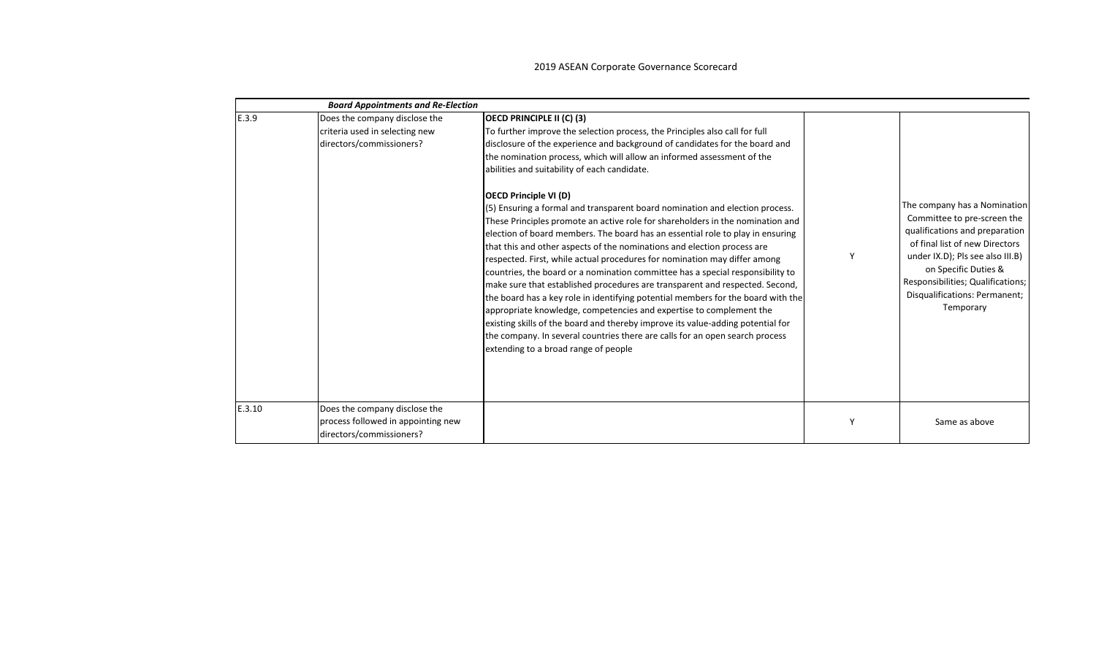|        | <b>Board Appointments and Re-Election</b>                                                       |                                                                                                                                                                                                                                                                                                                                                                                                                                                                                                                                                                                                                                                                                                                                                                                                                                                                                                                                                                                                                                                                                                                                                                                                                                                                                                       |   |                                                                                                                                                                                                                                                                                |
|--------|-------------------------------------------------------------------------------------------------|-------------------------------------------------------------------------------------------------------------------------------------------------------------------------------------------------------------------------------------------------------------------------------------------------------------------------------------------------------------------------------------------------------------------------------------------------------------------------------------------------------------------------------------------------------------------------------------------------------------------------------------------------------------------------------------------------------------------------------------------------------------------------------------------------------------------------------------------------------------------------------------------------------------------------------------------------------------------------------------------------------------------------------------------------------------------------------------------------------------------------------------------------------------------------------------------------------------------------------------------------------------------------------------------------------|---|--------------------------------------------------------------------------------------------------------------------------------------------------------------------------------------------------------------------------------------------------------------------------------|
| E.3.9  | Does the company disclose the<br>criteria used in selecting new<br>directors/commissioners?     | OECD PRINCIPLE II (C) (3)<br>To further improve the selection process, the Principles also call for full<br>disclosure of the experience and background of candidates for the board and<br>the nomination process, which will allow an informed assessment of the<br>abilities and suitability of each candidate.<br><b>OECD Principle VI (D)</b><br>(5) Ensuring a formal and transparent board nomination and election process.<br>These Principles promote an active role for shareholders in the nomination and<br>election of board members. The board has an essential role to play in ensuring<br>that this and other aspects of the nominations and election process are<br>respected. First, while actual procedures for nomination may differ among<br>countries, the board or a nomination committee has a special responsibility to<br>make sure that established procedures are transparent and respected. Second,<br>the board has a key role in identifying potential members for the board with the<br>appropriate knowledge, competencies and expertise to complement the<br>existing skills of the board and thereby improve its value-adding potential for<br>the company. In several countries there are calls for an open search process<br>extending to a broad range of people | Υ | The company has a Nomination<br>Committee to pre-screen the<br>qualifications and preparation<br>of final list of new Directors<br>under IX.D); Pls see also III.B)<br>on Specific Duties &<br>Responsibilities; Qualifications;<br>Disqualifications: Permanent;<br>Temporary |
| E.3.10 | Does the company disclose the<br>process followed in appointing new<br>directors/commissioners? |                                                                                                                                                                                                                                                                                                                                                                                                                                                                                                                                                                                                                                                                                                                                                                                                                                                                                                                                                                                                                                                                                                                                                                                                                                                                                                       |   | Same as above                                                                                                                                                                                                                                                                  |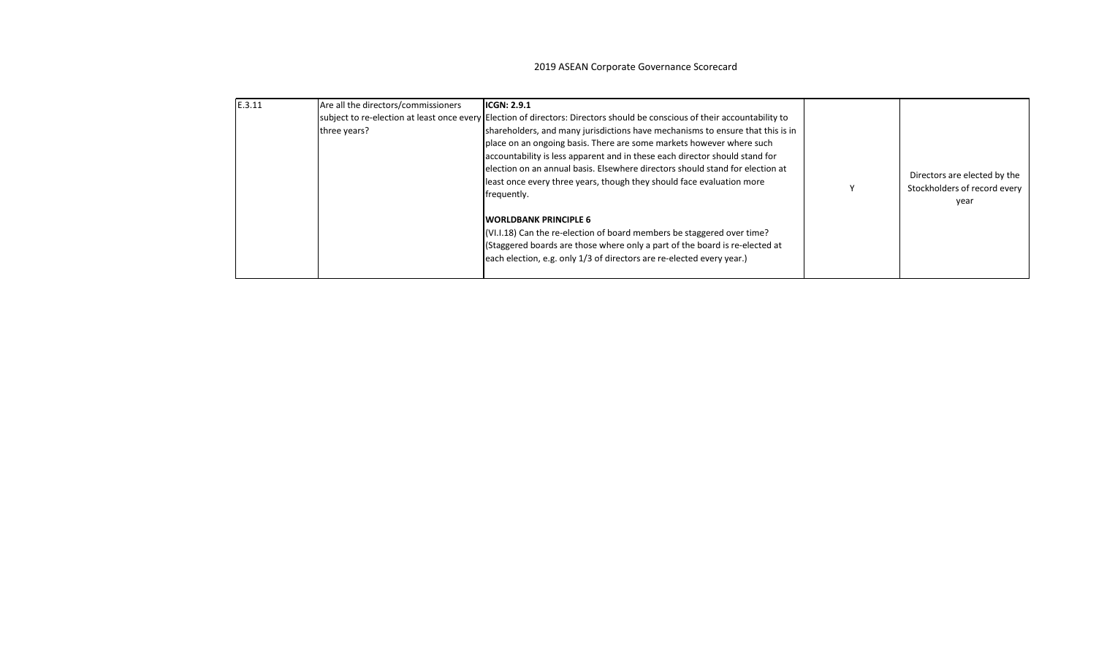| E.3.11 | Are all the directors/commissioners<br>three years? | <b>IICGN: 2.9.1</b><br>subject to re-election at least once every Election of directors: Directors should be conscious of their accountability to<br>shareholders, and many jurisdictions have mechanisms to ensure that this is in<br>place on an ongoing basis. There are some markets however where such<br>accountability is less apparent and in these each director should stand for<br>election on an annual basis. Elsewhere directors should stand for election at<br>least once every three years, though they should face evaluation more<br>frequently.<br><b>WORLDBANK PRINCIPLE 6</b><br>(VI.I.18) Can the re-election of board members be staggered over time?<br>(Staggered boards are those where only a part of the board is re-elected at<br>each election, e.g. only 1/3 of directors are re-elected every year.) |  | Directors are elected by the<br>Stockholders of record every<br>year |
|--------|-----------------------------------------------------|---------------------------------------------------------------------------------------------------------------------------------------------------------------------------------------------------------------------------------------------------------------------------------------------------------------------------------------------------------------------------------------------------------------------------------------------------------------------------------------------------------------------------------------------------------------------------------------------------------------------------------------------------------------------------------------------------------------------------------------------------------------------------------------------------------------------------------------|--|----------------------------------------------------------------------|
|--------|-----------------------------------------------------|---------------------------------------------------------------------------------------------------------------------------------------------------------------------------------------------------------------------------------------------------------------------------------------------------------------------------------------------------------------------------------------------------------------------------------------------------------------------------------------------------------------------------------------------------------------------------------------------------------------------------------------------------------------------------------------------------------------------------------------------------------------------------------------------------------------------------------------|--|----------------------------------------------------------------------|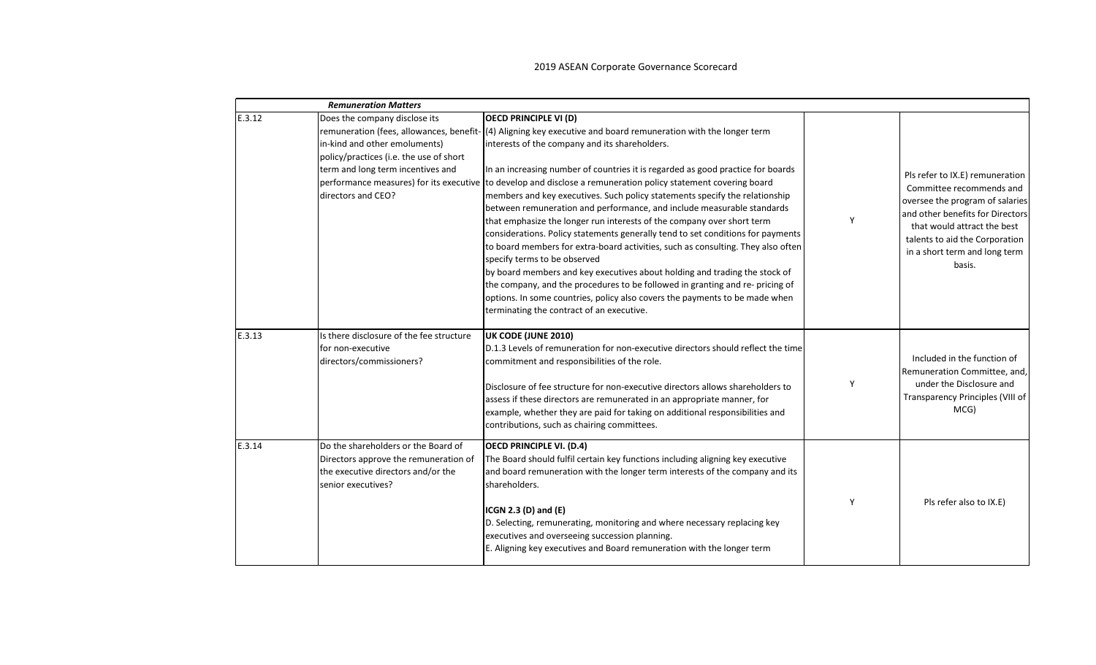|        | <b>Remuneration Matters</b>                                                                                                                                                                                     |                                                                                                                                                                                                                                                                                                                                                                                                                                                                                                                                                                                                                                                                                                                                                                                                                                                                                                                                                                                                                                                                                                     |   |                                                                                                                                                                                                                                                |
|--------|-----------------------------------------------------------------------------------------------------------------------------------------------------------------------------------------------------------------|-----------------------------------------------------------------------------------------------------------------------------------------------------------------------------------------------------------------------------------------------------------------------------------------------------------------------------------------------------------------------------------------------------------------------------------------------------------------------------------------------------------------------------------------------------------------------------------------------------------------------------------------------------------------------------------------------------------------------------------------------------------------------------------------------------------------------------------------------------------------------------------------------------------------------------------------------------------------------------------------------------------------------------------------------------------------------------------------------------|---|------------------------------------------------------------------------------------------------------------------------------------------------------------------------------------------------------------------------------------------------|
| E.3.12 | Does the company disclose its<br>in-kind and other emoluments)<br>policy/practices (i.e. the use of short<br>term and long term incentives and<br>performance measures) for its executive<br>directors and CEO? | <b>OECD PRINCIPLE VI (D)</b><br>remuneration (fees, allowances, benefit- (4) Aligning key executive and board remuneration with the longer term<br>interests of the company and its shareholders.<br>In an increasing number of countries it is regarded as good practice for boards<br>to develop and disclose a remuneration policy statement covering board<br>members and key executives. Such policy statements specify the relationship<br>between remuneration and performance, and include measurable standards<br>that emphasize the longer run interests of the company over short term<br>considerations. Policy statements generally tend to set conditions for payments<br>to board members for extra-board activities, such as consulting. They also often<br>specify terms to be observed<br>by board members and key executives about holding and trading the stock of<br>the company, and the procedures to be followed in granting and re- pricing of<br>options. In some countries, policy also covers the payments to be made when<br>terminating the contract of an executive. |   | Pls refer to IX.E) remuneration<br>Committee recommends and<br>oversee the program of salaries<br>and other benefits for Directors<br>that would attract the best<br>talents to aid the Corporation<br>in a short term and long term<br>basis. |
| E.3.13 | Is there disclosure of the fee structure<br>for non-executive<br>directors/commissioners?                                                                                                                       | UK CODE (JUNE 2010)<br>D.1.3 Levels of remuneration for non-executive directors should reflect the time<br>commitment and responsibilities of the role.<br>Disclosure of fee structure for non-executive directors allows shareholders to<br>assess if these directors are remunerated in an appropriate manner, for<br>example, whether they are paid for taking on additional responsibilities and<br>contributions, such as chairing committees.                                                                                                                                                                                                                                                                                                                                                                                                                                                                                                                                                                                                                                                 | Y | Included in the function of<br>Remuneration Committee, and,<br>under the Disclosure and<br>Transparency Principles (VIII of<br>MCG)                                                                                                            |
| E.3.14 | Do the shareholders or the Board of<br>Directors approve the remuneration of<br>the executive directors and/or the<br>senior executives?                                                                        | <b>OECD PRINCIPLE VI. (D.4)</b><br>The Board should fulfil certain key functions including aligning key executive<br>and board remuneration with the longer term interests of the company and its<br>shareholders.<br>ICGN 2.3 $(D)$ and $(E)$<br>D. Selecting, remunerating, monitoring and where necessary replacing key<br>executives and overseeing succession planning.<br>E. Aligning key executives and Board remuneration with the longer term                                                                                                                                                                                                                                                                                                                                                                                                                                                                                                                                                                                                                                              | Y | Pls refer also to IX.E)                                                                                                                                                                                                                        |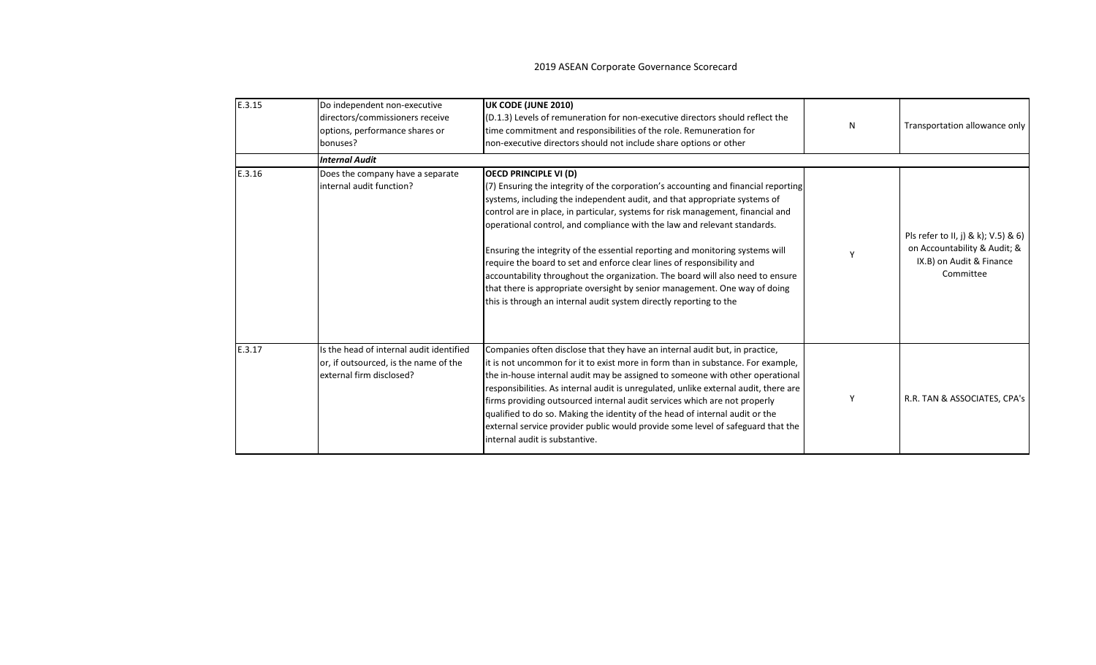| E.3.15 | Do independent non-executive<br>directors/commissioners receive<br>options, performance shares or<br>bonuses? | UK CODE (JUNE 2010)<br>(D.1.3) Levels of remuneration for non-executive directors should reflect the<br>time commitment and responsibilities of the role. Remuneration for<br>non-executive directors should not include share options or other                                                                                                                                                                                                                                                                                                                                                                                                                                                                                                                 | N | Transportation allowance only                                                                                |
|--------|---------------------------------------------------------------------------------------------------------------|-----------------------------------------------------------------------------------------------------------------------------------------------------------------------------------------------------------------------------------------------------------------------------------------------------------------------------------------------------------------------------------------------------------------------------------------------------------------------------------------------------------------------------------------------------------------------------------------------------------------------------------------------------------------------------------------------------------------------------------------------------------------|---|--------------------------------------------------------------------------------------------------------------|
|        | <b>Internal Audit</b>                                                                                         |                                                                                                                                                                                                                                                                                                                                                                                                                                                                                                                                                                                                                                                                                                                                                                 |   |                                                                                                              |
| E.3.16 | Does the company have a separate<br>linternal audit function?                                                 | <b>OECD PRINCIPLE VI (D)</b><br>(7) Ensuring the integrity of the corporation's accounting and financial reporting<br>systems, including the independent audit, and that appropriate systems of<br>control are in place, in particular, systems for risk management, financial and<br>operational control, and compliance with the law and relevant standards.<br>Ensuring the integrity of the essential reporting and monitoring systems will<br>require the board to set and enforce clear lines of responsibility and<br>accountability throughout the organization. The board will also need to ensure<br>that there is appropriate oversight by senior management. One way of doing<br>this is through an internal audit system directly reporting to the |   | Pls refer to II, j) & k); V.5) & 6)<br>on Accountability & Audit; &<br>IX.B) on Audit & Finance<br>Committee |
| E.3.17 | Is the head of internal audit identified<br>or, if outsourced, is the name of the<br>external firm disclosed? | Companies often disclose that they have an internal audit but, in practice,<br>it is not uncommon for it to exist more in form than in substance. For example,<br>the in-house internal audit may be assigned to someone with other operational<br>responsibilities. As internal audit is unregulated, unlike external audit, there are<br>firms providing outsourced internal audit services which are not properly<br>qualified to do so. Making the identity of the head of internal audit or the<br>external service provider public would provide some level of safeguard that the<br>internal audit is substantive.                                                                                                                                       | Υ | R.R. TAN & ASSOCIATES, CPA's                                                                                 |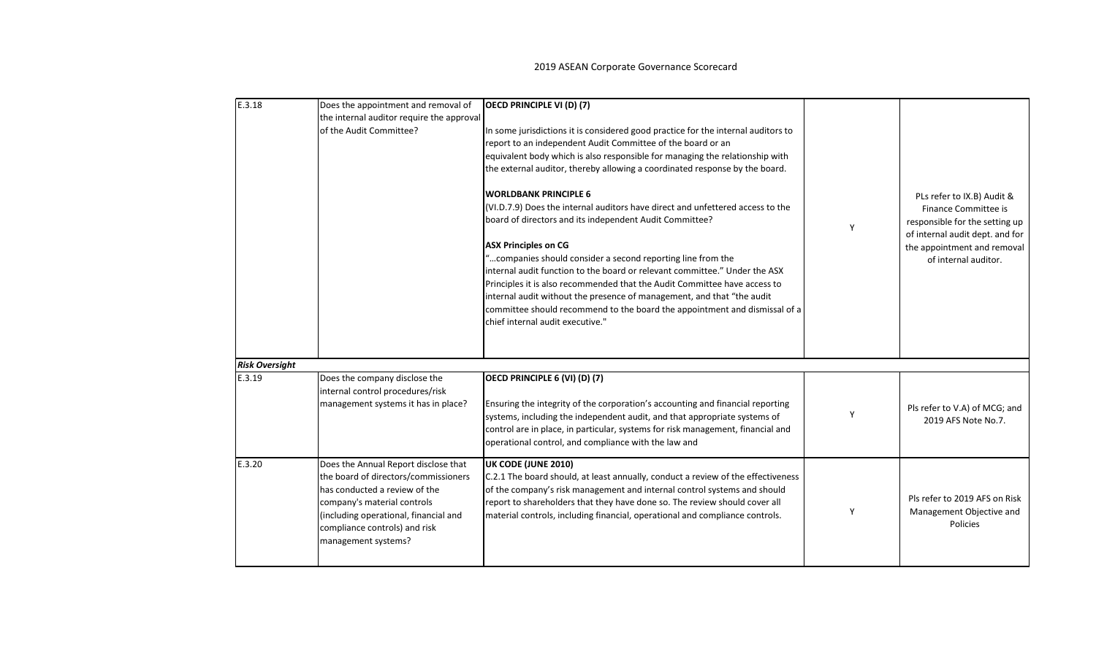| E.3.18                | Does the appointment and removal of<br>the internal auditor require the approval<br>of the Audit Committee?                                                                                                                                   | OECD PRINCIPLE VI (D) (7)<br>In some jurisdictions it is considered good practice for the internal auditors to<br>report to an independent Audit Committee of the board or an<br>equivalent body which is also responsible for managing the relationship with<br>the external auditor, thereby allowing a coordinated response by the board.<br><b>WORLDBANK PRINCIPLE 6</b><br>(VI.D.7.9) Does the internal auditors have direct and unfettered access to the<br>board of directors and its independent Audit Committee?<br><b>ASX Principles on CG</b><br>" companies should consider a second reporting line from the<br>internal audit function to the board or relevant committee." Under the ASX<br>Principles it is also recommended that the Audit Committee have access to<br>internal audit without the presence of management, and that "the audit<br>committee should recommend to the board the appointment and dismissal of a | Υ | PLs refer to IX.B) Audit &<br>Finance Committee is<br>responsible for the setting up<br>of internal audit dept. and for<br>the appointment and removal<br>of internal auditor. |
|-----------------------|-----------------------------------------------------------------------------------------------------------------------------------------------------------------------------------------------------------------------------------------------|---------------------------------------------------------------------------------------------------------------------------------------------------------------------------------------------------------------------------------------------------------------------------------------------------------------------------------------------------------------------------------------------------------------------------------------------------------------------------------------------------------------------------------------------------------------------------------------------------------------------------------------------------------------------------------------------------------------------------------------------------------------------------------------------------------------------------------------------------------------------------------------------------------------------------------------------|---|--------------------------------------------------------------------------------------------------------------------------------------------------------------------------------|
| <b>Risk Oversight</b> |                                                                                                                                                                                                                                               | chief internal audit executive."                                                                                                                                                                                                                                                                                                                                                                                                                                                                                                                                                                                                                                                                                                                                                                                                                                                                                                            |   |                                                                                                                                                                                |
| E.3.19                | Does the company disclose the<br>internal control procedures/risk<br>management systems it has in place?                                                                                                                                      | OECD PRINCIPLE 6 (VI) (D) (7)<br>Ensuring the integrity of the corporation's accounting and financial reporting<br>systems, including the independent audit, and that appropriate systems of<br>control are in place, in particular, systems for risk management, financial and<br>operational control, and compliance with the law and                                                                                                                                                                                                                                                                                                                                                                                                                                                                                                                                                                                                     | Υ | Pls refer to V.A) of MCG; and<br>2019 AFS Note No.7.                                                                                                                           |
| E.3.20                | Does the Annual Report disclose that<br>the board of directors/commissioners<br>has conducted a review of the<br>company's material controls<br>(including operational, financial and<br>compliance controls) and risk<br>management systems? | UK CODE (JUNE 2010)<br>C.2.1 The board should, at least annually, conduct a review of the effectiveness<br>of the company's risk management and internal control systems and should<br>report to shareholders that they have done so. The review should cover all<br>material controls, including financial, operational and compliance controls.                                                                                                                                                                                                                                                                                                                                                                                                                                                                                                                                                                                           | Υ | Pls refer to 2019 AFS on Risk<br>Management Objective and<br>Policies                                                                                                          |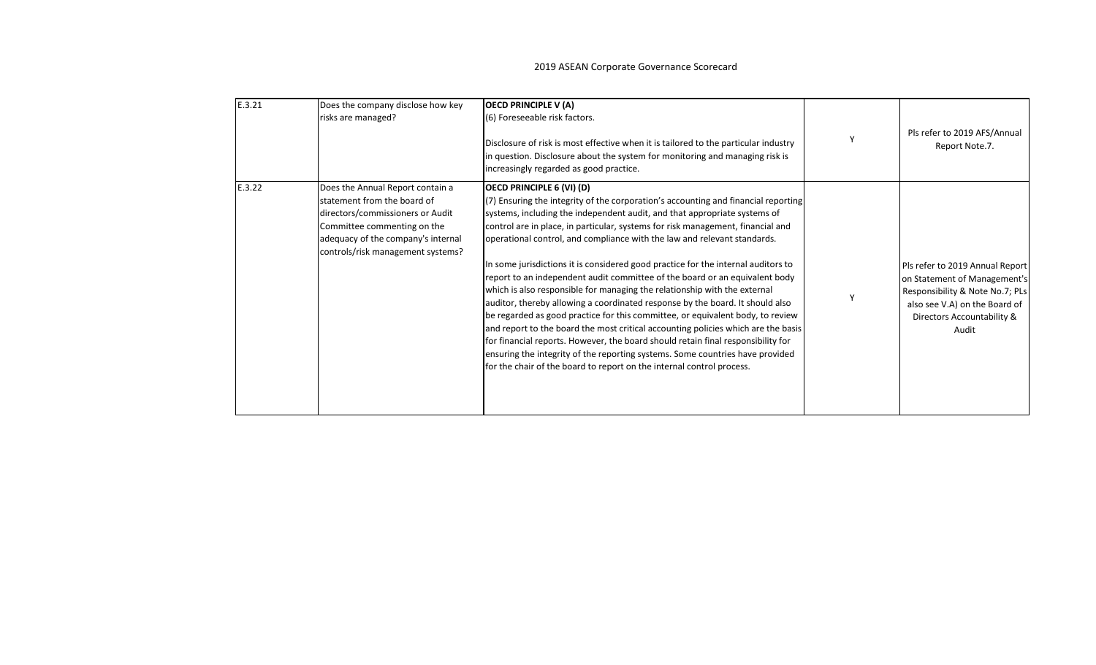| E.3.21 | Does the company disclose how key<br>risks are managed?                                                                                                                                                       | <b>OECD PRINCIPLE V (A)</b><br>(6) Foreseeable risk factors.<br>Disclosure of risk is most effective when it is tailored to the particular industry<br>in question. Disclosure about the system for monitoring and managing risk is<br>increasingly regarded as good practice.                                                                                                                                                                                                                                                                                                                                                                                                                                                                                                                                                                                                                                                                                                                                                                                                                                     | γ | Pls refer to 2019 AFS/Annual<br>Report Note.7.                                                                                                                             |
|--------|---------------------------------------------------------------------------------------------------------------------------------------------------------------------------------------------------------------|--------------------------------------------------------------------------------------------------------------------------------------------------------------------------------------------------------------------------------------------------------------------------------------------------------------------------------------------------------------------------------------------------------------------------------------------------------------------------------------------------------------------------------------------------------------------------------------------------------------------------------------------------------------------------------------------------------------------------------------------------------------------------------------------------------------------------------------------------------------------------------------------------------------------------------------------------------------------------------------------------------------------------------------------------------------------------------------------------------------------|---|----------------------------------------------------------------------------------------------------------------------------------------------------------------------------|
| E.3.22 | Does the Annual Report contain a<br>statement from the board of<br>directors/commissioners or Audit<br>Committee commenting on the<br>adequacy of the company's internal<br>controls/risk management systems? | OECD PRINCIPLE 6 (VI) (D)<br>(7) Ensuring the integrity of the corporation's accounting and financial reporting<br>systems, including the independent audit, and that appropriate systems of<br>control are in place, in particular, systems for risk management, financial and<br>operational control, and compliance with the law and relevant standards.<br>In some jurisdictions it is considered good practice for the internal auditors to<br>report to an independent audit committee of the board or an equivalent body<br>which is also responsible for managing the relationship with the external<br>auditor, thereby allowing a coordinated response by the board. It should also<br>be regarded as good practice for this committee, or equivalent body, to review<br>and report to the board the most critical accounting policies which are the basis<br>for financial reports. However, the board should retain final responsibility for<br>ensuring the integrity of the reporting systems. Some countries have provided<br>for the chair of the board to report on the internal control process. |   | Pls refer to 2019 Annual Report<br>on Statement of Management's<br>Responsibility & Note No.7; PLs<br>also see V.A) on the Board of<br>Directors Accountability &<br>Audit |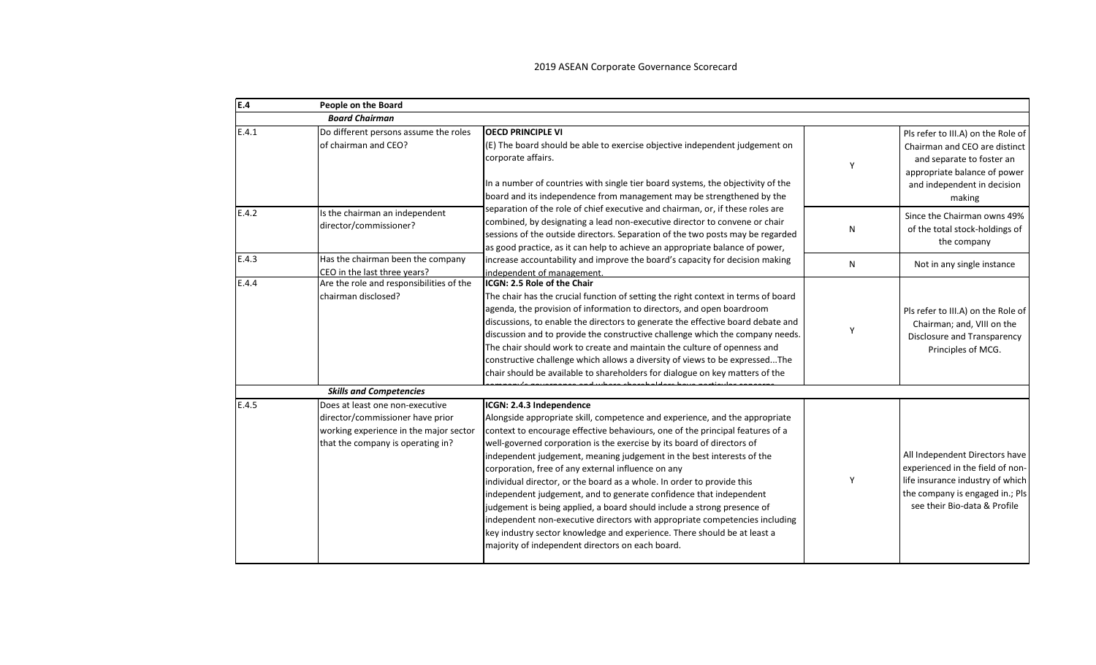| E.4   | People on the Board                                                                                                                                |                                                                                                                                                                                                                                                                                                                                                                                                                                                                                                                                                                                                                                                                                                                                                                                                                                             |   |                                                                                                                                                                           |
|-------|----------------------------------------------------------------------------------------------------------------------------------------------------|---------------------------------------------------------------------------------------------------------------------------------------------------------------------------------------------------------------------------------------------------------------------------------------------------------------------------------------------------------------------------------------------------------------------------------------------------------------------------------------------------------------------------------------------------------------------------------------------------------------------------------------------------------------------------------------------------------------------------------------------------------------------------------------------------------------------------------------------|---|---------------------------------------------------------------------------------------------------------------------------------------------------------------------------|
|       | <b>Board Chairman</b>                                                                                                                              |                                                                                                                                                                                                                                                                                                                                                                                                                                                                                                                                                                                                                                                                                                                                                                                                                                             |   |                                                                                                                                                                           |
| E.4.1 | Do different persons assume the roles<br>of chairman and CEO?                                                                                      | <b>OECD PRINCIPLE VI</b><br>$E$ ) The board should be able to exercise objective independent judgement on<br>corporate affairs.<br>In a number of countries with single tier board systems, the objectivity of the<br>board and its independence from management may be strengthened by the                                                                                                                                                                                                                                                                                                                                                                                                                                                                                                                                                 | Y | Pls refer to III.A) on the Role of<br>Chairman and CEO are distinct<br>and separate to foster an<br>appropriate balance of power<br>and independent in decision<br>making |
| E.4.2 | Is the chairman an independent<br>director/commissioner?                                                                                           | separation of the role of chief executive and chairman, or, if these roles are<br>combined, by designating a lead non-executive director to convene or chair<br>sessions of the outside directors. Separation of the two posts may be regarded<br>as good practice, as it can help to achieve an appropriate balance of power,                                                                                                                                                                                                                                                                                                                                                                                                                                                                                                              | N | Since the Chairman owns 49%<br>of the total stock-holdings of<br>the company                                                                                              |
| E.4.3 | Has the chairman been the company<br>CEO in the last three years?                                                                                  | increase accountability and improve the board's capacity for decision making<br>independent of management.                                                                                                                                                                                                                                                                                                                                                                                                                                                                                                                                                                                                                                                                                                                                  | N | Not in any single instance                                                                                                                                                |
| E.4.4 | Are the role and responsibilities of the<br>chairman disclosed?                                                                                    | <b>IICGN: 2.5 Role of the Chair</b><br>The chair has the crucial function of setting the right context in terms of board<br>agenda, the provision of information to directors, and open boardroom<br>discussions, to enable the directors to generate the effective board debate and<br>discussion and to provide the constructive challenge which the company needs.<br>The chair should work to create and maintain the culture of openness and<br>constructive challenge which allows a diversity of views to be expressedThe<br>chair should be available to shareholders for dialogue on key matters of the                                                                                                                                                                                                                            | Y | Pls refer to III.A) on the Role of<br>Chairman; and, VIII on the<br>Disclosure and Transparency<br>Principles of MCG.                                                     |
|       | <b>Skills and Competencies</b>                                                                                                                     |                                                                                                                                                                                                                                                                                                                                                                                                                                                                                                                                                                                                                                                                                                                                                                                                                                             |   |                                                                                                                                                                           |
| E.4.5 | Does at least one non-executive<br>director/commissioner have prior<br>working experience in the major sector<br>that the company is operating in? | ICGN: 2.4.3 Independence<br>Alongside appropriate skill, competence and experience, and the appropriate<br>context to encourage effective behaviours, one of the principal features of a<br>well-governed corporation is the exercise by its board of directors of<br>independent judgement, meaning judgement in the best interests of the<br>corporation, free of any external influence on any<br>individual director, or the board as a whole. In order to provide this<br>independent judgement, and to generate confidence that independent<br>judgement is being applied, a board should include a strong presence of<br>independent non-executive directors with appropriate competencies including<br>key industry sector knowledge and experience. There should be at least a<br>majority of independent directors on each board. | Y | All Independent Directors have<br>experienced in the field of non-<br>life insurance industry of which<br>the company is engaged in.; Pls<br>see their Bio-data & Profile |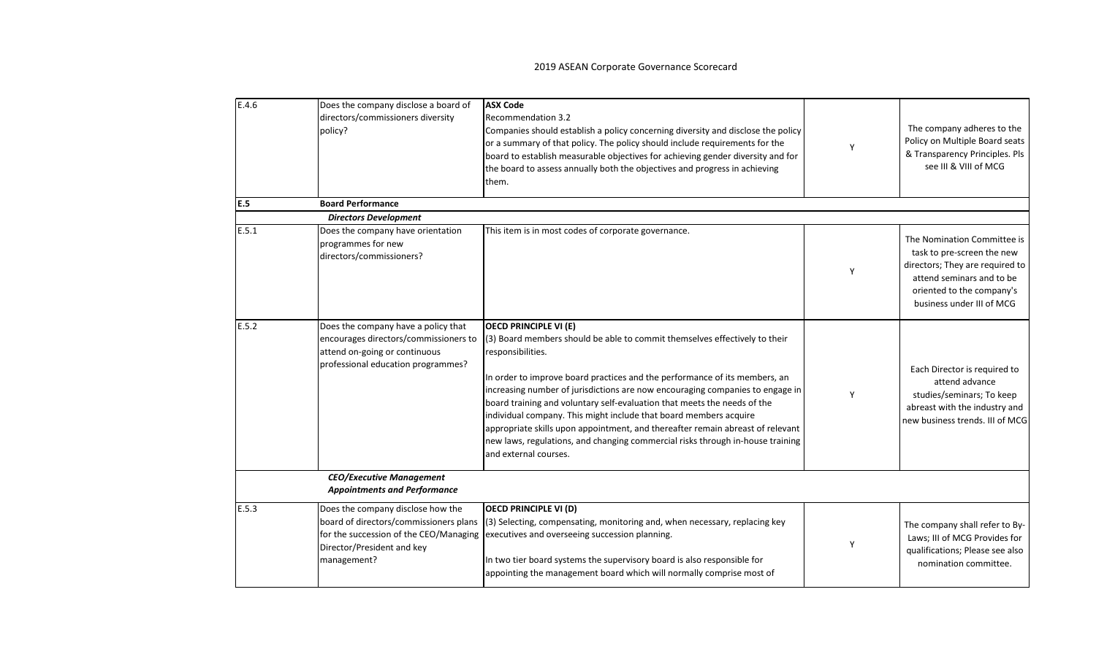| E.4.6 | Does the company disclose a board of<br>directors/commissioners diversity<br>policy?                                                                               | <b>ASX Code</b><br><b>Recommendation 3.2</b><br>Companies should establish a policy concerning diversity and disclose the policy<br>or a summary of that policy. The policy should include requirements for the<br>board to establish measurable objectives for achieving gender diversity and for<br>the board to assess annually both the objectives and progress in achieving<br>them.                                                                                                                                                                                                                                                    | Y | The company adheres to the<br>Policy on Multiple Board seats<br>& Transparency Principles. Pls<br>see III & VIII of MCG                                                             |
|-------|--------------------------------------------------------------------------------------------------------------------------------------------------------------------|----------------------------------------------------------------------------------------------------------------------------------------------------------------------------------------------------------------------------------------------------------------------------------------------------------------------------------------------------------------------------------------------------------------------------------------------------------------------------------------------------------------------------------------------------------------------------------------------------------------------------------------------|---|-------------------------------------------------------------------------------------------------------------------------------------------------------------------------------------|
| E.5   | <b>Board Performance</b>                                                                                                                                           |                                                                                                                                                                                                                                                                                                                                                                                                                                                                                                                                                                                                                                              |   |                                                                                                                                                                                     |
|       | <b>Directors Development</b>                                                                                                                                       |                                                                                                                                                                                                                                                                                                                                                                                                                                                                                                                                                                                                                                              |   |                                                                                                                                                                                     |
| E.5.1 | Does the company have orientation<br>programmes for new<br>directors/commissioners?                                                                                | This item is in most codes of corporate governance.                                                                                                                                                                                                                                                                                                                                                                                                                                                                                                                                                                                          | Y | The Nomination Committee is<br>task to pre-screen the new<br>directors; They are required to<br>attend seminars and to be<br>oriented to the company's<br>business under III of MCG |
| E.5.2 | Does the company have a policy that<br>encourages directors/commissioners to<br>attend on-going or continuous<br>professional education programmes?                | <b>OECD PRINCIPLE VI (E)</b><br>(3) Board members should be able to commit themselves effectively to their<br>responsibilities.<br>In order to improve board practices and the performance of its members, an<br>increasing number of jurisdictions are now encouraging companies to engage in<br>board training and voluntary self-evaluation that meets the needs of the<br>individual company. This might include that board members acquire<br>appropriate skills upon appointment, and thereafter remain abreast of relevant<br>new laws, regulations, and changing commercial risks through in-house training<br>and external courses. | Y | Each Director is required to<br>attend advance<br>studies/seminars; To keep<br>abreast with the industry and<br>new business trends. III of MCG                                     |
|       | <b>CEO/Executive Management</b><br><b>Appointments and Performance</b>                                                                                             |                                                                                                                                                                                                                                                                                                                                                                                                                                                                                                                                                                                                                                              |   |                                                                                                                                                                                     |
| E.5.3 | Does the company disclose how the<br>board of directors/commissioners plans<br>for the succession of the CEO/Managing<br>Director/President and key<br>management? | <b>OECD PRINCIPLE VI (D)</b><br>(3) Selecting, compensating, monitoring and, when necessary, replacing key<br>executives and overseeing succession planning.<br>In two tier board systems the supervisory board is also responsible for<br>appointing the management board which will normally comprise most of                                                                                                                                                                                                                                                                                                                              | Y | The company shall refer to By-<br>Laws; III of MCG Provides for<br>qualifications; Please see also<br>nomination committee.                                                         |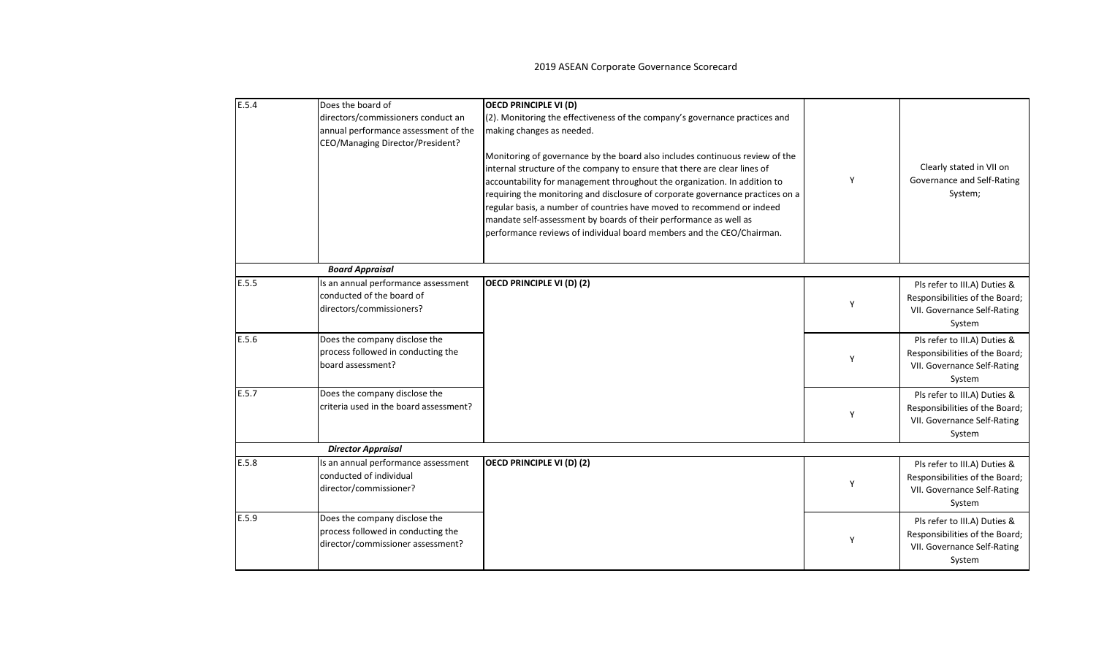| E.5.4 | Does the board of                      | <b>OECD PRINCIPLE VI (D)</b>                                                   |   |                                |
|-------|----------------------------------------|--------------------------------------------------------------------------------|---|--------------------------------|
|       | directors/commissioners conduct an     | (2). Monitoring the effectiveness of the company's governance practices and    |   |                                |
|       | annual performance assessment of the   | making changes as needed.                                                      |   |                                |
|       | CEO/Managing Director/President?       |                                                                                |   |                                |
|       |                                        | Monitoring of governance by the board also includes continuous review of the   |   |                                |
|       |                                        |                                                                                |   | Clearly stated in VII on       |
|       |                                        | internal structure of the company to ensure that there are clear lines of      | Y | Governance and Self-Rating     |
|       |                                        | accountability for management throughout the organization. In addition to      |   |                                |
|       |                                        | requiring the monitoring and disclosure of corporate governance practices on a |   | System;                        |
|       |                                        | regular basis, a number of countries have moved to recommend or indeed         |   |                                |
|       |                                        | mandate self-assessment by boards of their performance as well as              |   |                                |
|       |                                        | performance reviews of individual board members and the CEO/Chairman.          |   |                                |
|       |                                        |                                                                                |   |                                |
|       | <b>Board Appraisal</b>                 |                                                                                |   |                                |
| E.5.5 | Is an annual performance assessment    | OECD PRINCIPLE VI (D) (2)                                                      |   | Pls refer to III.A) Duties &   |
|       | conducted of the board of              |                                                                                | Y | Responsibilities of the Board; |
|       | directors/commissioners?               |                                                                                |   | VII. Governance Self-Rating    |
|       |                                        |                                                                                |   | System                         |
| E.5.6 | Does the company disclose the          |                                                                                |   | Pls refer to III.A) Duties &   |
|       | process followed in conducting the     |                                                                                | Y | Responsibilities of the Board; |
|       | board assessment?                      |                                                                                |   | VII. Governance Self-Rating    |
|       |                                        |                                                                                |   | System                         |
| E.5.7 | Does the company disclose the          |                                                                                |   | Pls refer to III.A) Duties &   |
|       | criteria used in the board assessment? |                                                                                |   | Responsibilities of the Board; |
|       |                                        |                                                                                | Y | VII. Governance Self-Rating    |
|       |                                        |                                                                                |   | System                         |
|       | <b>Director Appraisal</b>              |                                                                                |   |                                |
| E.5.8 | Is an annual performance assessment    | <b>OECD PRINCIPLE VI (D) (2)</b>                                               |   | Pls refer to III.A) Duties &   |
|       | conducted of individual                |                                                                                |   | Responsibilities of the Board; |
|       | director/commissioner?                 |                                                                                | Υ | VII. Governance Self-Rating    |
|       |                                        |                                                                                |   | System                         |
| E.5.9 | Does the company disclose the          |                                                                                |   | Pls refer to III.A) Duties &   |
|       | process followed in conducting the     |                                                                                |   | Responsibilities of the Board; |
|       | director/commissioner assessment?      |                                                                                | Y | VII. Governance Self-Rating    |
|       |                                        |                                                                                |   | System                         |
|       |                                        |                                                                                |   |                                |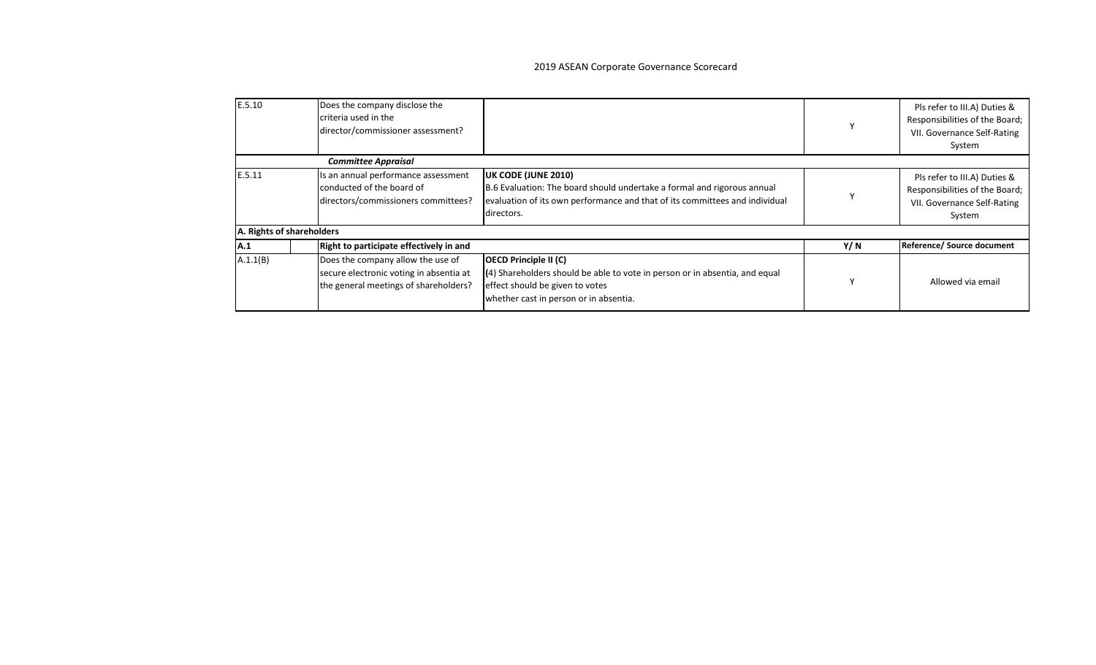| E.5.10                    | Does the company disclose the<br>criteria used in the<br>director/commissioner assessment?                            |                                                                                                                                                                                             |      | Pls refer to III.A) Duties &<br>Responsibilities of the Board;<br>VII. Governance Self-Rating<br>System |
|---------------------------|-----------------------------------------------------------------------------------------------------------------------|---------------------------------------------------------------------------------------------------------------------------------------------------------------------------------------------|------|---------------------------------------------------------------------------------------------------------|
|                           | <b>Committee Appraisal</b>                                                                                            |                                                                                                                                                                                             |      |                                                                                                         |
| E.5.11                    | Is an annual performance assessment<br>conducted of the board of<br>directors/commissioners committees?               | UK CODE (JUNE 2010)<br>B.6 Evaluation: The board should undertake a formal and rigorous annual<br>evaluation of its own performance and that of its committees and individual<br>directors. |      | Pls refer to III.A) Duties &<br>Responsibilities of the Board;<br>VII. Governance Self-Rating<br>System |
| A. Rights of shareholders |                                                                                                                       |                                                                                                                                                                                             |      |                                                                                                         |
| <b>A.1</b>                | Right to participate effectively in and                                                                               |                                                                                                                                                                                             | Y/ N | Reference/ Source document                                                                              |
| A.1.1(B)                  | Does the company allow the use of<br>secure electronic voting in absentia at<br>the general meetings of shareholders? | <b>OECD Principle II (C)</b><br>(4) Shareholders should be able to vote in person or in absentia, and equal<br>effect should be given to votes<br>whether cast in person or in absentia.    |      | Allowed via email                                                                                       |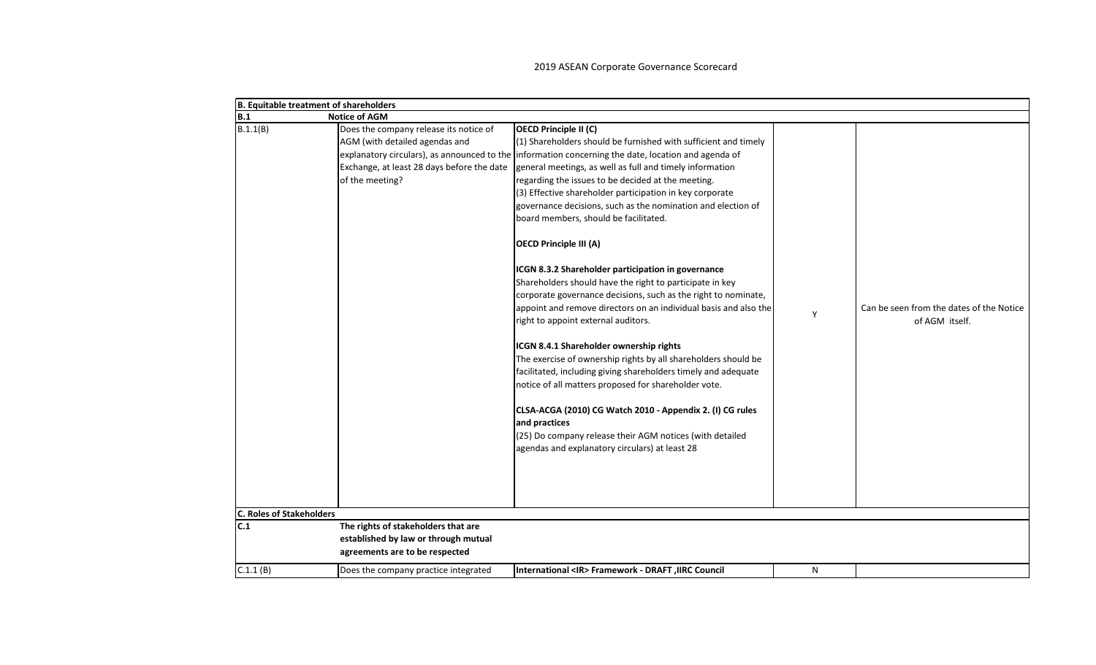| B. Equitable treatment of shareholders |                                                                                                                                           |                                                                                                                                                                                                                                                                                                                                                                                                                                                                                                                                                                                                                                                                                                                                                                                                                                                                                                                                                                                                                                                                                                                                                                                                                                                                  |   |                                                            |
|----------------------------------------|-------------------------------------------------------------------------------------------------------------------------------------------|------------------------------------------------------------------------------------------------------------------------------------------------------------------------------------------------------------------------------------------------------------------------------------------------------------------------------------------------------------------------------------------------------------------------------------------------------------------------------------------------------------------------------------------------------------------------------------------------------------------------------------------------------------------------------------------------------------------------------------------------------------------------------------------------------------------------------------------------------------------------------------------------------------------------------------------------------------------------------------------------------------------------------------------------------------------------------------------------------------------------------------------------------------------------------------------------------------------------------------------------------------------|---|------------------------------------------------------------|
| B.1                                    | <b>Notice of AGM</b>                                                                                                                      |                                                                                                                                                                                                                                                                                                                                                                                                                                                                                                                                                                                                                                                                                                                                                                                                                                                                                                                                                                                                                                                                                                                                                                                                                                                                  |   |                                                            |
| B.1.1(B)                               | Does the company release its notice of<br>AGM (with detailed agendas and<br>Exchange, at least 28 days before the date<br>of the meeting? | <b>OECD Principle II (C)</b><br>(1) Shareholders should be furnished with sufficient and timely<br>explanatory circulars), as announced to the information concerning the date, location and agenda of<br>general meetings, as well as full and timely information<br>regarding the issues to be decided at the meeting.<br>(3) Effective shareholder participation in key corporate<br>governance decisions, such as the nomination and election of<br>board members, should be facilitated.<br><b>OECD Principle III (A)</b><br>ICGN 8.3.2 Shareholder participation in governance<br>Shareholders should have the right to participate in key<br>corporate governance decisions, such as the right to nominate,<br>appoint and remove directors on an individual basis and also the<br>right to appoint external auditors.<br>ICGN 8.4.1 Shareholder ownership rights<br>The exercise of ownership rights by all shareholders should be<br>facilitated, including giving shareholders timely and adequate<br>notice of all matters proposed for shareholder vote.<br>CLSA-ACGA (2010) CG Watch 2010 - Appendix 2. (I) CG rules<br>and practices<br>(25) Do company release their AGM notices (with detailed<br>agendas and explanatory circulars) at least 28 | Y | Can be seen from the dates of the Notice<br>of AGM itself. |
| <b>C. Roles of Stakeholders</b><br>C.1 | The rights of stakeholders that are                                                                                                       |                                                                                                                                                                                                                                                                                                                                                                                                                                                                                                                                                                                                                                                                                                                                                                                                                                                                                                                                                                                                                                                                                                                                                                                                                                                                  |   |                                                            |
|                                        | established by law or through mutual                                                                                                      |                                                                                                                                                                                                                                                                                                                                                                                                                                                                                                                                                                                                                                                                                                                                                                                                                                                                                                                                                                                                                                                                                                                                                                                                                                                                  |   |                                                            |
|                                        | agreements are to be respected                                                                                                            |                                                                                                                                                                                                                                                                                                                                                                                                                                                                                                                                                                                                                                                                                                                                                                                                                                                                                                                                                                                                                                                                                                                                                                                                                                                                  |   |                                                            |
|                                        |                                                                                                                                           |                                                                                                                                                                                                                                                                                                                                                                                                                                                                                                                                                                                                                                                                                                                                                                                                                                                                                                                                                                                                                                                                                                                                                                                                                                                                  |   |                                                            |
| C.1.1(B)                               | Does the company practice integrated                                                                                                      | International <ir> Framework - DRAFT, IIRC Council</ir>                                                                                                                                                                                                                                                                                                                                                                                                                                                                                                                                                                                                                                                                                                                                                                                                                                                                                                                                                                                                                                                                                                                                                                                                          | N |                                                            |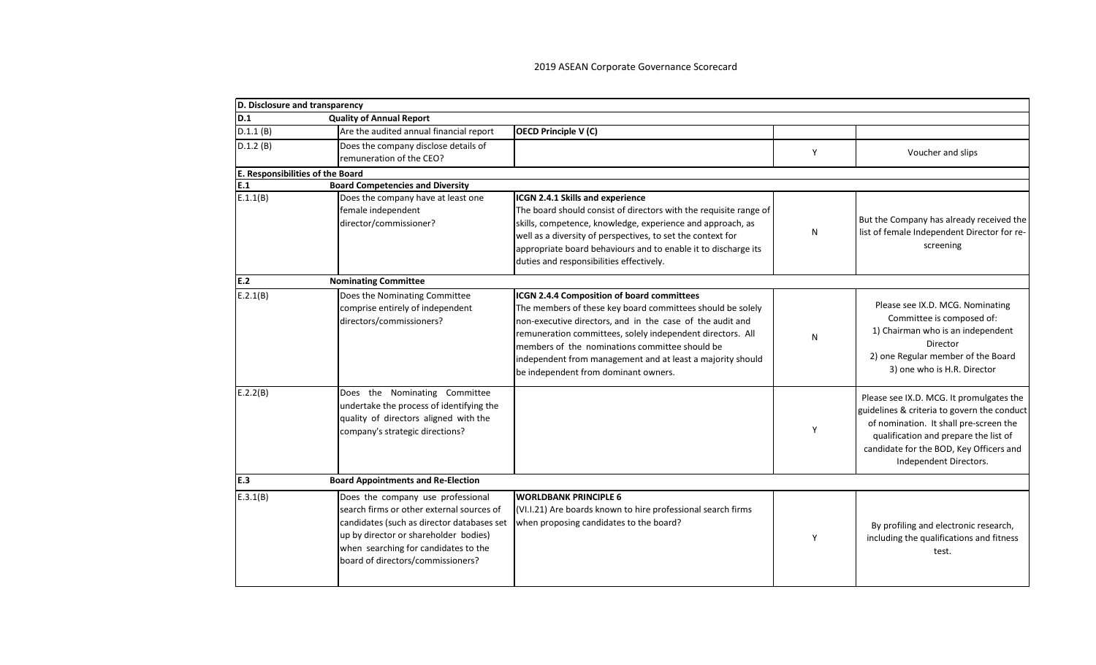| D. Disclosure and transparency          |                                                                                                                                                                                                                                                    |                                                                                                                                                                                                                                                                                                                                                                                             |   |                                                                                                                                                                                                                                                 |
|-----------------------------------------|----------------------------------------------------------------------------------------------------------------------------------------------------------------------------------------------------------------------------------------------------|---------------------------------------------------------------------------------------------------------------------------------------------------------------------------------------------------------------------------------------------------------------------------------------------------------------------------------------------------------------------------------------------|---|-------------------------------------------------------------------------------------------------------------------------------------------------------------------------------------------------------------------------------------------------|
| D.1                                     | <b>Quality of Annual Report</b>                                                                                                                                                                                                                    |                                                                                                                                                                                                                                                                                                                                                                                             |   |                                                                                                                                                                                                                                                 |
| D.1.1(B)                                | Are the audited annual financial report                                                                                                                                                                                                            | <b>OECD Principle V (C)</b>                                                                                                                                                                                                                                                                                                                                                                 |   |                                                                                                                                                                                                                                                 |
| D.1.2(B)                                | Does the company disclose details of<br>remuneration of the CEO?                                                                                                                                                                                   |                                                                                                                                                                                                                                                                                                                                                                                             | Y | Voucher and slips                                                                                                                                                                                                                               |
| <b>E. Responsibilities of the Board</b> |                                                                                                                                                                                                                                                    |                                                                                                                                                                                                                                                                                                                                                                                             |   |                                                                                                                                                                                                                                                 |
| E.1                                     | <b>Board Competencies and Diversity</b>                                                                                                                                                                                                            |                                                                                                                                                                                                                                                                                                                                                                                             |   |                                                                                                                                                                                                                                                 |
| E.1.1(B)                                | Does the company have at least one<br>female independent<br>director/commissioner?                                                                                                                                                                 | ICGN 2.4.1 Skills and experience<br>The board should consist of directors with the requisite range of<br>skills, competence, knowledge, experience and approach, as<br>well as a diversity of perspectives, to set the context for<br>appropriate board behaviours and to enable it to discharge its<br>duties and responsibilities effectively.                                            | N | But the Company has already received the<br>list of female Independent Director for re-<br>screening                                                                                                                                            |
| E.2                                     | <b>Nominating Committee</b>                                                                                                                                                                                                                        |                                                                                                                                                                                                                                                                                                                                                                                             |   |                                                                                                                                                                                                                                                 |
| E.2.1(B)                                | Does the Nominating Committee<br>comprise entirely of independent<br>directors/commissioners?                                                                                                                                                      | ICGN 2.4.4 Composition of board committees<br>The members of these key board committees should be solely<br>non-executive directors, and in the case of the audit and<br>remuneration committees, solely independent directors. All<br>members of the nominations committee should be<br>independent from management and at least a majority should<br>be independent from dominant owners. | N | Please see IX.D. MCG. Nominating<br>Committee is composed of:<br>1) Chairman who is an independent<br>Director<br>2) one Regular member of the Board<br>3) one who is H.R. Director                                                             |
| E.2.2(B)                                | Does the Nominating Committee<br>undertake the process of identifying the<br>quality of directors aligned with the<br>company's strategic directions?                                                                                              |                                                                                                                                                                                                                                                                                                                                                                                             | Y | Please see IX.D. MCG. It promulgates the<br>guidelines & criteria to govern the conduct<br>of nomination. It shall pre-screen the<br>qualification and prepare the list of<br>candidate for the BOD, Key Officers and<br>Independent Directors. |
| E.3                                     | <b>Board Appointments and Re-Election</b>                                                                                                                                                                                                          |                                                                                                                                                                                                                                                                                                                                                                                             |   |                                                                                                                                                                                                                                                 |
| E.3.1(B)                                | Does the company use professional<br>search firms or other external sources of<br>candidates (such as director databases set<br>up by director or shareholder bodies)<br>when searching for candidates to the<br>board of directors/commissioners? | <b>WORLDBANK PRINCIPLE 6</b><br>(VI.I.21) Are boards known to hire professional search firms<br>when proposing candidates to the board?                                                                                                                                                                                                                                                     | Υ | By profiling and electronic research,<br>including the qualifications and fitness<br>test.                                                                                                                                                      |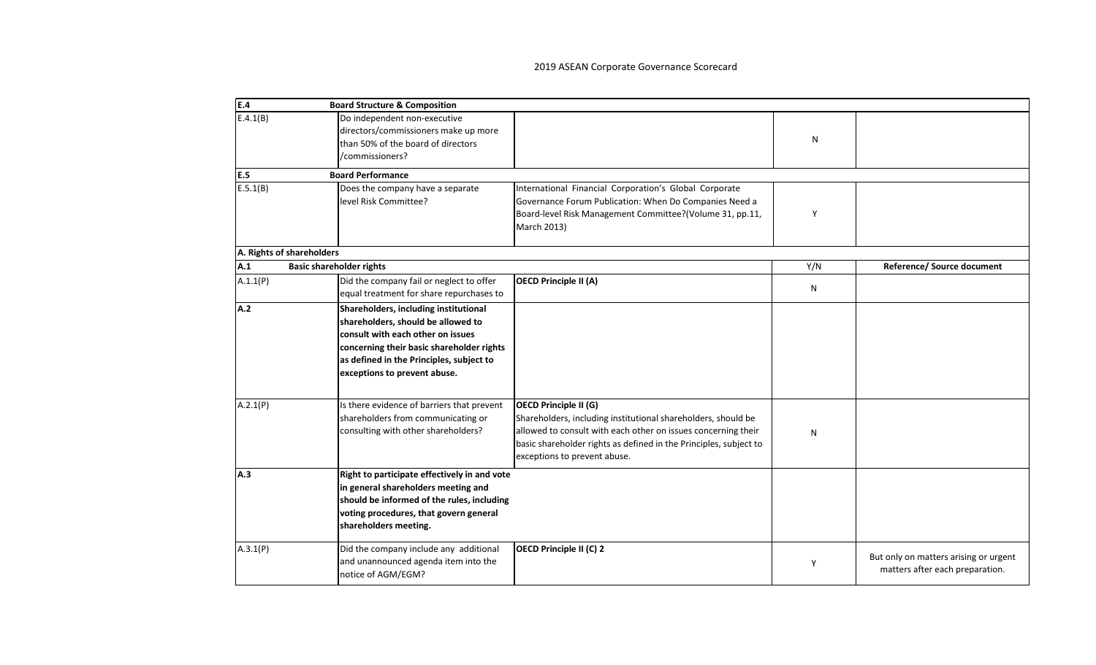| E.4                       | <b>Board Structure &amp; Composition</b>                                                                                                                                                                                                  |                                                                                                                                                                                                                                                                     |     |                                                                          |
|---------------------------|-------------------------------------------------------------------------------------------------------------------------------------------------------------------------------------------------------------------------------------------|---------------------------------------------------------------------------------------------------------------------------------------------------------------------------------------------------------------------------------------------------------------------|-----|--------------------------------------------------------------------------|
| E.4.1(B)                  | Do independent non-executive<br>directors/commissioners make up more<br>than 50% of the board of directors<br>/commissioners?                                                                                                             |                                                                                                                                                                                                                                                                     | N   |                                                                          |
| E.5                       | <b>Board Performance</b>                                                                                                                                                                                                                  |                                                                                                                                                                                                                                                                     |     |                                                                          |
| E.5.1(B)                  | Does the company have a separate<br>level Risk Committee?                                                                                                                                                                                 | International Financial Corporation's Global Corporate<br>Governance Forum Publication: When Do Companies Need a<br>Board-level Risk Management Committee?(Volume 31, pp.11,<br>March 2013)                                                                         | Υ   |                                                                          |
| A. Rights of shareholders |                                                                                                                                                                                                                                           |                                                                                                                                                                                                                                                                     |     |                                                                          |
| A.1                       | <b>Basic shareholder rights</b>                                                                                                                                                                                                           |                                                                                                                                                                                                                                                                     | Y/N | <b>Reference/ Source document</b>                                        |
| A.1.1(P)                  | Did the company fail or neglect to offer<br>equal treatment for share repurchases to                                                                                                                                                      | <b>OECD Principle II (A)</b>                                                                                                                                                                                                                                        | N   |                                                                          |
| A.2                       | Shareholders, including institutional<br>shareholders, should be allowed to<br>consult with each other on issues<br>concerning their basic shareholder rights<br>as defined in the Principles, subject to<br>exceptions to prevent abuse. |                                                                                                                                                                                                                                                                     |     |                                                                          |
| A.2.1(P)                  | Is there evidence of barriers that prevent<br>shareholders from communicating or<br>consulting with other shareholders?                                                                                                                   | <b>OECD Principle II (G)</b><br>Shareholders, including institutional shareholders, should be<br>allowed to consult with each other on issues concerning their<br>basic shareholder rights as defined in the Principles, subject to<br>exceptions to prevent abuse. | N   |                                                                          |
| A.3                       | Right to participate effectively in and vote<br>in general shareholders meeting and<br>should be informed of the rules, including<br>voting procedures, that govern general<br>shareholders meeting.                                      |                                                                                                                                                                                                                                                                     |     |                                                                          |
| A.3.1(P)                  | Did the company include any additional<br>and unannounced agenda item into the<br>notice of AGM/EGM?                                                                                                                                      | OECD Principle II (C) 2                                                                                                                                                                                                                                             | Y   | But only on matters arising or urgent<br>matters after each preparation. |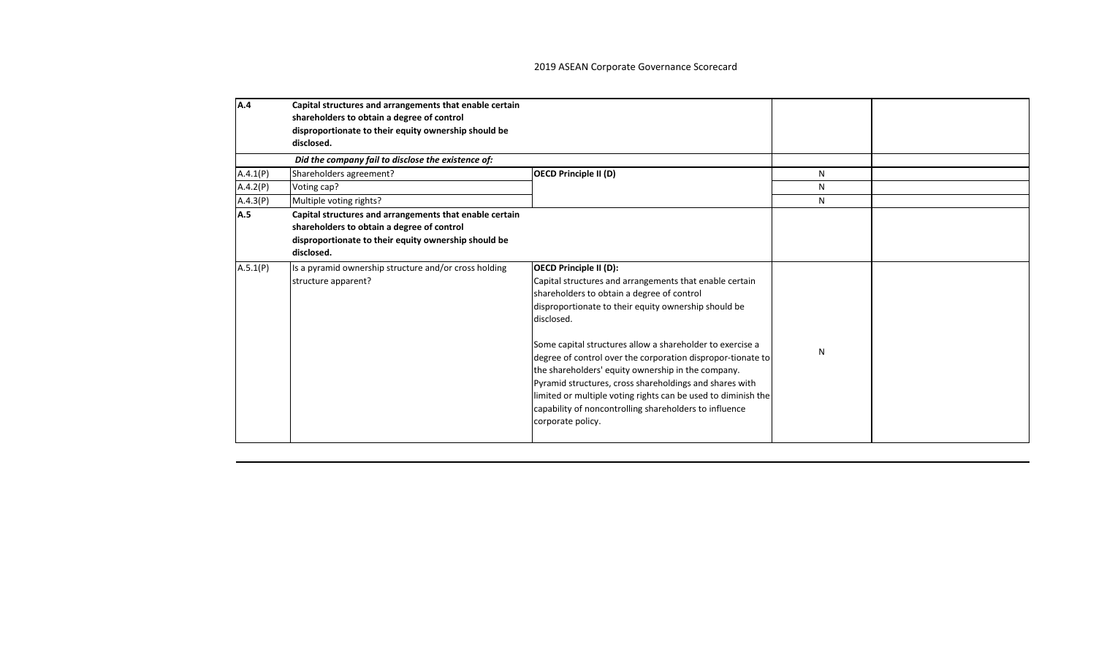| A.4      | Capital structures and arrangements that enable certain<br>shareholders to obtain a degree of control<br>disproportionate to their equity ownership should be<br>disclosed. |                                                                                                                                                                                                                                                                                                                                                                                                                                                                                                                                                                                                           |    |  |
|----------|-----------------------------------------------------------------------------------------------------------------------------------------------------------------------------|-----------------------------------------------------------------------------------------------------------------------------------------------------------------------------------------------------------------------------------------------------------------------------------------------------------------------------------------------------------------------------------------------------------------------------------------------------------------------------------------------------------------------------------------------------------------------------------------------------------|----|--|
|          | Did the company fail to disclose the existence of:                                                                                                                          |                                                                                                                                                                                                                                                                                                                                                                                                                                                                                                                                                                                                           |    |  |
| A.4.1(P) | Shareholders agreement?                                                                                                                                                     | <b>OECD Principle II (D)</b>                                                                                                                                                                                                                                                                                                                                                                                                                                                                                                                                                                              | N  |  |
| A.4.2(P) | Voting cap?                                                                                                                                                                 |                                                                                                                                                                                                                                                                                                                                                                                                                                                                                                                                                                                                           | N  |  |
| A.4.3(P) | Multiple voting rights?                                                                                                                                                     |                                                                                                                                                                                                                                                                                                                                                                                                                                                                                                                                                                                                           | N. |  |
| A.5      | Capital structures and arrangements that enable certain<br>shareholders to obtain a degree of control<br>disproportionate to their equity ownership should be<br>disclosed. |                                                                                                                                                                                                                                                                                                                                                                                                                                                                                                                                                                                                           |    |  |
| A.5.1(P) | Is a pyramid ownership structure and/or cross holding<br>structure apparent?                                                                                                | <b>OECD Principle II (D):</b><br>Capital structures and arrangements that enable certain<br>shareholders to obtain a degree of control<br>disproportionate to their equity ownership should be<br>disclosed.<br>Some capital structures allow a shareholder to exercise a<br>degree of control over the corporation dispropor-tionate to<br>the shareholders' equity ownership in the company.<br>Pyramid structures, cross shareholdings and shares with<br>limited or multiple voting rights can be used to diminish the<br>capability of noncontrolling shareholders to influence<br>corporate policy. | N  |  |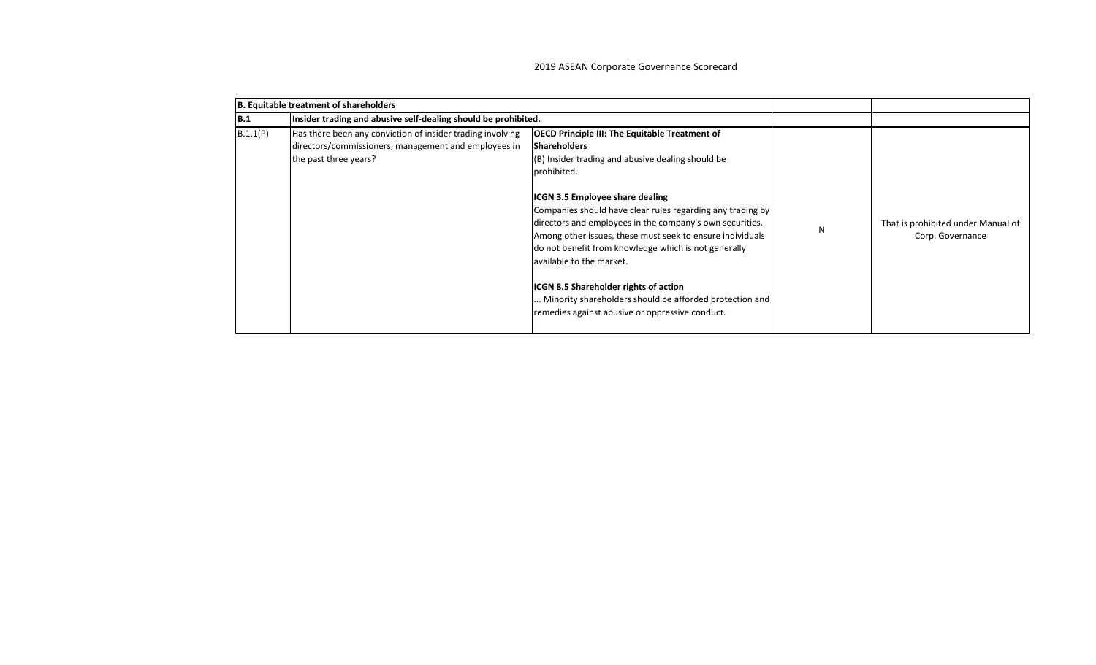|            | B. Equitable treatment of shareholders                                                                                                      |                                                                                                                                                                                                                                                                                                                                                                                                                                                                                                                                                                                                                                     |   |                                                        |
|------------|---------------------------------------------------------------------------------------------------------------------------------------------|-------------------------------------------------------------------------------------------------------------------------------------------------------------------------------------------------------------------------------------------------------------------------------------------------------------------------------------------------------------------------------------------------------------------------------------------------------------------------------------------------------------------------------------------------------------------------------------------------------------------------------------|---|--------------------------------------------------------|
| <b>B.1</b> | Insider trading and abusive self-dealing should be prohibited.                                                                              |                                                                                                                                                                                                                                                                                                                                                                                                                                                                                                                                                                                                                                     |   |                                                        |
| B.1.1(P)   | Has there been any conviction of insider trading involving<br>directors/commissioners, management and employees in<br>the past three years? | <b>OECD Principle III: The Equitable Treatment of</b><br><b>Shareholders</b><br>(B) Insider trading and abusive dealing should be<br>prohibited.<br><b>ICGN 3.5 Employee share dealing</b><br>Companies should have clear rules regarding any trading by<br>directors and employees in the company's own securities.<br>Among other issues, these must seek to ensure individuals<br>do not benefit from knowledge which is not generally<br>available to the market.<br><b>ICGN 8.5 Shareholder rights of action</b><br>Minority shareholders should be afforded protection and<br>remedies against abusive or oppressive conduct. | N | That is prohibited under Manual of<br>Corp. Governance |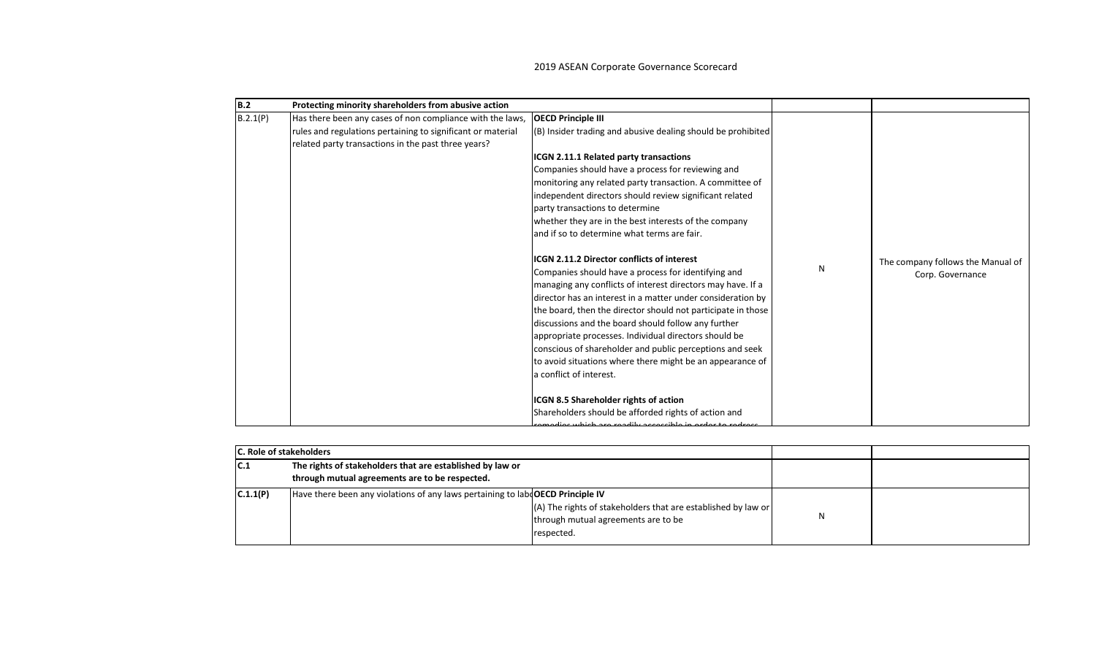| <b>B.2</b> | Protecting minority shareholders from abusive action                                                                                                                            |                                                                                                                                                                                                                                                                                                                                                                                                                                                                                                                                                                                                                                                                                                                                                                                                                             |   |                                                       |
|------------|---------------------------------------------------------------------------------------------------------------------------------------------------------------------------------|-----------------------------------------------------------------------------------------------------------------------------------------------------------------------------------------------------------------------------------------------------------------------------------------------------------------------------------------------------------------------------------------------------------------------------------------------------------------------------------------------------------------------------------------------------------------------------------------------------------------------------------------------------------------------------------------------------------------------------------------------------------------------------------------------------------------------------|---|-------------------------------------------------------|
| B.2.1(P)   | Has there been any cases of non compliance with the laws,<br>rules and regulations pertaining to significant or material<br>related party transactions in the past three years? | <b>OECD Principle III</b><br>(B) Insider trading and abusive dealing should be prohibited<br>ICGN 2.11.1 Related party transactions<br>Companies should have a process for reviewing and<br>monitoring any related party transaction. A committee of<br>independent directors should review significant related<br>party transactions to determine<br>whether they are in the best interests of the company<br>and if so to determine what terms are fair.<br><b>ICGN 2.11.2 Director conflicts of interest</b><br>Companies should have a process for identifying and<br>managing any conflicts of interest directors may have. If a<br>director has an interest in a matter under consideration by<br>the board, then the director should not participate in those<br>discussions and the board should follow any further | N | The company follows the Manual of<br>Corp. Governance |
|            |                                                                                                                                                                                 | appropriate processes. Individual directors should be<br>conscious of shareholder and public perceptions and seek<br>to avoid situations where there might be an appearance of<br>a conflict of interest.<br>ICGN 8.5 Shareholder rights of action                                                                                                                                                                                                                                                                                                                                                                                                                                                                                                                                                                          |   |                                                       |
|            |                                                                                                                                                                                 | Shareholders should be afforded rights of action and<br>modios which are readily associble in order to redress                                                                                                                                                                                                                                                                                                                                                                                                                                                                                                                                                                                                                                                                                                              |   |                                                       |

|          | IC. Role of stakeholders                                                                                    |                                                                                                                    |  |
|----------|-------------------------------------------------------------------------------------------------------------|--------------------------------------------------------------------------------------------------------------------|--|
| IC.1     | The rights of stakeholders that are established by law or<br>through mutual agreements are to be respected. |                                                                                                                    |  |
| C.1.1(P) | Have there been any violations of any laws pertaining to laby OECD Principle IV                             | (A) The rights of stakeholders that are established by law or<br>through mutual agreements are to be<br>respected. |  |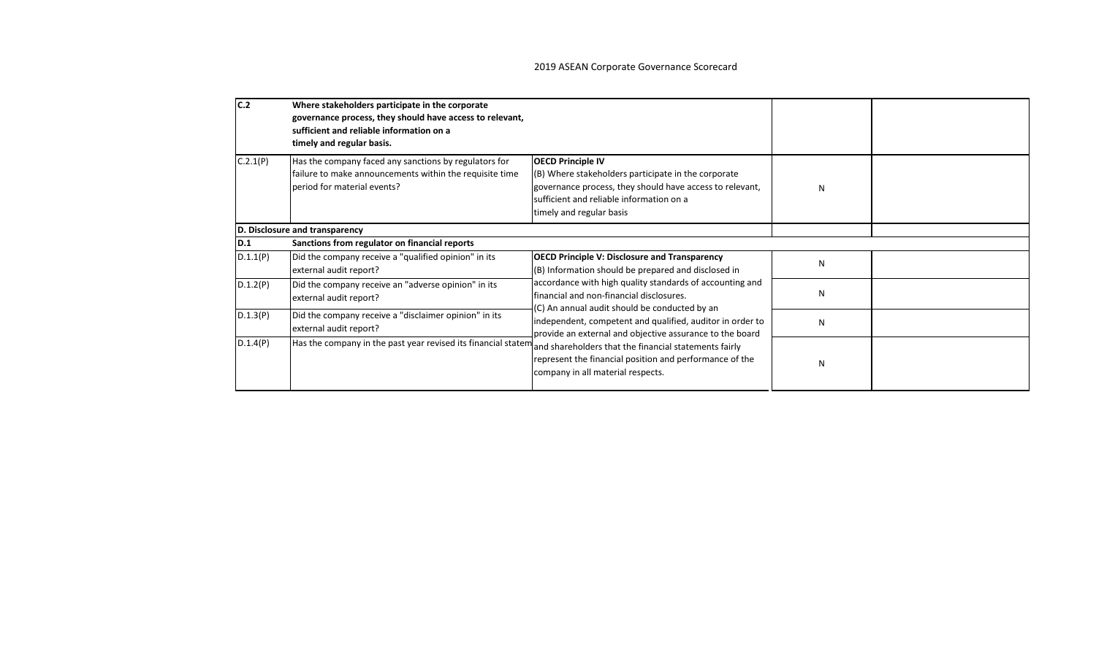| C.2      | Where stakeholders participate in the corporate<br>governance process, they should have access to relevant,<br>sufficient and reliable information on a<br>timely and regular basis. |                                                                                                                                                                                                                                                                                                                                                                                                                                         |   |  |
|----------|--------------------------------------------------------------------------------------------------------------------------------------------------------------------------------------|-----------------------------------------------------------------------------------------------------------------------------------------------------------------------------------------------------------------------------------------------------------------------------------------------------------------------------------------------------------------------------------------------------------------------------------------|---|--|
| C.2.1(P) | Has the company faced any sanctions by regulators for<br>failure to make announcements within the requisite time<br>period for material events?                                      | <b>OECD Principle IV</b><br>(B) Where stakeholders participate in the corporate<br>governance process, they should have access to relevant,<br>sufficient and reliable information on a<br>timely and regular basis                                                                                                                                                                                                                     | N |  |
|          | D. Disclosure and transparency                                                                                                                                                       |                                                                                                                                                                                                                                                                                                                                                                                                                                         |   |  |
| D.1      | Sanctions from regulator on financial reports                                                                                                                                        |                                                                                                                                                                                                                                                                                                                                                                                                                                         |   |  |
| D.1.1(P) | Did the company receive a "qualified opinion" in its<br>external audit report?                                                                                                       | <b>OECD Principle V: Disclosure and Transparency</b><br>(B) Information should be prepared and disclosed in                                                                                                                                                                                                                                                                                                                             | N |  |
| D.1.2(P) | Did the company receive an "adverse opinion" in its<br>external audit report?                                                                                                        | accordance with high quality standards of accounting and<br>financial and non-financial disclosures.<br>(C) An annual audit should be conducted by an<br>independent, competent and qualified, auditor in order to<br>provide an external and objective assurance to the board<br>and shareholders that the financial statements fairly<br>represent the financial position and performance of the<br>company in all material respects. | N |  |
| D.1.3(P) | Did the company receive a "disclaimer opinion" in its<br>external audit report?                                                                                                      |                                                                                                                                                                                                                                                                                                                                                                                                                                         | N |  |
| D.1.4(P) | Has the company in the past year revised its financial statem                                                                                                                        |                                                                                                                                                                                                                                                                                                                                                                                                                                         | N |  |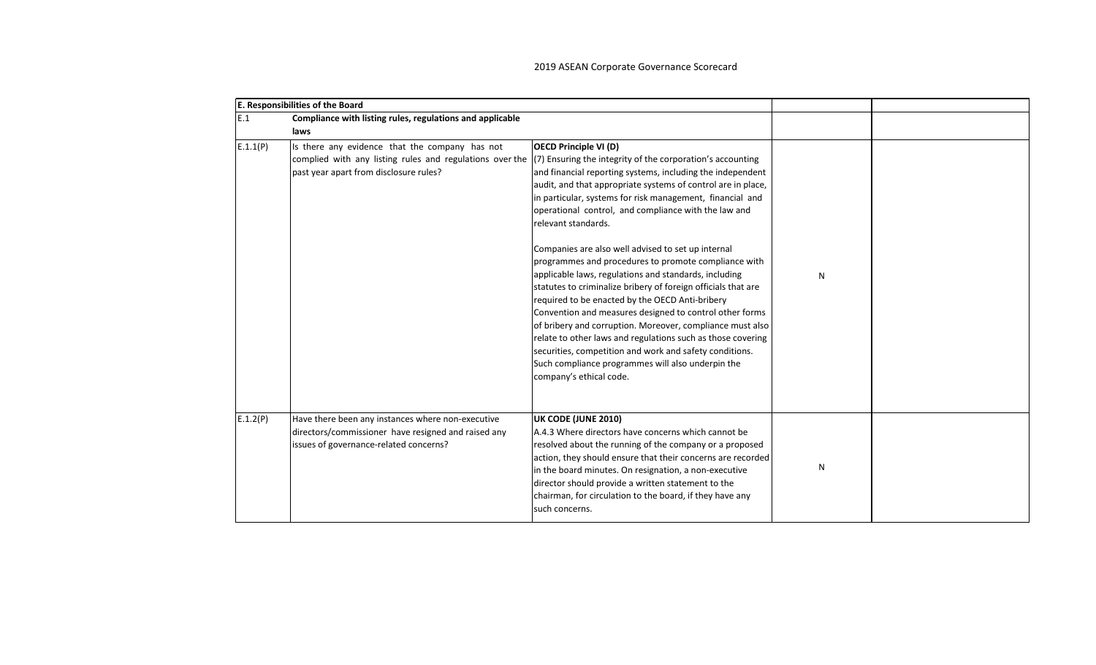|          | E. Responsibilities of the Board                                                                                                                                                                                  |                                                                                                                                                                                                                                                                                                                                                                                                                                                                                                                                                                                                                                                                                                                                                                                                                                                                                                                                     |   |  |
|----------|-------------------------------------------------------------------------------------------------------------------------------------------------------------------------------------------------------------------|-------------------------------------------------------------------------------------------------------------------------------------------------------------------------------------------------------------------------------------------------------------------------------------------------------------------------------------------------------------------------------------------------------------------------------------------------------------------------------------------------------------------------------------------------------------------------------------------------------------------------------------------------------------------------------------------------------------------------------------------------------------------------------------------------------------------------------------------------------------------------------------------------------------------------------------|---|--|
| E.1      | Compliance with listing rules, regulations and applicable                                                                                                                                                         |                                                                                                                                                                                                                                                                                                                                                                                                                                                                                                                                                                                                                                                                                                                                                                                                                                                                                                                                     |   |  |
|          | laws                                                                                                                                                                                                              |                                                                                                                                                                                                                                                                                                                                                                                                                                                                                                                                                                                                                                                                                                                                                                                                                                                                                                                                     |   |  |
| E.1.1(P) | Is there any evidence that the company has not<br>complied with any listing rules and regulations over the $(7)$ Ensuring the integrity of the corporation's accounting<br>past year apart from disclosure rules? | <b>OECD Principle VI (D)</b><br>and financial reporting systems, including the independent<br>audit, and that appropriate systems of control are in place,<br>in particular, systems for risk management, financial and<br>operational control, and compliance with the law and<br>relevant standards.<br>Companies are also well advised to set up internal<br>programmes and procedures to promote compliance with<br>applicable laws, regulations and standards, including<br>statutes to criminalize bribery of foreign officials that are<br>required to be enacted by the OECD Anti-bribery<br>Convention and measures designed to control other forms<br>of bribery and corruption. Moreover, compliance must also<br>relate to other laws and regulations such as those covering<br>securities, competition and work and safety conditions.<br>Such compliance programmes will also underpin the<br>company's ethical code. | N |  |
| E.1.2(P) | Have there been any instances where non-executive<br>directors/commissioner have resigned and raised any<br>issues of governance-related concerns?                                                                | UK CODE (JUNE 2010)<br>A.4.3 Where directors have concerns which cannot be<br>resolved about the running of the company or a proposed<br>action, they should ensure that their concerns are recorded<br>in the board minutes. On resignation, a non-executive<br>director should provide a written statement to the<br>chairman, for circulation to the board, if they have any<br>such concerns.                                                                                                                                                                                                                                                                                                                                                                                                                                                                                                                                   | N |  |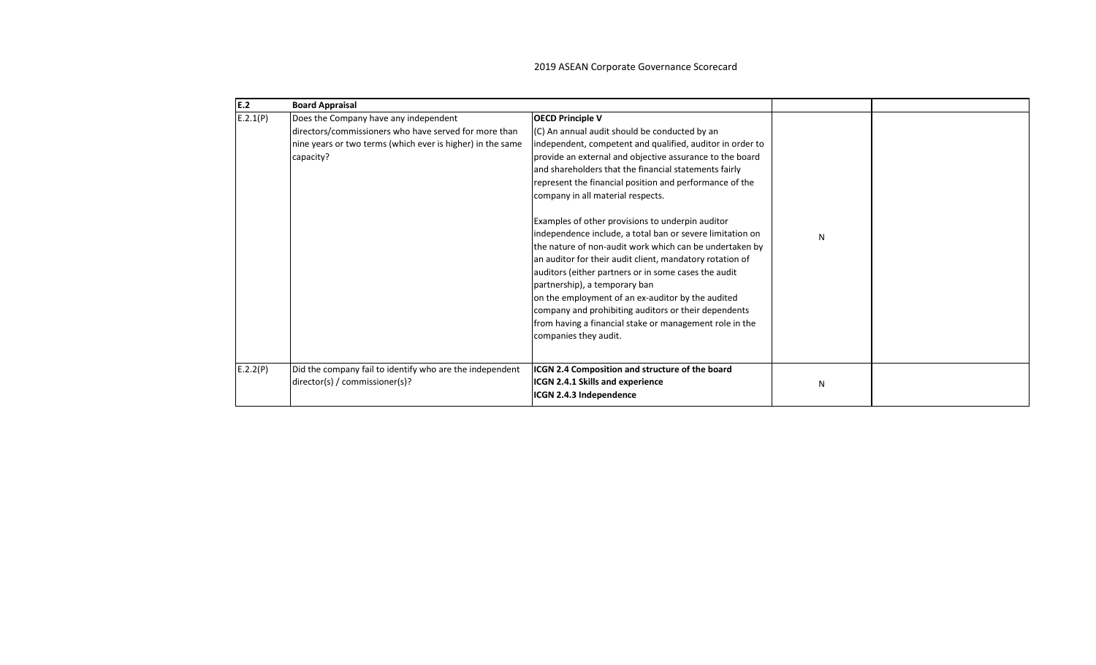| E.2      | <b>Board Appraisal</b>                                                                                                                                                    |                                                                                                                                                                                                                                                                                                                                                                                                                                                                                                                                                                                                                                                                                                                                                                                                                                                                                              |   |  |
|----------|---------------------------------------------------------------------------------------------------------------------------------------------------------------------------|----------------------------------------------------------------------------------------------------------------------------------------------------------------------------------------------------------------------------------------------------------------------------------------------------------------------------------------------------------------------------------------------------------------------------------------------------------------------------------------------------------------------------------------------------------------------------------------------------------------------------------------------------------------------------------------------------------------------------------------------------------------------------------------------------------------------------------------------------------------------------------------------|---|--|
| E.2.1(P) | Does the Company have any independent<br>directors/commissioners who have served for more than<br>nine years or two terms (which ever is higher) in the same<br>capacity? | <b>OECD Principle V</b><br>(C) An annual audit should be conducted by an<br>independent, competent and qualified, auditor in order to<br>provide an external and objective assurance to the board<br>and shareholders that the financial statements fairly<br>represent the financial position and performance of the<br>company in all material respects.<br>Examples of other provisions to underpin auditor<br>independence include, a total ban or severe limitation on<br>the nature of non-audit work which can be undertaken by<br>an auditor for their audit client, mandatory rotation of<br>auditors (either partners or in some cases the audit<br>partnership), a temporary ban<br>on the employment of an ex-auditor by the audited<br>company and prohibiting auditors or their dependents<br>from having a financial stake or management role in the<br>companies they audit. | N |  |
| E.2.2(P) | Did the company fail to identify who are the independent<br>director(s) / commissioner(s)?                                                                                | ICGN 2.4 Composition and structure of the board<br>ICGN 2.4.1 Skills and experience<br>ICGN 2.4.3 Independence                                                                                                                                                                                                                                                                                                                                                                                                                                                                                                                                                                                                                                                                                                                                                                               | N |  |